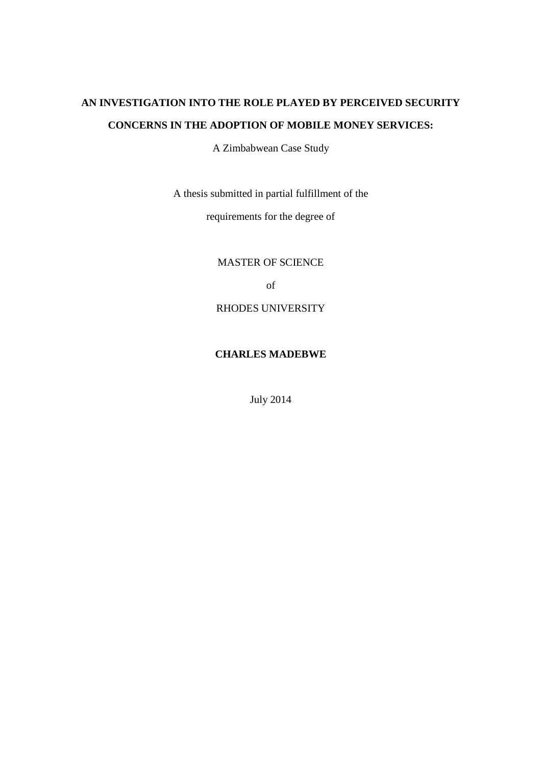# **AN INVESTIGATION INTO THE ROLE PLAYED BY PERCEIVED SECURITY CONCERNS IN THE ADOPTION OF MOBILE MONEY SERVICES:**

A Zimbabwean Case Study

A thesis submitted in partial fulfillment of the

requirements for the degree of

MASTER OF SCIENCE

of

RHODES UNIVERSITY

# **CHARLES MADEBWE**

July 2014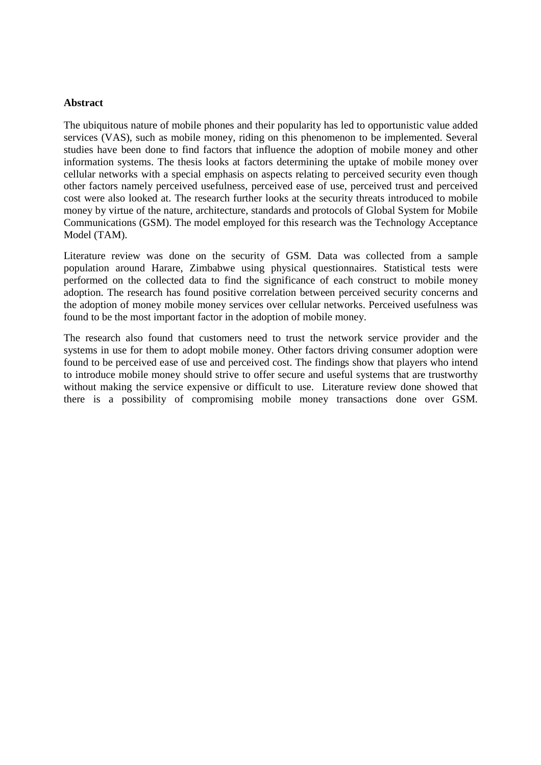#### **Abstract**

The ubiquitous nature of mobile phones and their popularity has led to opportunistic value added services (VAS), such as mobile money, riding on this phenomenon to be implemented. Several studies have been done to find factors that influence the adoption of mobile money and other information systems. The thesis looks at factors determining the uptake of mobile money over cellular networks with a special emphasis on aspects relating to perceived security even though other factors namely perceived usefulness, perceived ease of use, perceived trust and perceived cost were also looked at. The research further looks at the security threats introduced to mobile money by virtue of the nature, architecture, standards and protocols of Global System for Mobile Communications (GSM). The model employed for this research was the Technology Acceptance Model (TAM).

Literature review was done on the security of GSM. Data was collected from a sample population around Harare, Zimbabwe using physical questionnaires. Statistical tests were performed on the collected data to find the significance of each construct to mobile money adoption. The research has found positive correlation between perceived security concerns and the adoption of money mobile money services over cellular networks. Perceived usefulness was found to be the most important factor in the adoption of mobile money.

The research also found that customers need to trust the network service provider and the systems in use for them to adopt mobile money. Other factors driving consumer adoption were found to be perceived ease of use and perceived cost. The findings show that players who intend to introduce mobile money should strive to offer secure and useful systems that are trustworthy without making the service expensive or difficult to use. Literature review done showed that there is a possibility of compromising mobile money transactions done over GSM.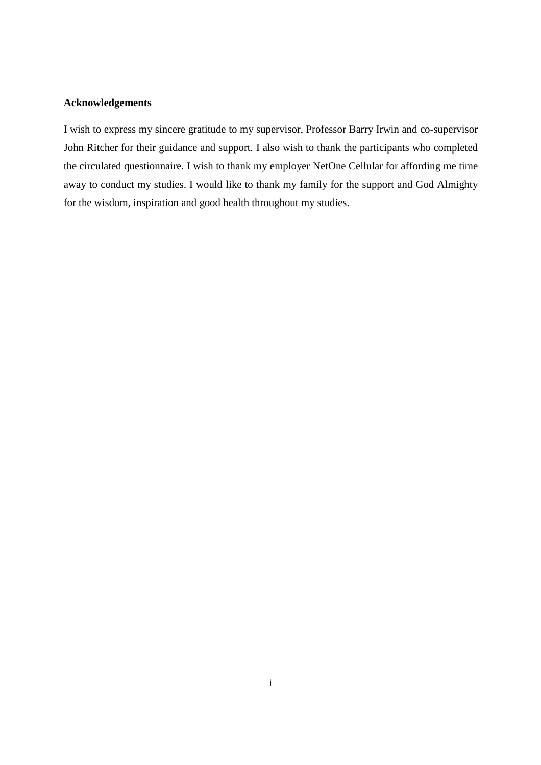## **Acknowledgements**

I wish to express my sincere gratitude to my supervisor, Professor Barry Irwin and co-supervisor John Ritcher for their guidance and support. I also wish to thank the participants who completed the circulated questionnaire. I wish to thank my employer NetOne Cellular for affording me time away to conduct my studies. I would like to thank my family for the support and God Almighty for the wisdom, inspiration and good health throughout my studies.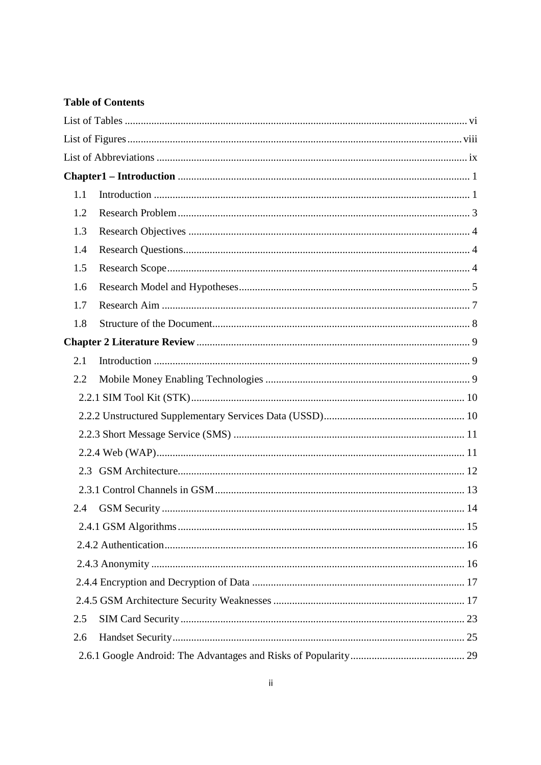## **Table of Contents**

| 1.1 |  |
|-----|--|
| 1.2 |  |
| 1.3 |  |
| 1.4 |  |
| 1.5 |  |
| 1.6 |  |
| 1.7 |  |
| 1.8 |  |
|     |  |
| 2.1 |  |
| 2.2 |  |
|     |  |
|     |  |
|     |  |
|     |  |
| 2.3 |  |
|     |  |
| 2.4 |  |
|     |  |
|     |  |
|     |  |
|     |  |
|     |  |
| 2.5 |  |
| 2.6 |  |
|     |  |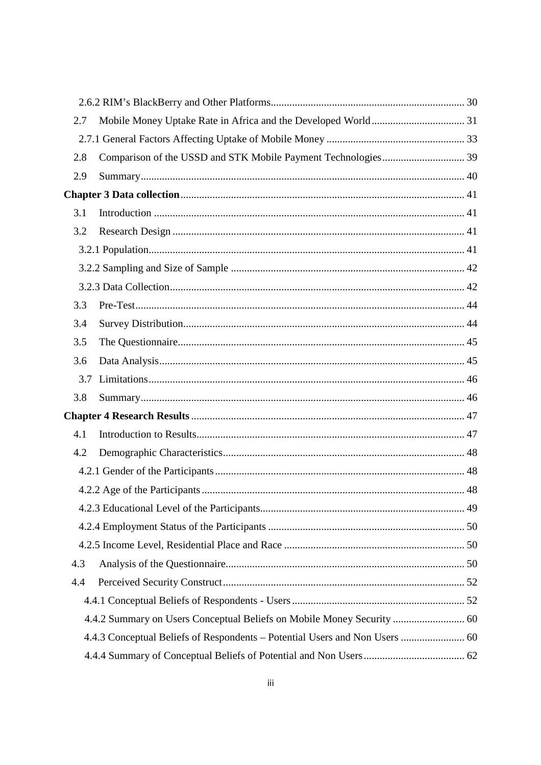| 2.7 |                                                                             |  |
|-----|-----------------------------------------------------------------------------|--|
|     |                                                                             |  |
| 2.8 |                                                                             |  |
| 2.9 |                                                                             |  |
|     |                                                                             |  |
| 3.1 |                                                                             |  |
| 3.2 |                                                                             |  |
|     |                                                                             |  |
|     |                                                                             |  |
|     |                                                                             |  |
| 3.3 |                                                                             |  |
| 3.4 |                                                                             |  |
| 3.5 |                                                                             |  |
| 3.6 |                                                                             |  |
| 3.7 |                                                                             |  |
| 3.8 |                                                                             |  |
|     |                                                                             |  |
| 4.1 |                                                                             |  |
| 4.2 |                                                                             |  |
|     |                                                                             |  |
|     |                                                                             |  |
|     |                                                                             |  |
|     |                                                                             |  |
|     |                                                                             |  |
| 4.3 |                                                                             |  |
| 4.4 |                                                                             |  |
|     |                                                                             |  |
|     | 4.4.2 Summary on Users Conceptual Beliefs on Mobile Money Security  60      |  |
|     | 4.4.3 Conceptual Beliefs of Respondents – Potential Users and Non Users  60 |  |
|     |                                                                             |  |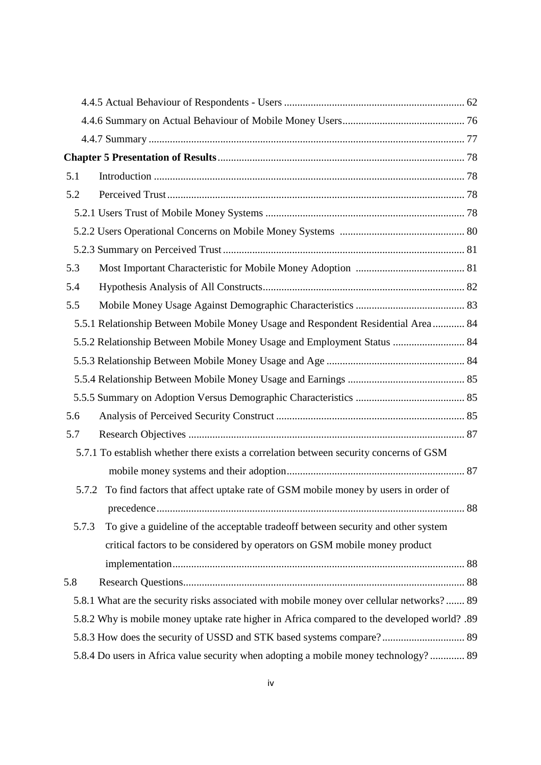| 5.1   |                                                                                             |  |
|-------|---------------------------------------------------------------------------------------------|--|
| 5.2   |                                                                                             |  |
|       |                                                                                             |  |
|       |                                                                                             |  |
|       |                                                                                             |  |
| 5.3   |                                                                                             |  |
| 5.4   |                                                                                             |  |
| 5.5   |                                                                                             |  |
|       | 5.5.1 Relationship Between Mobile Money Usage and Respondent Residential Area 84            |  |
|       | 5.5.2 Relationship Between Mobile Money Usage and Employment Status  84                     |  |
|       |                                                                                             |  |
|       |                                                                                             |  |
|       |                                                                                             |  |
| 5.6   |                                                                                             |  |
| 5.7   |                                                                                             |  |
|       | 5.7.1 To establish whether there exists a correlation between security concerns of GSM      |  |
|       |                                                                                             |  |
| 5.7.2 | To find factors that affect uptake rate of GSM mobile money by users in order of            |  |
|       |                                                                                             |  |
| 5.7.3 | To give a guideline of the acceptable tradeoff between security and other system            |  |
|       | critical factors to be considered by operators on GSM mobile money product                  |  |
|       |                                                                                             |  |
| 5.8   |                                                                                             |  |
|       | 5.8.1 What are the security risks associated with mobile money over cellular networks? 89   |  |
|       | 5.8.2 Why is mobile money uptake rate higher in Africa compared to the developed world? .89 |  |
|       | 5.8.3 How does the security of USSD and STK based systems compare? 89                       |  |
|       | 5.8.4 Do users in Africa value security when adopting a mobile money technology? 89         |  |
|       |                                                                                             |  |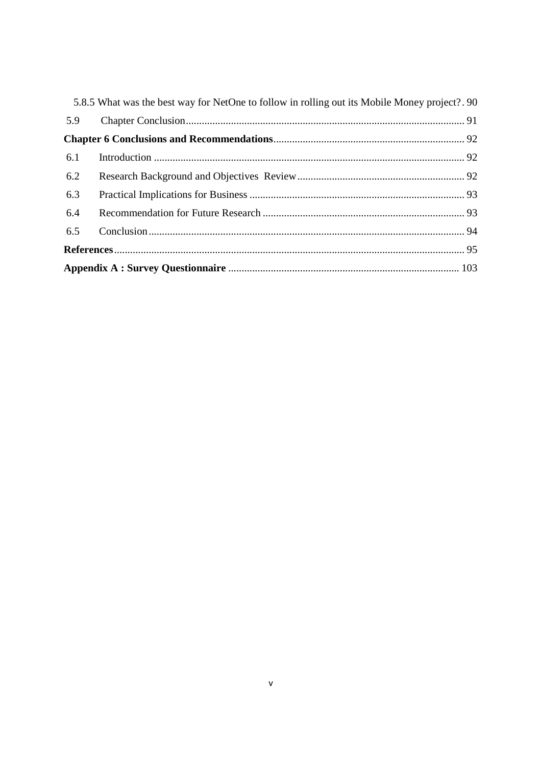|     | 5.8.5 What was the best way for NetOne to follow in rolling out its Mobile Money project?. 90 |  |
|-----|-----------------------------------------------------------------------------------------------|--|
| 5.9 |                                                                                               |  |
|     |                                                                                               |  |
| 6.1 |                                                                                               |  |
| 6.2 |                                                                                               |  |
| 6.3 |                                                                                               |  |
| 6.4 |                                                                                               |  |
| 6.5 |                                                                                               |  |
|     |                                                                                               |  |
|     |                                                                                               |  |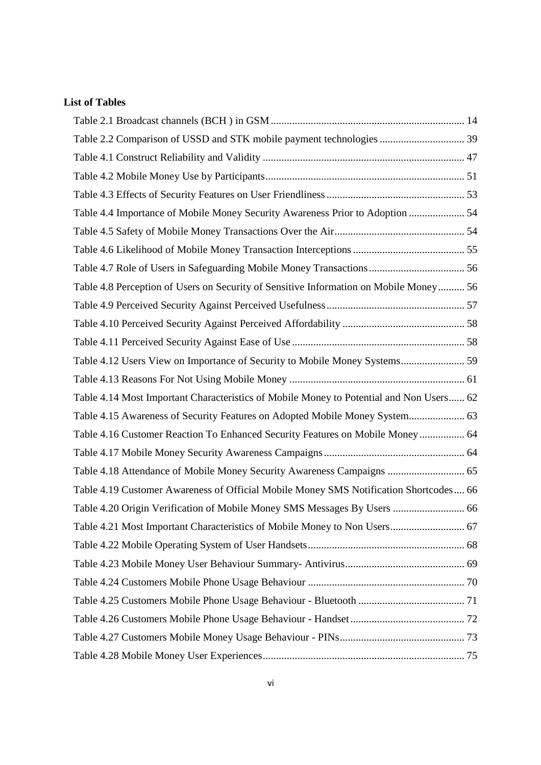# **List of Tables**

| Table 2.2 Comparison of USSD and STK mobile payment technologies  39                    |  |
|-----------------------------------------------------------------------------------------|--|
|                                                                                         |  |
|                                                                                         |  |
|                                                                                         |  |
| Table 4.4 Importance of Mobile Money Security Awareness Prior to Adoption  54           |  |
|                                                                                         |  |
|                                                                                         |  |
| Table 4.7 Role of Users in Safeguarding Mobile Money Transactions 56                    |  |
| Table 4.8 Perception of Users on Security of Sensitive Information on Mobile Money 56   |  |
|                                                                                         |  |
|                                                                                         |  |
|                                                                                         |  |
| Table 4.12 Users View on Importance of Security to Mobile Money Systems 59              |  |
|                                                                                         |  |
| Table 4.14 Most Important Characteristics of Mobile Money to Potential and Non Users 62 |  |
| Table 4.15 Awareness of Security Features on Adopted Mobile Money System 63             |  |
| Table 4.16 Customer Reaction To Enhanced Security Features on Mobile Money 64           |  |
|                                                                                         |  |
| Table 4.18 Attendance of Mobile Money Security Awareness Campaigns  65                  |  |
| Table 4.19 Customer Awareness of Official Mobile Money SMS Notification Shortcodes 66   |  |
| Table 4.20 Origin Verification of Mobile Money SMS Messages By Users  66                |  |
| Table 4.21 Most Important Characteristics of Mobile Money to Non Users 67               |  |
|                                                                                         |  |
|                                                                                         |  |
|                                                                                         |  |
|                                                                                         |  |
|                                                                                         |  |
|                                                                                         |  |
|                                                                                         |  |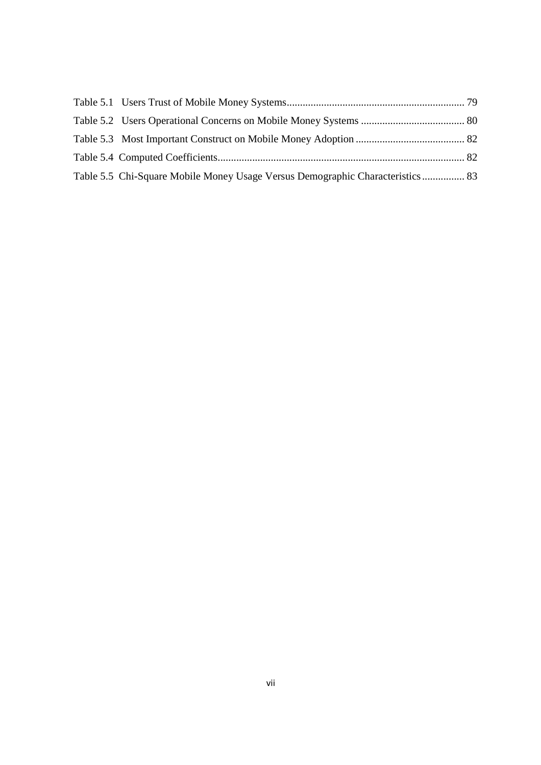| Table 5.5 Chi-Square Mobile Money Usage Versus Demographic Characteristics 83 |  |
|-------------------------------------------------------------------------------|--|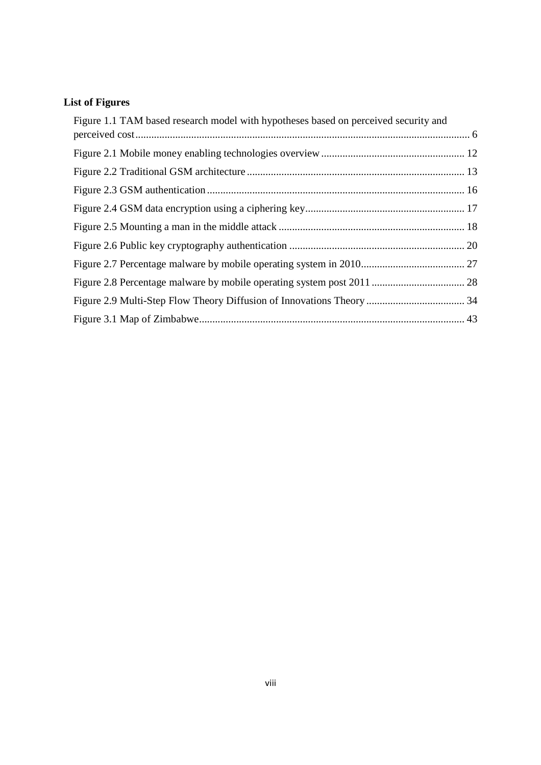# **List of Figures**

| Figure 1.1 TAM based research model with hypotheses based on perceived security and |  |
|-------------------------------------------------------------------------------------|--|
|                                                                                     |  |
|                                                                                     |  |
|                                                                                     |  |
|                                                                                     |  |
|                                                                                     |  |
|                                                                                     |  |
|                                                                                     |  |
|                                                                                     |  |
|                                                                                     |  |
|                                                                                     |  |
|                                                                                     |  |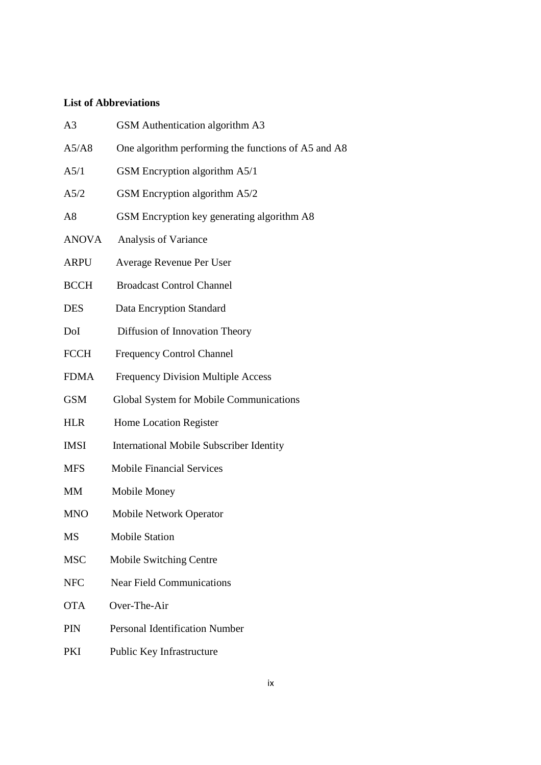# **List of Abbreviations**

| A <sub>3</sub> | GSM Authentication algorithm A3                     |
|----------------|-----------------------------------------------------|
| A5/A8          | One algorithm performing the functions of A5 and A8 |
| A5/1           | GSM Encryption algorithm A5/1                       |
| A5/2           | GSM Encryption algorithm A5/2                       |
| A8             | GSM Encryption key generating algorithm A8          |
| <b>ANOVA</b>   | Analysis of Variance                                |
| <b>ARPU</b>    | Average Revenue Per User                            |
| <b>BCCH</b>    | <b>Broadcast Control Channel</b>                    |
| <b>DES</b>     | Data Encryption Standard                            |
| DoI            | Diffusion of Innovation Theory                      |
| <b>FCCH</b>    | <b>Frequency Control Channel</b>                    |
| <b>FDMA</b>    | <b>Frequency Division Multiple Access</b>           |
| <b>GSM</b>     | Global System for Mobile Communications             |
| <b>HLR</b>     | Home Location Register                              |
| <b>IMSI</b>    | <b>International Mobile Subscriber Identity</b>     |
| <b>MFS</b>     | <b>Mobile Financial Services</b>                    |
| MM             | Mobile Money                                        |
| <b>MNO</b>     | <b>Mobile Network Operator</b>                      |
| MS             | <b>Mobile Station</b>                               |
| <b>MSC</b>     | Mobile Switching Centre                             |
| <b>NFC</b>     | <b>Near Field Communications</b>                    |
| <b>OTA</b>     | Over-The-Air                                        |
| <b>PIN</b>     | <b>Personal Identification Number</b>               |
| PKI            | Public Key Infrastructure                           |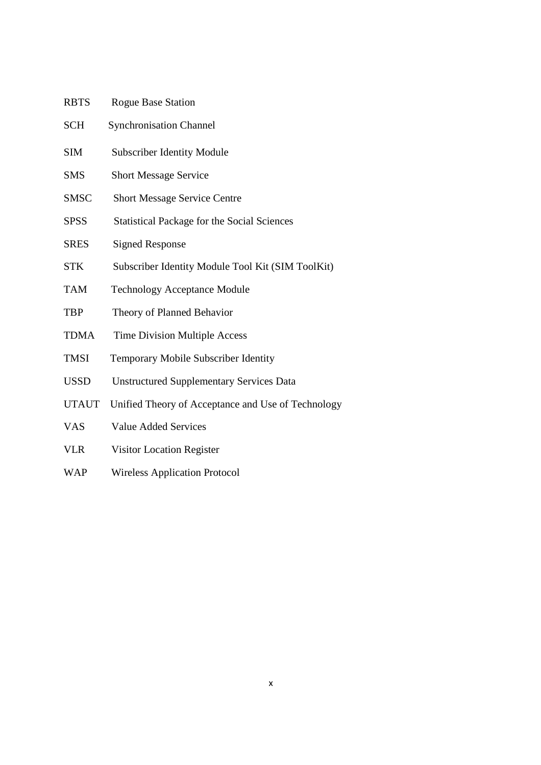| <b>RBTS</b>  | <b>Rogue Base Station</b>                          |
|--------------|----------------------------------------------------|
| <b>SCH</b>   | <b>Synchronisation Channel</b>                     |
| <b>SIM</b>   | <b>Subscriber Identity Module</b>                  |
| <b>SMS</b>   | <b>Short Message Service</b>                       |
| <b>SMSC</b>  | <b>Short Message Service Centre</b>                |
| <b>SPSS</b>  | <b>Statistical Package for the Social Sciences</b> |
| <b>SRES</b>  | <b>Signed Response</b>                             |
| <b>STK</b>   | Subscriber Identity Module Tool Kit (SIM ToolKit)  |
| <b>TAM</b>   | <b>Technology Acceptance Module</b>                |
| <b>TBP</b>   | Theory of Planned Behavior                         |
| <b>TDMA</b>  | <b>Time Division Multiple Access</b>               |
| <b>TMSI</b>  | Temporary Mobile Subscriber Identity               |
| <b>USSD</b>  | <b>Unstructured Supplementary Services Data</b>    |
| <b>UTAUT</b> | Unified Theory of Acceptance and Use of Technology |
| <b>VAS</b>   | <b>Value Added Services</b>                        |
| <b>VLR</b>   | Visitor Location Register                          |

WAP Wireless Application Protocol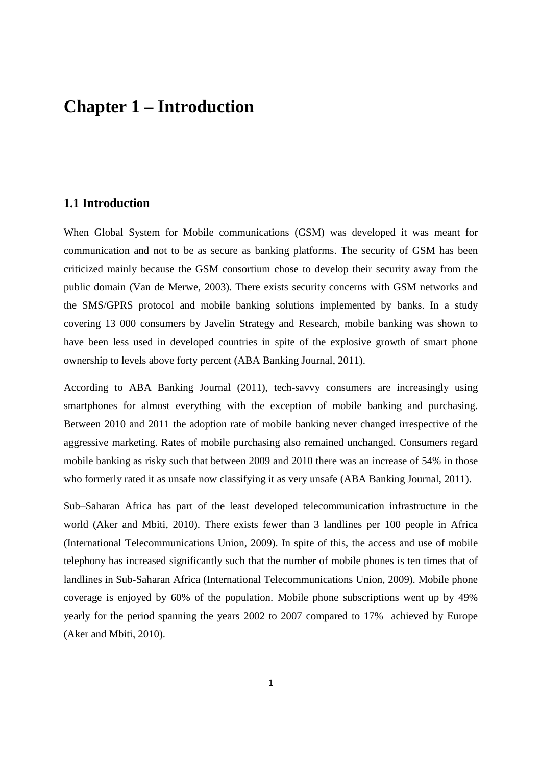# **Chapter 1 – Introduction**

## **1.1 Introduction**

When Global System for Mobile communications (GSM) was developed it was meant for communication and not to be as secure as banking platforms. The security of GSM has been criticized mainly because the GSM consortium chose to develop their security away from the public domain (Van de Merwe, 2003). There exists security concerns with GSM networks and the SMS/GPRS protocol and mobile banking solutions implemented by banks. In a study covering 13 000 consumers by Javelin Strategy and Research, mobile banking was shown to have been less used in developed countries in spite of the explosive growth of smart phone ownership to levels above forty percent (ABA Banking Journal, 2011).

According to ABA Banking Journal (2011), tech-savvy consumers are increasingly using smartphones for almost everything with the exception of mobile banking and purchasing. Between 2010 and 2011 the adoption rate of mobile banking never changed irrespective of the aggressive marketing. Rates of mobile purchasing also remained unchanged. Consumers regard mobile banking as risky such that between 2009 and 2010 there was an increase of 54% in those who formerly rated it as unsafe now classifying it as very unsafe (ABA Banking Journal, 2011).

Sub–Saharan Africa has part of the least developed telecommunication infrastructure in the world (Aker and Mbiti, 2010). There exists fewer than 3 landlines per 100 people in Africa (International Telecommunications Union, 2009). In spite of this, the access and use of mobile telephony has increased significantly such that the number of mobile phones is ten times that of landlines in Sub-Saharan Africa (International Telecommunications Union, 2009). Mobile phone coverage is enjoyed by 60% of the population. Mobile phone subscriptions went up by 49% yearly for the period spanning the years 2002 to 2007 compared to 17% achieved by Europe (Aker and Mbiti, 2010).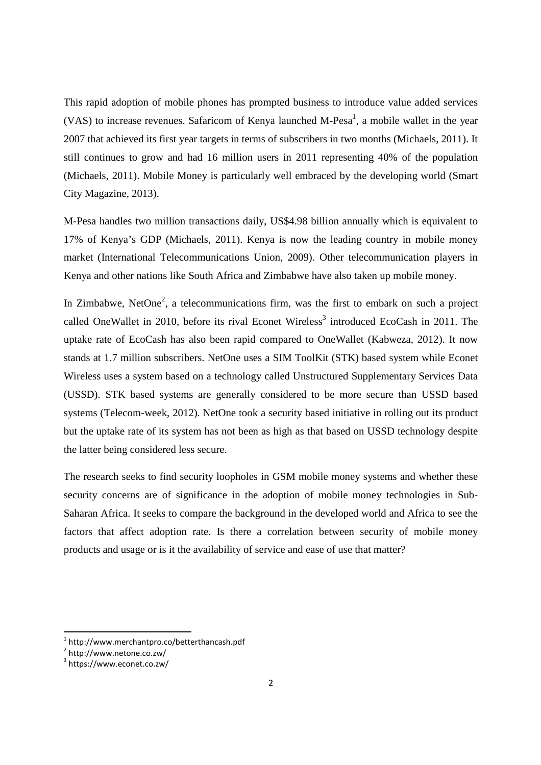This rapid adoption of mobile phones has prompted business to introduce value added services (VAS) to increase revenues. Safaricom of Kenya launched M-Pesa<sup>1</sup>, a mobile wallet in the year 2007 that achieved its first year targets in terms of subscribers in two months (Michaels, 2011). It still continues to grow and had 16 million users in 2011 representing 40% of the population (Michaels, 2011). Mobile Money is particularly well embraced by the developing world (Smart City Magazine, 2013).

M-Pesa handles two million transactions daily, US\$4.98 billion annually which is equivalent to 17% of Kenya's GDP (Michaels, 2011). Kenya is now the leading country in mobile money market (International Telecommunications Union, 2009). Other telecommunication players in Kenya and other nations like South Africa and Zimbabwe have also taken up mobile money.

In Zimbabwe, NetOne<sup>2</sup>, a telecommunications firm, was the first to embark on such a project called OneWallet in 2010, before its rival Econet Wireless<sup>3</sup> introduced EcoCash in 2011. The uptake rate of EcoCash has also been rapid compared to OneWallet (Kabweza, 2012). It now stands at 1.7 million subscribers. NetOne uses a SIM ToolKit (STK) based system while Econet Wireless uses a system based on a technology called Unstructured Supplementary Services Data (USSD). STK based systems are generally considered to be more secure than USSD based systems (Telecom-week, 2012). NetOne took a security based initiative in rolling out its product but the uptake rate of its system has not been as high as that based on USSD technology despite the latter being considered less secure.

The research seeks to find security loopholes in GSM mobile money systems and whether these security concerns are of significance in the adoption of mobile money technologies in Sub-Saharan Africa. It seeks to compare the background in the developed world and Africa to see the factors that affect adoption rate. Is there a correlation between security of mobile money products and usage or is it the availability of service and ease of use that matter?

<u>.</u>

<sup>1</sup> http://www.merchantpro.co/betterthancash.pdf

<sup>&</sup>lt;sup>2</sup> http://www.netone.co.zw/

<sup>3</sup> https://www.econet.co.zw/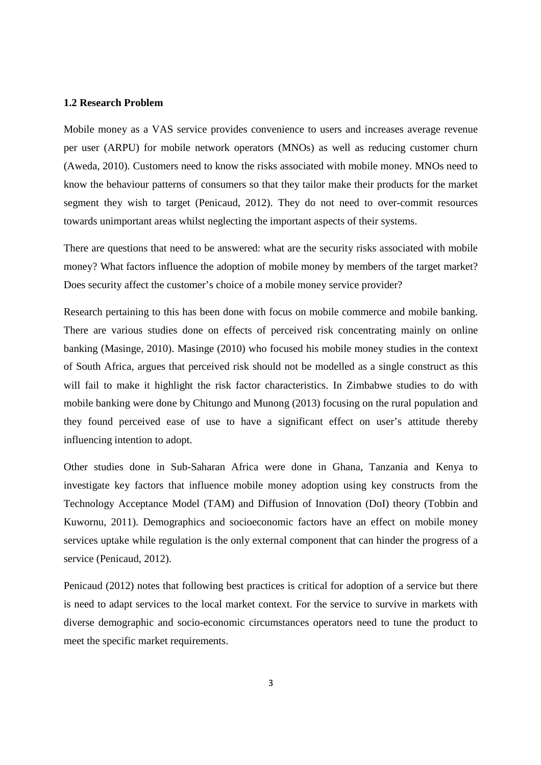#### **1.2 Research Problem**

Mobile money as a VAS service provides convenience to users and increases average revenue per user (ARPU) for mobile network operators (MNOs) as well as reducing customer churn (Aweda, 2010). Customers need to know the risks associated with mobile money. MNOs need to know the behaviour patterns of consumers so that they tailor make their products for the market segment they wish to target (Penicaud, 2012). They do not need to over-commit resources towards unimportant areas whilst neglecting the important aspects of their systems.

There are questions that need to be answered: what are the security risks associated with mobile money? What factors influence the adoption of mobile money by members of the target market? Does security affect the customer's choice of a mobile money service provider?

Research pertaining to this has been done with focus on mobile commerce and mobile banking. There are various studies done on effects of perceived risk concentrating mainly on online banking (Masinge, 2010). Masinge (2010) who focused his mobile money studies in the context of South Africa, argues that perceived risk should not be modelled as a single construct as this will fail to make it highlight the risk factor characteristics. In Zimbabwe studies to do with mobile banking were done by Chitungo and Munong (2013) focusing on the rural population and they found perceived ease of use to have a significant effect on user's attitude thereby influencing intention to adopt.

Other studies done in Sub-Saharan Africa were done in Ghana, Tanzania and Kenya to investigate key factors that influence mobile money adoption using key constructs from the Technology Acceptance Model (TAM) and Diffusion of Innovation (DoI) theory (Tobbin and Kuwornu, 2011). Demographics and socioeconomic factors have an effect on mobile money services uptake while regulation is the only external component that can hinder the progress of a service (Penicaud, 2012).

Penicaud (2012) notes that following best practices is critical for adoption of a service but there is need to adapt services to the local market context. For the service to survive in markets with diverse demographic and socio-economic circumstances operators need to tune the product to meet the specific market requirements.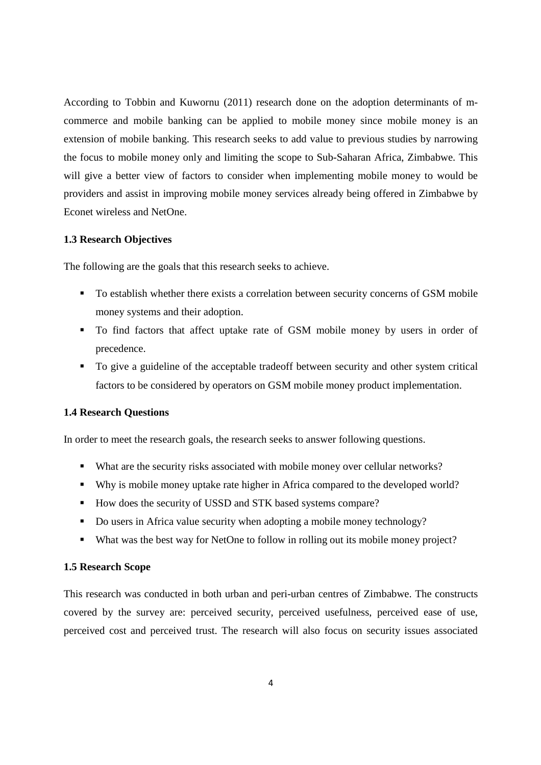According to Tobbin and Kuwornu (2011) research done on the adoption determinants of mcommerce and mobile banking can be applied to mobile money since mobile money is an extension of mobile banking. This research seeks to add value to previous studies by narrowing the focus to mobile money only and limiting the scope to Sub-Saharan Africa, Zimbabwe. This will give a better view of factors to consider when implementing mobile money to would be providers and assist in improving mobile money services already being offered in Zimbabwe by Econet wireless and NetOne.

#### **1.3 Research Objectives**

The following are the goals that this research seeks to achieve.

- To establish whether there exists a correlation between security concerns of GSM mobile money systems and their adoption.
- To find factors that affect uptake rate of GSM mobile money by users in order of precedence.
- To give a guideline of the acceptable tradeoff between security and other system critical factors to be considered by operators on GSM mobile money product implementation.

#### **1.4 Research Questions**

In order to meet the research goals, the research seeks to answer following questions.

- What are the security risks associated with mobile money over cellular networks?
- Why is mobile money uptake rate higher in Africa compared to the developed world?
- How does the security of USSD and STK based systems compare?
- Do users in Africa value security when adopting a mobile money technology?
- What was the best way for NetOne to follow in rolling out its mobile money project?

#### **1.5 Research Scope**

This research was conducted in both urban and peri-urban centres of Zimbabwe. The constructs covered by the survey are: perceived security, perceived usefulness, perceived ease of use, perceived cost and perceived trust. The research will also focus on security issues associated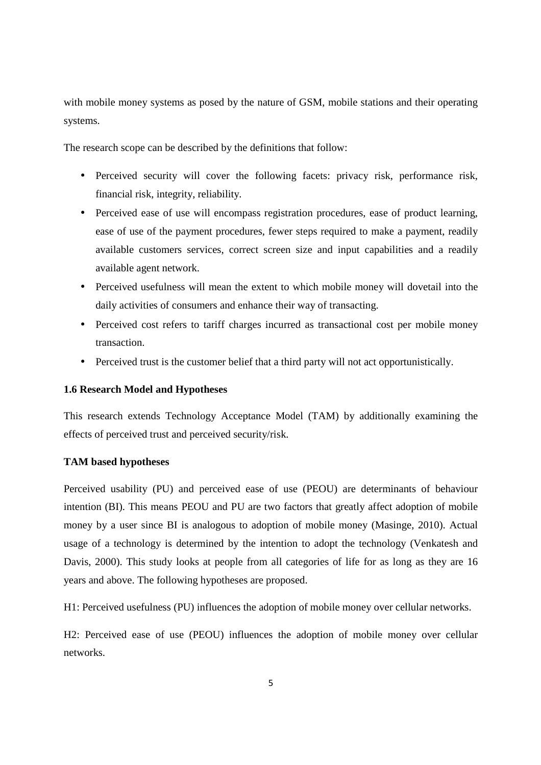with mobile money systems as posed by the nature of GSM, mobile stations and their operating systems.

The research scope can be described by the definitions that follow:

- Perceived security will cover the following facets: privacy risk, performance risk, financial risk, integrity, reliability.
- Perceived ease of use will encompass registration procedures, ease of product learning, ease of use of the payment procedures, fewer steps required to make a payment, readily available customers services, correct screen size and input capabilities and a readily available agent network.
- Perceived usefulness will mean the extent to which mobile money will dovetail into the daily activities of consumers and enhance their way of transacting.
- Perceived cost refers to tariff charges incurred as transactional cost per mobile money transaction.
- Perceived trust is the customer belief that a third party will not act opportunistically.

#### **1.6 Research Model and Hypotheses**

This research extends Technology Acceptance Model (TAM) by additionally examining the effects of perceived trust and perceived security/risk.

#### **TAM based hypotheses**

Perceived usability (PU) and perceived ease of use (PEOU) are determinants of behaviour intention (BI). This means PEOU and PU are two factors that greatly affect adoption of mobile money by a user since BI is analogous to adoption of mobile money (Masinge, 2010). Actual usage of a technology is determined by the intention to adopt the technology (Venkatesh and Davis, 2000). This study looks at people from all categories of life for as long as they are 16 years and above. The following hypotheses are proposed.

H1: Perceived usefulness (PU) influences the adoption of mobile money over cellular networks.

H2: Perceived ease of use (PEOU) influences the adoption of mobile money over cellular networks.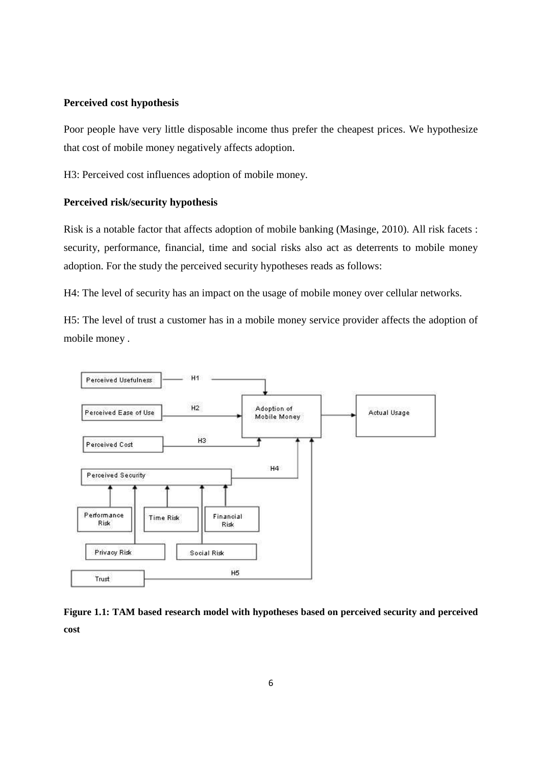#### **Perceived cost hypothesis**

Poor people have very little disposable income thus prefer the cheapest prices. We hypothesize that cost of mobile money negatively affects adoption.

H3: Perceived cost influences adoption of mobile money.

### **Perceived risk/security hypothesis**

Risk is a notable factor that affects adoption of mobile banking (Masinge, 2010). All risk facets : security, performance, financial, time and social risks also act as deterrents to mobile money adoption. For the study the perceived security hypotheses reads as follows:

H4: The level of security has an impact on the usage of mobile money over cellular networks.

H5: The level of trust a customer has in a mobile money service provider affects the adoption of mobile money .



**Figure 1.1: TAM based research model with hypotheses based on perceived security and perceived cost**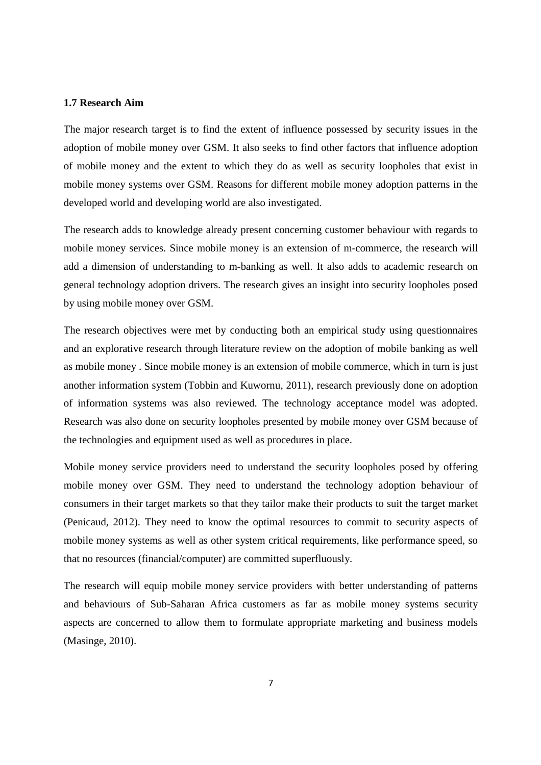#### **1.7 Research Aim**

The major research target is to find the extent of influence possessed by security issues in the adoption of mobile money over GSM. It also seeks to find other factors that influence adoption of mobile money and the extent to which they do as well as security loopholes that exist in mobile money systems over GSM. Reasons for different mobile money adoption patterns in the developed world and developing world are also investigated.

The research adds to knowledge already present concerning customer behaviour with regards to mobile money services. Since mobile money is an extension of m-commerce, the research will add a dimension of understanding to m-banking as well. It also adds to academic research on general technology adoption drivers. The research gives an insight into security loopholes posed by using mobile money over GSM.

The research objectives were met by conducting both an empirical study using questionnaires and an explorative research through literature review on the adoption of mobile banking as well as mobile money . Since mobile money is an extension of mobile commerce, which in turn is just another information system (Tobbin and Kuwornu, 2011), research previously done on adoption of information systems was also reviewed. The technology acceptance model was adopted. Research was also done on security loopholes presented by mobile money over GSM because of the technologies and equipment used as well as procedures in place.

Mobile money service providers need to understand the security loopholes posed by offering mobile money over GSM. They need to understand the technology adoption behaviour of consumers in their target markets so that they tailor make their products to suit the target market (Penicaud, 2012). They need to know the optimal resources to commit to security aspects of mobile money systems as well as other system critical requirements, like performance speed, so that no resources (financial/computer) are committed superfluously.

The research will equip mobile money service providers with better understanding of patterns and behaviours of Sub-Saharan Africa customers as far as mobile money systems security aspects are concerned to allow them to formulate appropriate marketing and business models (Masinge, 2010).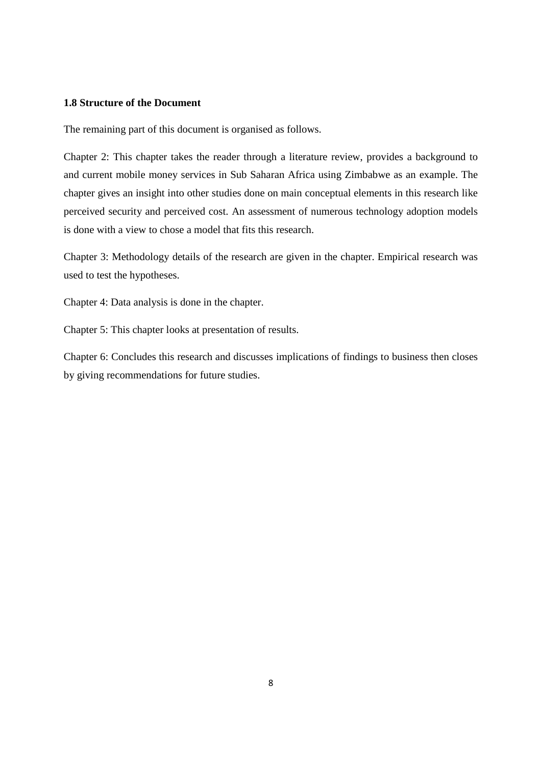#### **1.8 Structure of the Document**

The remaining part of this document is organised as follows.

Chapter 2: This chapter takes the reader through a literature review, provides a background to and current mobile money services in Sub Saharan Africa using Zimbabwe as an example. The chapter gives an insight into other studies done on main conceptual elements in this research like perceived security and perceived cost. An assessment of numerous technology adoption models is done with a view to chose a model that fits this research.

Chapter 3: Methodology details of the research are given in the chapter. Empirical research was used to test the hypotheses.

Chapter 4: Data analysis is done in the chapter.

Chapter 5: This chapter looks at presentation of results.

Chapter 6: Concludes this research and discusses implications of findings to business then closes by giving recommendations for future studies.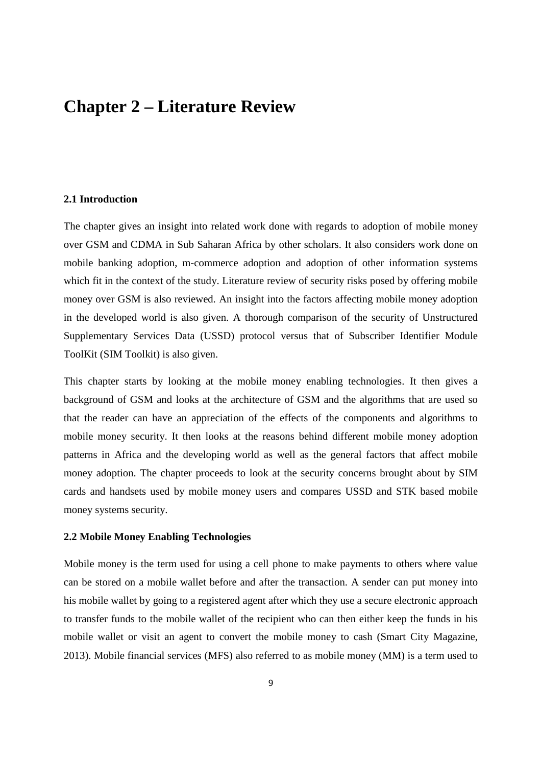# **Chapter 2 – Literature Review**

#### **2.1 Introduction**

The chapter gives an insight into related work done with regards to adoption of mobile money over GSM and CDMA in Sub Saharan Africa by other scholars. It also considers work done on mobile banking adoption, m-commerce adoption and adoption of other information systems which fit in the context of the study. Literature review of security risks posed by offering mobile money over GSM is also reviewed. An insight into the factors affecting mobile money adoption in the developed world is also given. A thorough comparison of the security of Unstructured Supplementary Services Data (USSD) protocol versus that of Subscriber Identifier Module ToolKit (SIM Toolkit) is also given.

This chapter starts by looking at the mobile money enabling technologies. It then gives a background of GSM and looks at the architecture of GSM and the algorithms that are used so that the reader can have an appreciation of the effects of the components and algorithms to mobile money security. It then looks at the reasons behind different mobile money adoption patterns in Africa and the developing world as well as the general factors that affect mobile money adoption. The chapter proceeds to look at the security concerns brought about by SIM cards and handsets used by mobile money users and compares USSD and STK based mobile money systems security.

#### **2.2 Mobile Money Enabling Technologies**

Mobile money is the term used for using a cell phone to make payments to others where value can be stored on a mobile wallet before and after the transaction. A sender can put money into his mobile wallet by going to a registered agent after which they use a secure electronic approach to transfer funds to the mobile wallet of the recipient who can then either keep the funds in his mobile wallet or visit an agent to convert the mobile money to cash (Smart City Magazine, 2013). Mobile financial services (MFS) also referred to as mobile money (MM) is a term used to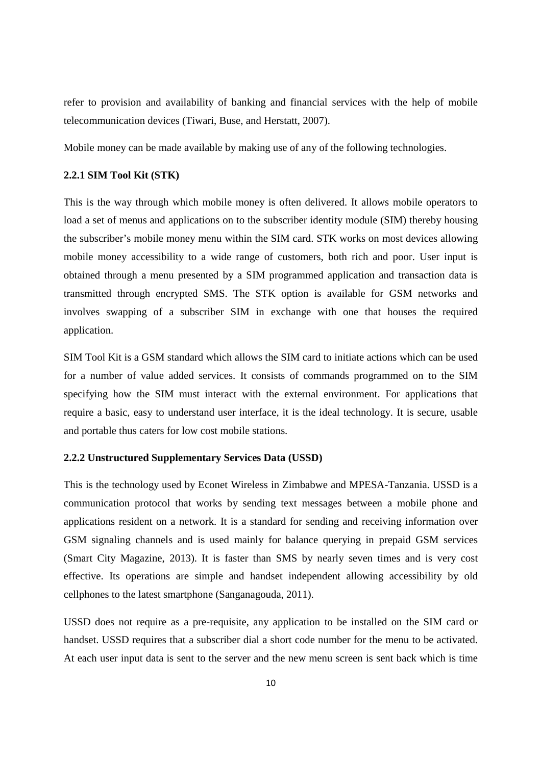refer to provision and availability of banking and financial services with the help of mobile telecommunication devices (Tiwari, Buse, and Herstatt, 2007).

Mobile money can be made available by making use of any of the following technologies.

#### **2.2.1 SIM Tool Kit (STK)**

This is the way through which mobile money is often delivered. It allows mobile operators to load a set of menus and applications on to the subscriber identity module (SIM) thereby housing the subscriber's mobile money menu within the SIM card. STK works on most devices allowing mobile money accessibility to a wide range of customers, both rich and poor. User input is obtained through a menu presented by a SIM programmed application and transaction data is transmitted through encrypted SMS. The STK option is available for GSM networks and involves swapping of a subscriber SIM in exchange with one that houses the required application.

SIM Tool Kit is a GSM standard which allows the SIM card to initiate actions which can be used for a number of value added services. It consists of commands programmed on to the SIM specifying how the SIM must interact with the external environment. For applications that require a basic, easy to understand user interface, it is the ideal technology. It is secure, usable and portable thus caters for low cost mobile stations.

#### **2.2.2 Unstructured Supplementary Services Data (USSD)**

This is the technology used by Econet Wireless in Zimbabwe and MPESA-Tanzania. USSD is a communication protocol that works by sending text messages between a mobile phone and applications resident on a network. It is a standard for sending and receiving information over GSM signaling channels and is used mainly for balance querying in prepaid GSM services (Smart City Magazine, 2013). It is faster than SMS by nearly seven times and is very cost effective. Its operations are simple and handset independent allowing accessibility by old cellphones to the latest smartphone (Sanganagouda, 2011).

USSD does not require as a pre-requisite, any application to be installed on the SIM card or handset. USSD requires that a subscriber dial a short code number for the menu to be activated. At each user input data is sent to the server and the new menu screen is sent back which is time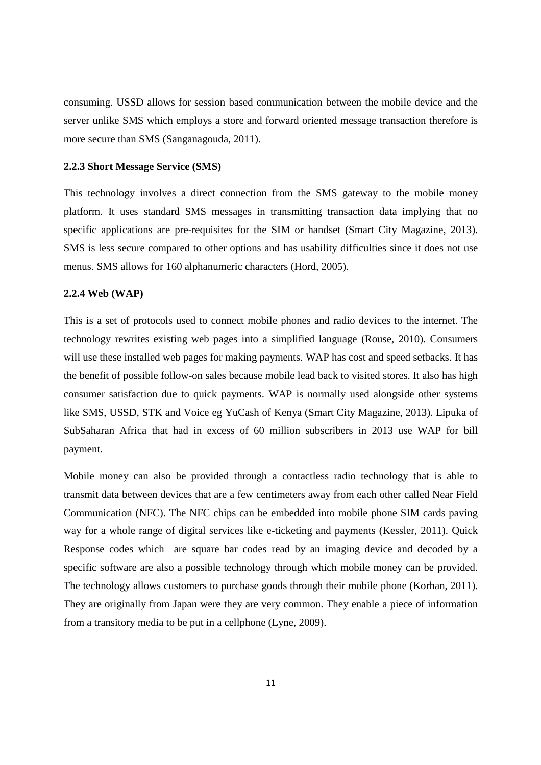consuming. USSD allows for session based communication between the mobile device and the server unlike SMS which employs a store and forward oriented message transaction therefore is more secure than SMS (Sanganagouda, 2011).

#### **2.2.3 Short Message Service (SMS)**

This technology involves a direct connection from the SMS gateway to the mobile money platform. It uses standard SMS messages in transmitting transaction data implying that no specific applications are pre-requisites for the SIM or handset (Smart City Magazine, 2013). SMS is less secure compared to other options and has usability difficulties since it does not use menus. SMS allows for 160 alphanumeric characters (Hord, 2005).

#### **2.2.4 Web (WAP)**

This is a set of protocols used to connect mobile phones and radio devices to the internet. The technology rewrites existing web pages into a simplified language (Rouse, 2010). Consumers will use these installed web pages for making payments. WAP has cost and speed setbacks. It has the benefit of possible follow-on sales because mobile lead back to visited stores. It also has high consumer satisfaction due to quick payments. WAP is normally used alongside other systems like SMS, USSD, STK and Voice eg YuCash of Kenya (Smart City Magazine, 2013). Lipuka of SubSaharan Africa that had in excess of 60 million subscribers in 2013 use WAP for bill payment.

Mobile money can also be provided through a contactless radio technology that is able to transmit data between devices that are a few centimeters away from each other called Near Field Communication (NFC). The NFC chips can be embedded into mobile phone SIM cards paving way for a whole range of digital services like e-ticketing and payments (Kessler, 2011). Quick Response codes which are square bar codes read by an imaging device and decoded by a specific software are also a possible technology through which mobile money can be provided. The technology allows customers to purchase goods through their mobile phone (Korhan, 2011). They are originally from Japan were they are very common. They enable a piece of information from a transitory media to be put in a cellphone (Lyne, 2009).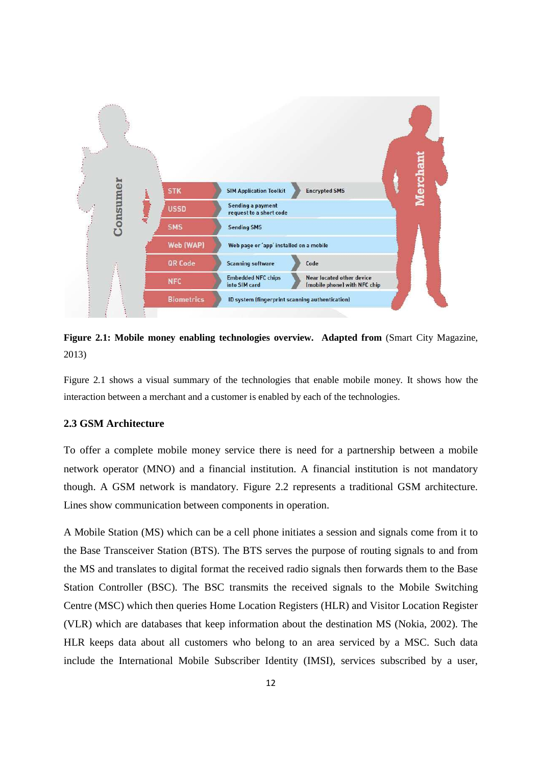



Figure 2.1 shows a visual summary of the technologies that enable mobile money. It shows how the interaction between a merchant and a customer is enabled by each of the technologies.

#### **2.3 GSM Architecture**

To offer a complete mobile money service there is need for a partnership between a mobile network operator (MNO) and a financial institution. A financial institution is not mandatory though. A GSM network is mandatory. Figure 2.2 represents a traditional GSM architecture. Lines show communication between components in operation.

A Mobile Station (MS) which can be a cell phone initiates a session and signals come from it to the Base Transceiver Station (BTS). The BTS serves the purpose of routing signals to and from the MS and translates to digital format the received radio signals then forwards them to the Base Station Controller (BSC). The BSC transmits the received signals to the Mobile Switching Centre (MSC) which then queries Home Location Registers (HLR) and Visitor Location Register (VLR) which are databases that keep information about the destination MS (Nokia, 2002). The HLR keeps data about all customers who belong to an area serviced by a MSC. Such data include the International Mobile Subscriber Identity (IMSI), services subscribed by a user,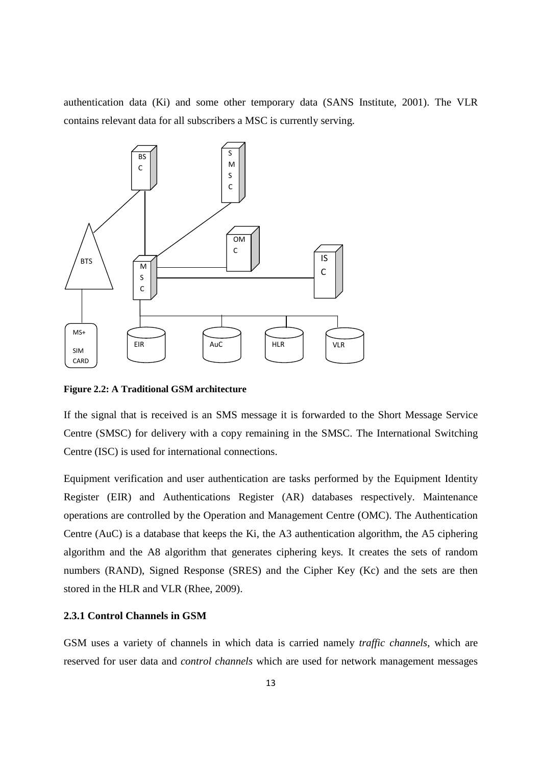authentication data (Ki) and some other temporary data (SANS Institute, 2001). The VLR contains relevant data for all subscribers a MSC is currently serving.



**Figure 2.2: A Traditional GSM architecture** 

If the signal that is received is an SMS message it is forwarded to the Short Message Service Centre (SMSC) for delivery with a copy remaining in the SMSC. The International Switching Centre (ISC) is used for international connections.

Equipment verification and user authentication are tasks performed by the Equipment Identity Register (EIR) and Authentications Register (AR) databases respectively. Maintenance operations are controlled by the Operation and Management Centre (OMC). The Authentication Centre (AuC) is a database that keeps the Ki, the A3 authentication algorithm, the A5 ciphering algorithm and the A8 algorithm that generates ciphering keys. It creates the sets of random numbers (RAND), Signed Response (SRES) and the Cipher Key (Kc) and the sets are then stored in the HLR and VLR (Rhee, 2009).

### **2.3.1 Control Channels in GSM**

GSM uses a variety of channels in which data is carried namely *traffic channels*, which are reserved for user data and *control channels* which are used for network management messages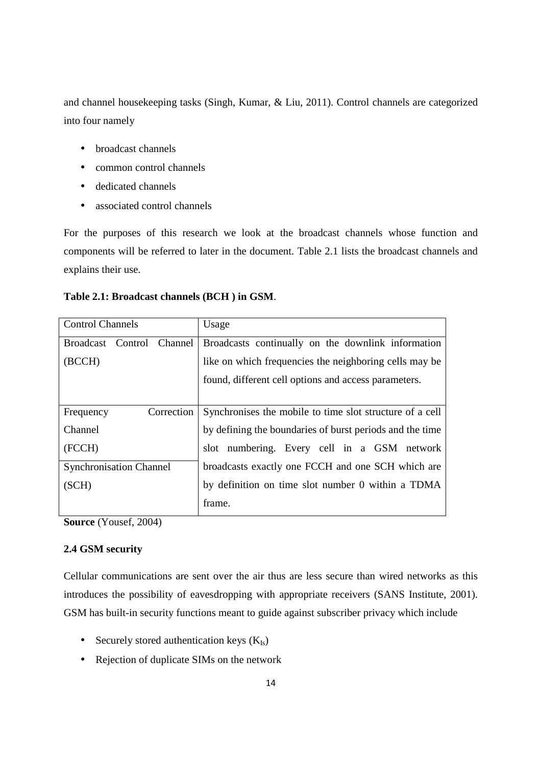and channel housekeeping tasks (Singh, Kumar, & Liu, 2011). Control channels are categorized into four namely

- broadcast channels
- common control channels
- dedicated channels
- associated control channels

For the purposes of this research we look at the broadcast channels whose function and components will be referred to later in the document. Table 2.1 lists the broadcast channels and explains their use.

| Usage                                                                           |
|---------------------------------------------------------------------------------|
| Broadcasts continually on the downlink information<br>Broadcast Control Channel |
| like on which frequencies the neighboring cells may be                          |
| found, different cell options and access parameters.                            |
|                                                                                 |
| Synchronises the mobile to time slot structure of a cell                        |
| by defining the boundaries of burst periods and the time                        |
| slot numbering. Every cell in a GSM network                                     |
| broadcasts exactly one FCCH and one SCH which are                               |
| by definition on time slot number 0 within a TDMA                               |
| frame.                                                                          |
|                                                                                 |

### **Table 2.1: Broadcast channels (BCH ) in GSM**.

**Source** (Yousef, 2004)

## **2.4 GSM security**

Cellular communications are sent over the air thus are less secure than wired networks as this introduces the possibility of eavesdropping with appropriate receivers (SANS Institute, 2001). GSM has built-in security functions meant to guide against subscriber privacy which include

- Securely stored authentication keys  $(K_{Is})$
- Rejection of duplicate SIMs on the network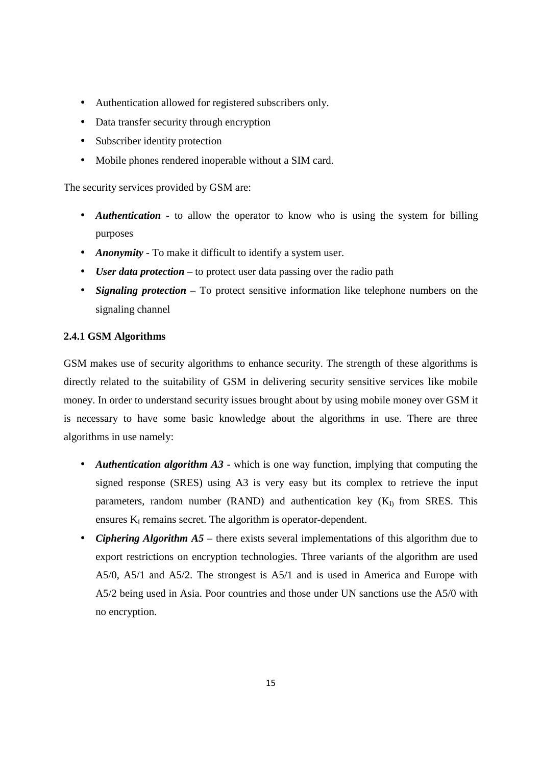- Authentication allowed for registered subscribers only.
- Data transfer security through encryption
- Subscriber identity protection
- Mobile phones rendered inoperable without a SIM card.

The security services provided by GSM are:

- *Authentication*  to allow the operator to know who is using the system for billing purposes
- *Anonymity* To make it difficult to identify a system user.
- *User data protection* to protect user data passing over the radio path
- *Signaling protection* To protect sensitive information like telephone numbers on the signaling channel

#### **2.4.1 GSM Algorithms**

GSM makes use of security algorithms to enhance security. The strength of these algorithms is directly related to the suitability of GSM in delivering security sensitive services like mobile money. In order to understand security issues brought about by using mobile money over GSM it is necessary to have some basic knowledge about the algorithms in use. There are three algorithms in use namely:

- *Authentication algorithm A3* which is one way function, implying that computing the signed response (SRES) using A3 is very easy but its complex to retrieve the input parameters, random number (RAND) and authentication key  $(K<sub>D</sub>)$  from SRES. This ensures  $K_I$  remains secret. The algorithm is operator-dependent.
- *Ciphering Algorithm A5* there exists several implementations of this algorithm due to export restrictions on encryption technologies. Three variants of the algorithm are used A5/0, A5/1 and A5/2. The strongest is A5/1 and is used in America and Europe with A5/2 being used in Asia. Poor countries and those under UN sanctions use the A5/0 with no encryption.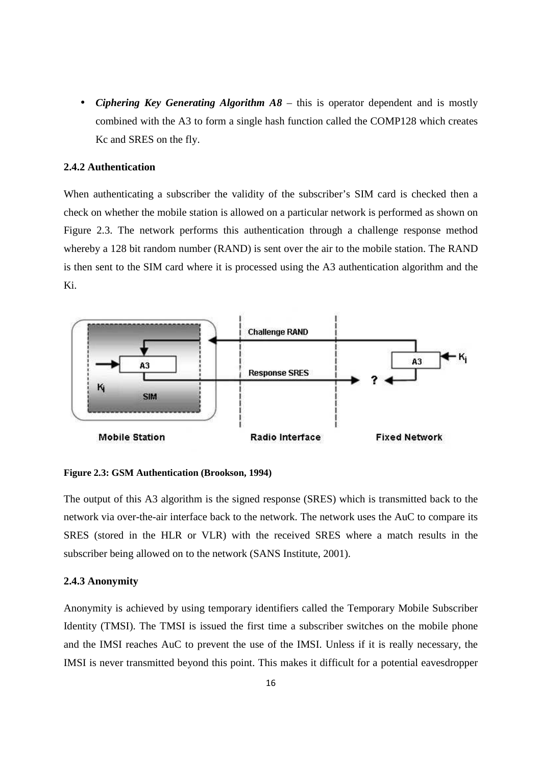• *Ciphering Key Generating Algorithm A8* – this is operator dependent and is mostly combined with the A3 to form a single hash function called the COMP128 which creates Kc and SRES on the fly.

## **2.4.2 Authentication**

When authenticating a subscriber the validity of the subscriber's SIM card is checked then a check on whether the mobile station is allowed on a particular network is performed as shown on Figure 2.3. The network performs this authentication through a challenge response method whereby a 128 bit random number (RAND) is sent over the air to the mobile station. The RAND is then sent to the SIM card where it is processed using the A3 authentication algorithm and the Ki.



#### **Figure 2.3: GSM Authentication (Brookson, 1994)**

The output of this A3 algorithm is the signed response (SRES) which is transmitted back to the network via over-the-air interface back to the network. The network uses the AuC to compare its SRES (stored in the HLR or VLR) with the received SRES where a match results in the subscriber being allowed on to the network (SANS Institute, 2001).

#### **2.4.3 Anonymity**

Anonymity is achieved by using temporary identifiers called the Temporary Mobile Subscriber Identity (TMSI). The TMSI is issued the first time a subscriber switches on the mobile phone and the IMSI reaches AuC to prevent the use of the IMSI. Unless if it is really necessary, the IMSI is never transmitted beyond this point. This makes it difficult for a potential eavesdropper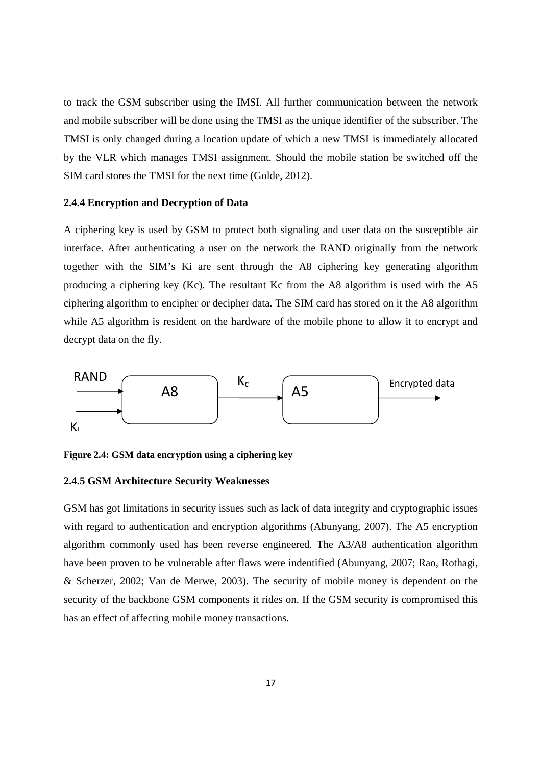to track the GSM subscriber using the IMSI. All further communication between the network and mobile subscriber will be done using the TMSI as the unique identifier of the subscriber. The TMSI is only changed during a location update of which a new TMSI is immediately allocated by the VLR which manages TMSI assignment. Should the mobile station be switched off the SIM card stores the TMSI for the next time (Golde, 2012).

#### **2.4.4 Encryption and Decryption of Data**

A ciphering key is used by GSM to protect both signaling and user data on the susceptible air interface. After authenticating a user on the network the RAND originally from the network together with the SIM's Ki are sent through the A8 ciphering key generating algorithm producing a ciphering key (Kc). The resultant Kc from the A8 algorithm is used with the A5 ciphering algorithm to encipher or decipher data. The SIM card has stored on it the A8 algorithm while A5 algorithm is resident on the hardware of the mobile phone to allow it to encrypt and decrypt data on the fly.



**Figure 2.4: GSM data encryption using a ciphering key** 

#### **2.4.5 GSM Architecture Security Weaknesses**

GSM has got limitations in security issues such as lack of data integrity and cryptographic issues with regard to authentication and encryption algorithms (Abunyang, 2007). The A5 encryption algorithm commonly used has been reverse engineered. The A3/A8 authentication algorithm have been proven to be vulnerable after flaws were indentified (Abunyang, 2007; Rao, Rothagi, & Scherzer, 2002; Van de Merwe, 2003). The security of mobile money is dependent on the security of the backbone GSM components it rides on. If the GSM security is compromised this has an effect of affecting mobile money transactions.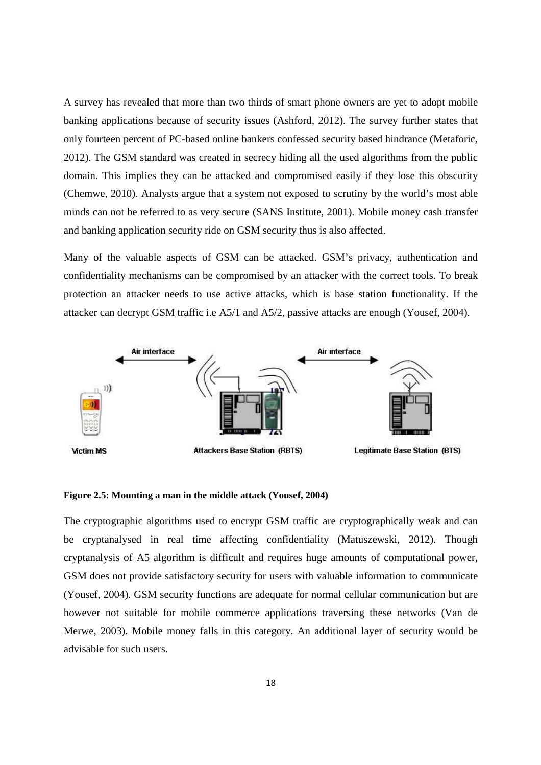A survey has revealed that more than two thirds of smart phone owners are yet to adopt mobile banking applications because of security issues (Ashford, 2012). The survey further states that only fourteen percent of PC-based online bankers confessed security based hindrance (Metaforic, 2012). The GSM standard was created in secrecy hiding all the used algorithms from the public domain. This implies they can be attacked and compromised easily if they lose this obscurity (Chemwe, 2010). Analysts argue that a system not exposed to scrutiny by the world's most able minds can not be referred to as very secure (SANS Institute, 2001). Mobile money cash transfer and banking application security ride on GSM security thus is also affected.

Many of the valuable aspects of GSM can be attacked. GSM's privacy, authentication and confidentiality mechanisms can be compromised by an attacker with the correct tools. To break protection an attacker needs to use active attacks, which is base station functionality. If the attacker can decrypt GSM traffic i.e A5/1 and A5/2, passive attacks are enough (Yousef, 2004).



#### **Figure 2.5: Mounting a man in the middle attack (Yousef, 2004)**

The cryptographic algorithms used to encrypt GSM traffic are cryptographically weak and can be cryptanalysed in real time affecting confidentiality (Matuszewski, 2012). Though cryptanalysis of A5 algorithm is difficult and requires huge amounts of computational power, GSM does not provide satisfactory security for users with valuable information to communicate (Yousef, 2004). GSM security functions are adequate for normal cellular communication but are however not suitable for mobile commerce applications traversing these networks (Van de Merwe, 2003). Mobile money falls in this category. An additional layer of security would be advisable for such users.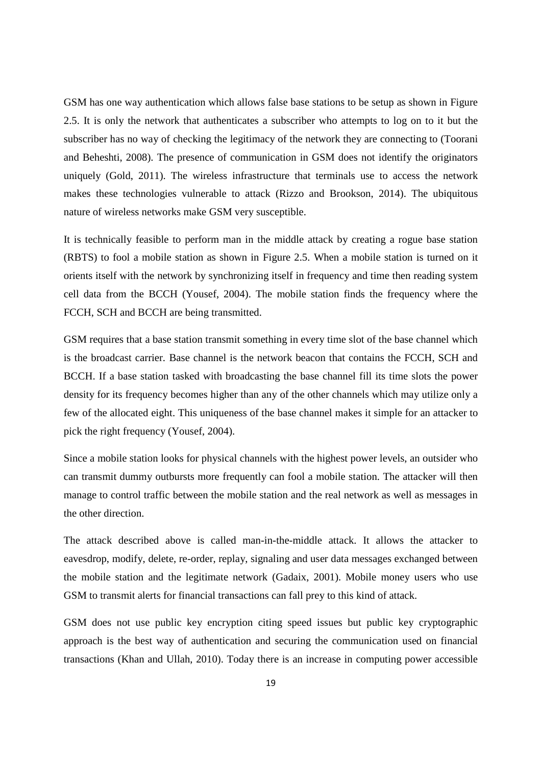GSM has one way authentication which allows false base stations to be setup as shown in Figure 2.5. It is only the network that authenticates a subscriber who attempts to log on to it but the subscriber has no way of checking the legitimacy of the network they are connecting to (Toorani and Beheshti, 2008). The presence of communication in GSM does not identify the originators uniquely (Gold, 2011). The wireless infrastructure that terminals use to access the network makes these technologies vulnerable to attack (Rizzo and Brookson, 2014). The ubiquitous nature of wireless networks make GSM very susceptible.

It is technically feasible to perform man in the middle attack by creating a rogue base station (RBTS) to fool a mobile station as shown in Figure 2.5. When a mobile station is turned on it orients itself with the network by synchronizing itself in frequency and time then reading system cell data from the BCCH (Yousef, 2004). The mobile station finds the frequency where the FCCH, SCH and BCCH are being transmitted.

GSM requires that a base station transmit something in every time slot of the base channel which is the broadcast carrier. Base channel is the network beacon that contains the FCCH, SCH and BCCH. If a base station tasked with broadcasting the base channel fill its time slots the power density for its frequency becomes higher than any of the other channels which may utilize only a few of the allocated eight. This uniqueness of the base channel makes it simple for an attacker to pick the right frequency (Yousef, 2004).

Since a mobile station looks for physical channels with the highest power levels, an outsider who can transmit dummy outbursts more frequently can fool a mobile station. The attacker will then manage to control traffic between the mobile station and the real network as well as messages in the other direction.

The attack described above is called man-in-the-middle attack. It allows the attacker to eavesdrop, modify, delete, re-order, replay, signaling and user data messages exchanged between the mobile station and the legitimate network (Gadaix, 2001). Mobile money users who use GSM to transmit alerts for financial transactions can fall prey to this kind of attack.

GSM does not use public key encryption citing speed issues but public key cryptographic approach is the best way of authentication and securing the communication used on financial transactions (Khan and Ullah, 2010). Today there is an increase in computing power accessible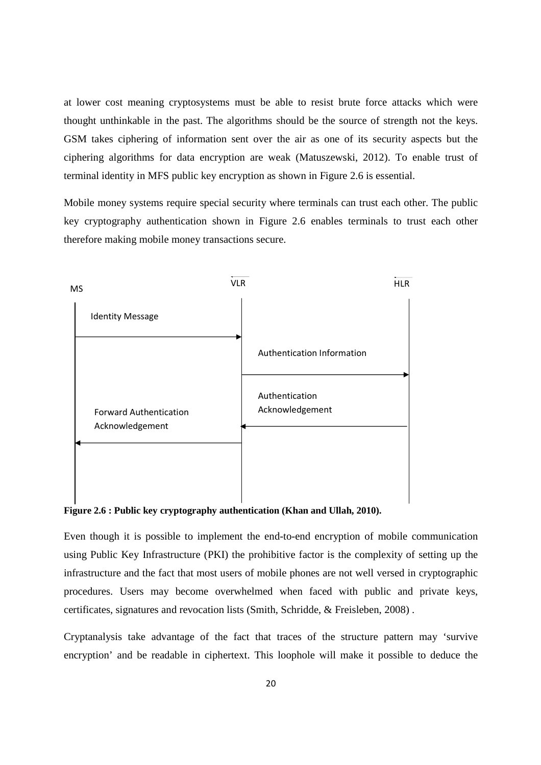at lower cost meaning cryptosystems must be able to resist brute force attacks which were thought unthinkable in the past. The algorithms should be the source of strength not the keys. GSM takes ciphering of information sent over the air as one of its security aspects but the ciphering algorithms for data encryption are weak (Matuszewski, 2012). To enable trust of terminal identity in MFS public key encryption as shown in Figure 2.6 is essential.

Mobile money systems require special security where terminals can trust each other. The public key cryptography authentication shown in Figure 2.6 enables terminals to trust each other therefore making mobile money transactions secure.



**Figure 2.6 : Public key cryptography authentication (Khan and Ullah, 2010).** 

Even though it is possible to implement the end-to-end encryption of mobile communication using Public Key Infrastructure (PKI) the prohibitive factor is the complexity of setting up the infrastructure and the fact that most users of mobile phones are not well versed in cryptographic procedures. Users may become overwhelmed when faced with public and private keys, certificates, signatures and revocation lists (Smith, Schridde, & Freisleben, 2008) .

Cryptanalysis take advantage of the fact that traces of the structure pattern may 'survive encryption' and be readable in ciphertext. This loophole will make it possible to deduce the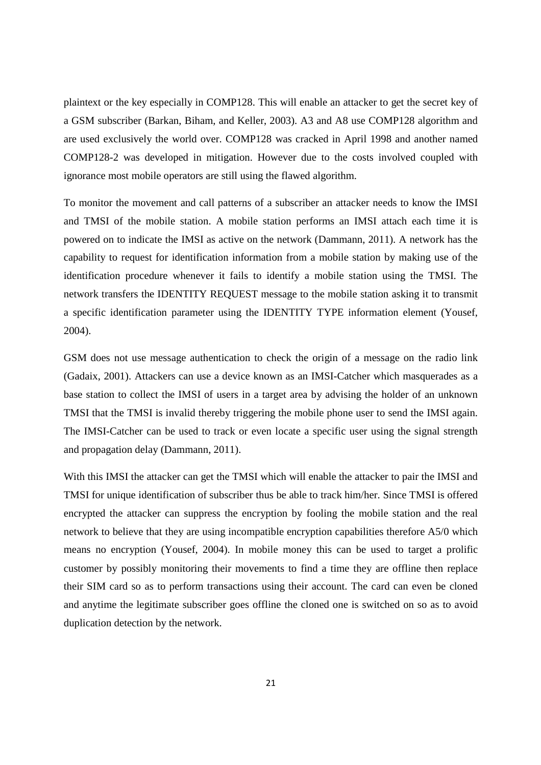plaintext or the key especially in COMP128. This will enable an attacker to get the secret key of a GSM subscriber (Barkan, Biham, and Keller, 2003). A3 and A8 use COMP128 algorithm and are used exclusively the world over. COMP128 was cracked in April 1998 and another named COMP128-2 was developed in mitigation. However due to the costs involved coupled with ignorance most mobile operators are still using the flawed algorithm.

To monitor the movement and call patterns of a subscriber an attacker needs to know the IMSI and TMSI of the mobile station. A mobile station performs an IMSI attach each time it is powered on to indicate the IMSI as active on the network (Dammann, 2011). A network has the capability to request for identification information from a mobile station by making use of the identification procedure whenever it fails to identify a mobile station using the TMSI. The network transfers the IDENTITY REQUEST message to the mobile station asking it to transmit a specific identification parameter using the IDENTITY TYPE information element (Yousef, 2004).

GSM does not use message authentication to check the origin of a message on the radio link (Gadaix, 2001). Attackers can use a device known as an IMSI-Catcher which masquerades as a base station to collect the IMSI of users in a target area by advising the holder of an unknown TMSI that the TMSI is invalid thereby triggering the mobile phone user to send the IMSI again. The IMSI-Catcher can be used to track or even locate a specific user using the signal strength and propagation delay (Dammann, 2011).

With this IMSI the attacker can get the TMSI which will enable the attacker to pair the IMSI and TMSI for unique identification of subscriber thus be able to track him/her. Since TMSI is offered encrypted the attacker can suppress the encryption by fooling the mobile station and the real network to believe that they are using incompatible encryption capabilities therefore A5/0 which means no encryption (Yousef, 2004). In mobile money this can be used to target a prolific customer by possibly monitoring their movements to find a time they are offline then replace their SIM card so as to perform transactions using their account. The card can even be cloned and anytime the legitimate subscriber goes offline the cloned one is switched on so as to avoid duplication detection by the network.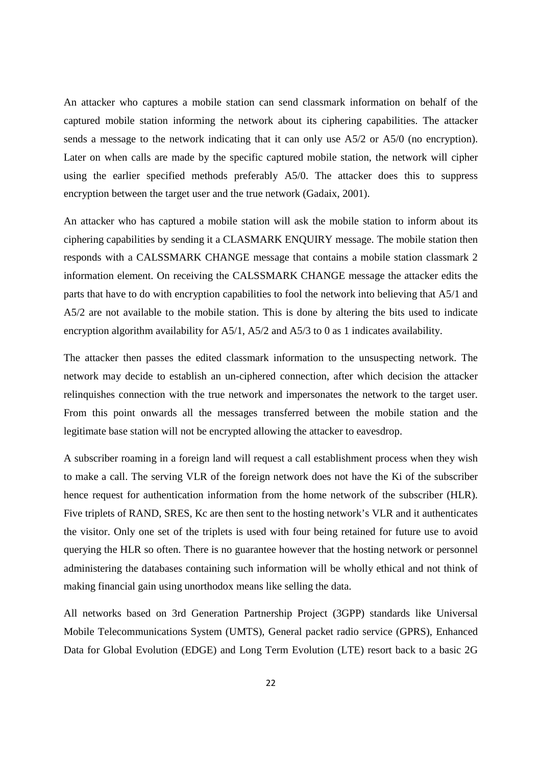An attacker who captures a mobile station can send classmark information on behalf of the captured mobile station informing the network about its ciphering capabilities. The attacker sends a message to the network indicating that it can only use A5/2 or A5/0 (no encryption). Later on when calls are made by the specific captured mobile station, the network will cipher using the earlier specified methods preferably A5/0. The attacker does this to suppress encryption between the target user and the true network (Gadaix, 2001).

An attacker who has captured a mobile station will ask the mobile station to inform about its ciphering capabilities by sending it a CLASMARK ENQUIRY message. The mobile station then responds with a CALSSMARK CHANGE message that contains a mobile station classmark 2 information element. On receiving the CALSSMARK CHANGE message the attacker edits the parts that have to do with encryption capabilities to fool the network into believing that A5/1 and A5/2 are not available to the mobile station. This is done by altering the bits used to indicate encryption algorithm availability for A5/1, A5/2 and A5/3 to 0 as 1 indicates availability.

The attacker then passes the edited classmark information to the unsuspecting network. The network may decide to establish an un-ciphered connection, after which decision the attacker relinquishes connection with the true network and impersonates the network to the target user. From this point onwards all the messages transferred between the mobile station and the legitimate base station will not be encrypted allowing the attacker to eavesdrop.

A subscriber roaming in a foreign land will request a call establishment process when they wish to make a call. The serving VLR of the foreign network does not have the Ki of the subscriber hence request for authentication information from the home network of the subscriber (HLR). Five triplets of RAND, SRES, Kc are then sent to the hosting network's VLR and it authenticates the visitor. Only one set of the triplets is used with four being retained for future use to avoid querying the HLR so often. There is no guarantee however that the hosting network or personnel administering the databases containing such information will be wholly ethical and not think of making financial gain using unorthodox means like selling the data.

All networks based on 3rd Generation Partnership Project (3GPP) standards like Universal Mobile Telecommunications System (UMTS), General packet radio service (GPRS), Enhanced Data for Global Evolution (EDGE) and Long Term Evolution (LTE) resort back to a basic 2G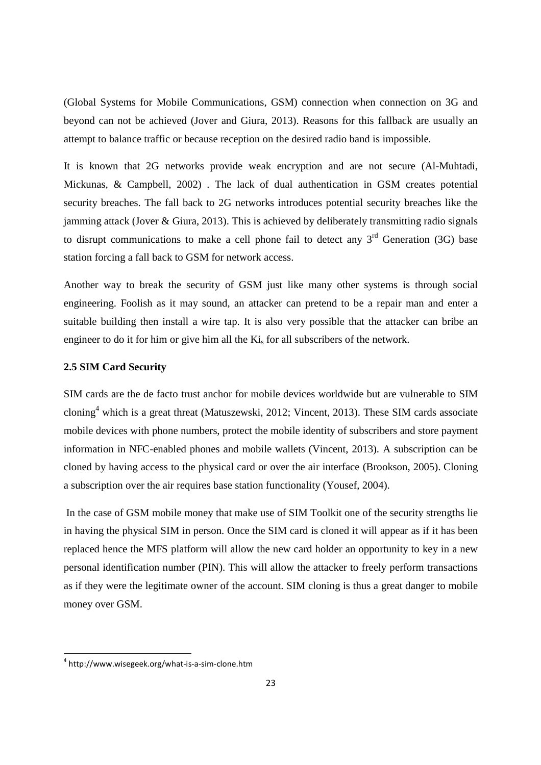(Global Systems for Mobile Communications, GSM) connection when connection on 3G and beyond can not be achieved (Jover and Giura, 2013). Reasons for this fallback are usually an attempt to balance traffic or because reception on the desired radio band is impossible.

It is known that 2G networks provide weak encryption and are not secure (Al-Muhtadi, Mickunas, & Campbell, 2002) . The lack of dual authentication in GSM creates potential security breaches. The fall back to 2G networks introduces potential security breaches like the jamming attack (Jover & Giura, 2013). This is achieved by deliberately transmitting radio signals to disrupt communications to make a cell phone fail to detect any  $3<sup>rd</sup>$  Generation (3G) base station forcing a fall back to GSM for network access.

Another way to break the security of GSM just like many other systems is through social engineering. Foolish as it may sound, an attacker can pretend to be a repair man and enter a suitable building then install a wire tap. It is also very possible that the attacker can bribe an engineer to do it for him or give him all the  $Ki<sub>s</sub>$  for all subscribers of the network.

#### **2.5 SIM Card Security**

SIM cards are the de facto trust anchor for mobile devices worldwide but are vulnerable to SIM cloning<sup>4</sup> which is a great threat (Matuszewski, 2012; Vincent, 2013). These SIM cards associate mobile devices with phone numbers, protect the mobile identity of subscribers and store payment information in NFC-enabled phones and mobile wallets (Vincent, 2013). A subscription can be cloned by having access to the physical card or over the air interface (Brookson, 2005). Cloning a subscription over the air requires base station functionality (Yousef, 2004).

 In the case of GSM mobile money that make use of SIM Toolkit one of the security strengths lie in having the physical SIM in person. Once the SIM card is cloned it will appear as if it has been replaced hence the MFS platform will allow the new card holder an opportunity to key in a new personal identification number (PIN). This will allow the attacker to freely perform transactions as if they were the legitimate owner of the account. SIM cloning is thus a great danger to mobile money over GSM.

.<br>-

<sup>4</sup> http://www.wisegeek.org/what-is-a-sim-clone.htm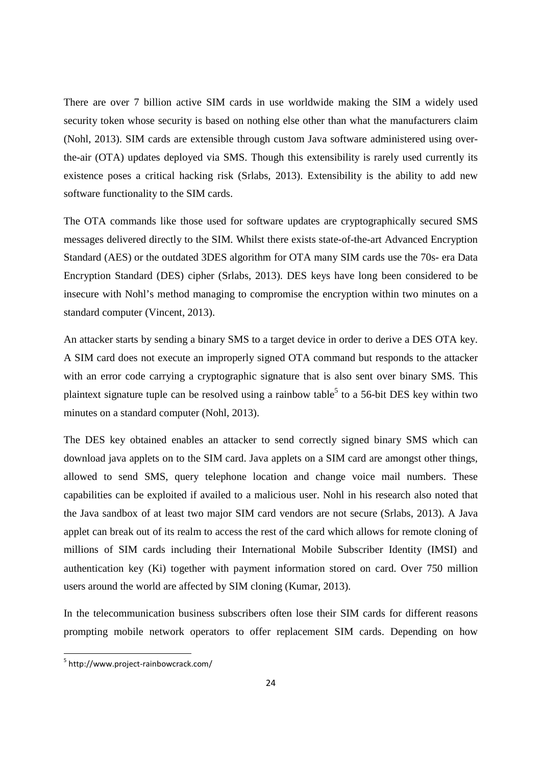There are over 7 billion active SIM cards in use worldwide making the SIM a widely used security token whose security is based on nothing else other than what the manufacturers claim (Nohl, 2013). SIM cards are extensible through custom Java software administered using overthe-air (OTA) updates deployed via SMS. Though this extensibility is rarely used currently its existence poses a critical hacking risk (Srlabs, 2013). Extensibility is the ability to add new software functionality to the SIM cards.

The OTA commands like those used for software updates are cryptographically secured SMS messages delivered directly to the SIM. Whilst there exists state-of-the-art Advanced Encryption Standard (AES) or the outdated 3DES algorithm for OTA many SIM cards use the 70s- era Data Encryption Standard (DES) cipher (Srlabs, 2013). DES keys have long been considered to be insecure with Nohl's method managing to compromise the encryption within two minutes on a standard computer (Vincent, 2013).

An attacker starts by sending a binary SMS to a target device in order to derive a DES OTA key. A SIM card does not execute an improperly signed OTA command but responds to the attacker with an error code carrying a cryptographic signature that is also sent over binary SMS. This plaintext signature tuple can be resolved using a rainbow table<sup>5</sup> to a 56-bit DES key within two minutes on a standard computer (Nohl, 2013).

The DES key obtained enables an attacker to send correctly signed binary SMS which can download java applets on to the SIM card. Java applets on a SIM card are amongst other things, allowed to send SMS, query telephone location and change voice mail numbers. These capabilities can be exploited if availed to a malicious user. Nohl in his research also noted that the Java sandbox of at least two major SIM card vendors are not secure (Srlabs, 2013). A Java applet can break out of its realm to access the rest of the card which allows for remote cloning of millions of SIM cards including their International Mobile Subscriber Identity (IMSI) and authentication key (Ki) together with payment information stored on card. Over 750 million users around the world are affected by SIM cloning (Kumar, 2013).

In the telecommunication business subscribers often lose their SIM cards for different reasons prompting mobile network operators to offer replacement SIM cards. Depending on how

.<br>-

<sup>5</sup> http://www.project-rainbowcrack.com/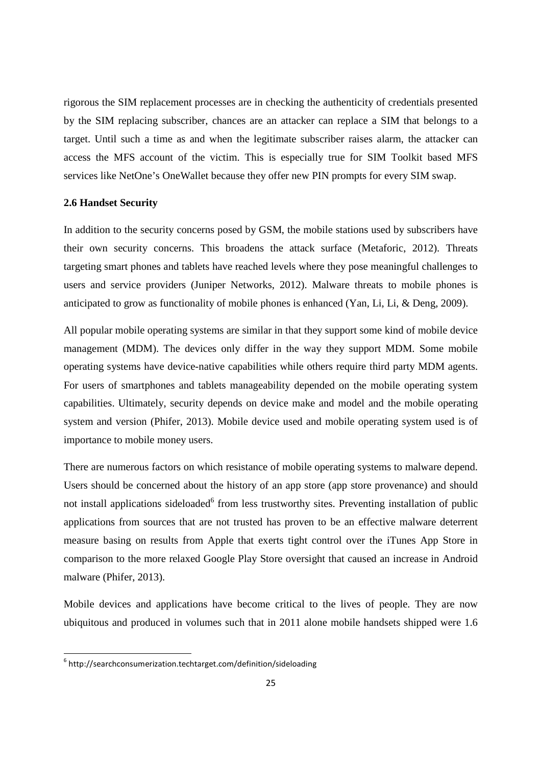rigorous the SIM replacement processes are in checking the authenticity of credentials presented by the SIM replacing subscriber, chances are an attacker can replace a SIM that belongs to a target. Until such a time as and when the legitimate subscriber raises alarm, the attacker can access the MFS account of the victim. This is especially true for SIM Toolkit based MFS services like NetOne's OneWallet because they offer new PIN prompts for every SIM swap.

## **2.6 Handset Security**

In addition to the security concerns posed by GSM, the mobile stations used by subscribers have their own security concerns. This broadens the attack surface (Metaforic, 2012). Threats targeting smart phones and tablets have reached levels where they pose meaningful challenges to users and service providers (Juniper Networks, 2012). Malware threats to mobile phones is anticipated to grow as functionality of mobile phones is enhanced (Yan, Li, Li, & Deng, 2009).

All popular mobile operating systems are similar in that they support some kind of mobile device management (MDM). The devices only differ in the way they support MDM. Some mobile operating systems have device-native capabilities while others require third party MDM agents. For users of smartphones and tablets manageability depended on the mobile operating system capabilities. Ultimately, security depends on device make and model and the mobile operating system and version (Phifer, 2013). Mobile device used and mobile operating system used is of importance to mobile money users.

There are numerous factors on which resistance of mobile operating systems to malware depend. Users should be concerned about the history of an app store (app store provenance) and should not install applications sideloaded<sup>6</sup> from less trustworthy sites. Preventing installation of public applications from sources that are not trusted has proven to be an effective malware deterrent measure basing on results from Apple that exerts tight control over the iTunes App Store in comparison to the more relaxed Google Play Store oversight that caused an increase in Android malware (Phifer, 2013).

Mobile devices and applications have become critical to the lives of people. They are now ubiquitous and produced in volumes such that in 2011 alone mobile handsets shipped were 1.6

.<br>-

 $6$  http://searchconsumerization.techtarget.com/definition/sideloading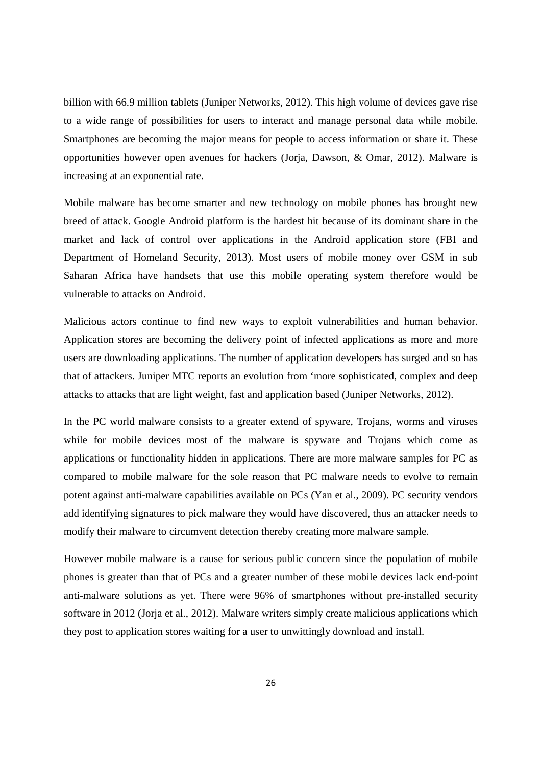billion with 66.9 million tablets (Juniper Networks, 2012). This high volume of devices gave rise to a wide range of possibilities for users to interact and manage personal data while mobile. Smartphones are becoming the major means for people to access information or share it. These opportunities however open avenues for hackers (Jorja, Dawson, & Omar, 2012). Malware is increasing at an exponential rate.

Mobile malware has become smarter and new technology on mobile phones has brought new breed of attack. Google Android platform is the hardest hit because of its dominant share in the market and lack of control over applications in the Android application store (FBI and Department of Homeland Security, 2013). Most users of mobile money over GSM in sub Saharan Africa have handsets that use this mobile operating system therefore would be vulnerable to attacks on Android.

Malicious actors continue to find new ways to exploit vulnerabilities and human behavior. Application stores are becoming the delivery point of infected applications as more and more users are downloading applications. The number of application developers has surged and so has that of attackers. Juniper MTC reports an evolution from 'more sophisticated, complex and deep attacks to attacks that are light weight, fast and application based (Juniper Networks, 2012).

In the PC world malware consists to a greater extend of spyware, Trojans, worms and viruses while for mobile devices most of the malware is spyware and Trojans which come as applications or functionality hidden in applications. There are more malware samples for PC as compared to mobile malware for the sole reason that PC malware needs to evolve to remain potent against anti-malware capabilities available on PCs (Yan et al., 2009). PC security vendors add identifying signatures to pick malware they would have discovered, thus an attacker needs to modify their malware to circumvent detection thereby creating more malware sample.

However mobile malware is a cause for serious public concern since the population of mobile phones is greater than that of PCs and a greater number of these mobile devices lack end-point anti-malware solutions as yet. There were 96% of smartphones without pre-installed security software in 2012 (Jorja et al., 2012). Malware writers simply create malicious applications which they post to application stores waiting for a user to unwittingly download and install.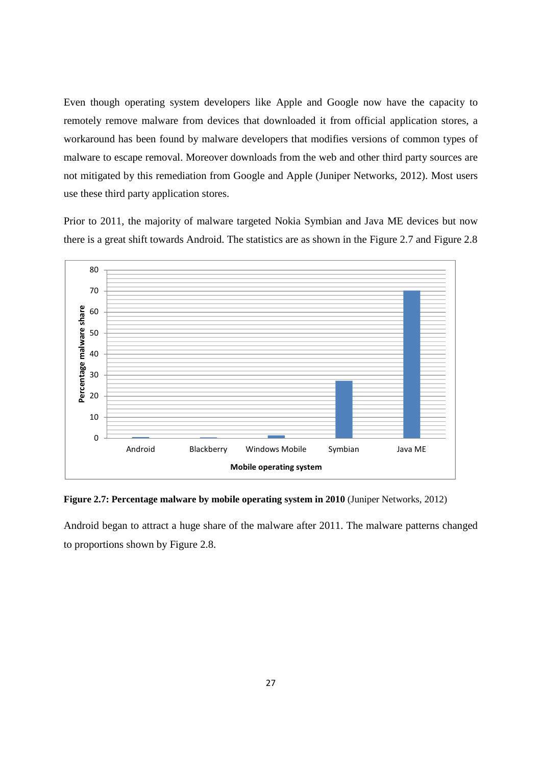Even though operating system developers like Apple and Google now have the capacity to remotely remove malware from devices that downloaded it from official application stores, a workaround has been found by malware developers that modifies versions of common types of malware to escape removal. Moreover downloads from the web and other third party sources are not mitigated by this remediation from Google and Apple (Juniper Networks, 2012). Most users use these third party application stores.

Prior to 2011, the majority of malware targeted Nokia Symbian and Java ME devices but now there is a great shift towards Android. The statistics are as shown in the Figure 2.7 and Figure 2.8



**Figure 2.7: Percentage malware by mobile operating system in 2010** (Juniper Networks, 2012)

Android began to attract a huge share of the malware after 2011. The malware patterns changed to proportions shown by Figure 2.8.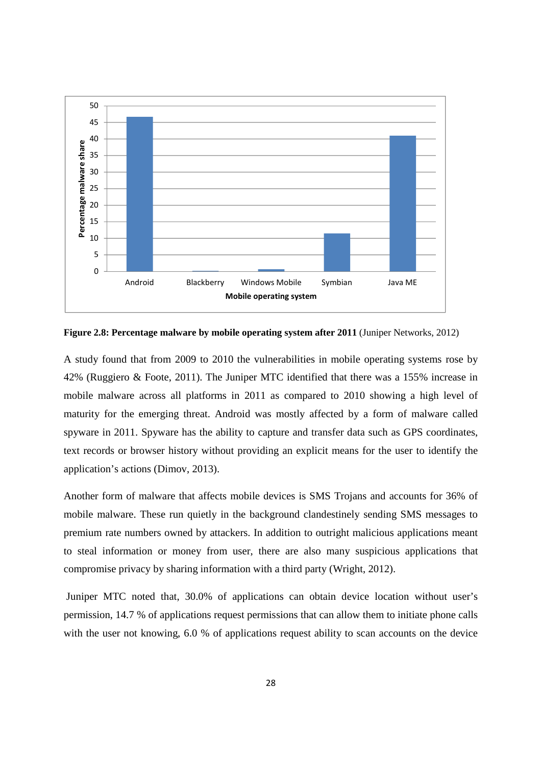

**Figure 2.8: Percentage malware by mobile operating system after 2011 (Juniper Networks, 2012)** 

A study found that from 2009 to 2010 the vulnerabilities in mobile operating systems rose by 42% (Ruggiero & Foote, 2011). The Juniper MTC identified that there was a 155% increase in mobile malware across all platforms in 2011 as compared to 2010 showing a high level of maturity for the emerging threat. Android was mostly affected by a form of malware called spyware in 2011. Spyware has the ability to capture and transfer data such as GPS coordinates, text records or browser history without providing an explicit means for the user to identify the application's actions (Dimov, 2013).

Another form of malware that affects mobile devices is SMS Trojans and accounts for 36% of mobile malware. These run quietly in the background clandestinely sending SMS messages to premium rate numbers owned by attackers. In addition to outright malicious applications meant to steal information or money from user, there are also many suspicious applications that compromise privacy by sharing information with a third party (Wright, 2012).

 Juniper MTC noted that, 30.0% of applications can obtain device location without user's permission, 14.7 % of applications request permissions that can allow them to initiate phone calls with the user not knowing, 6.0 % of applications request ability to scan accounts on the device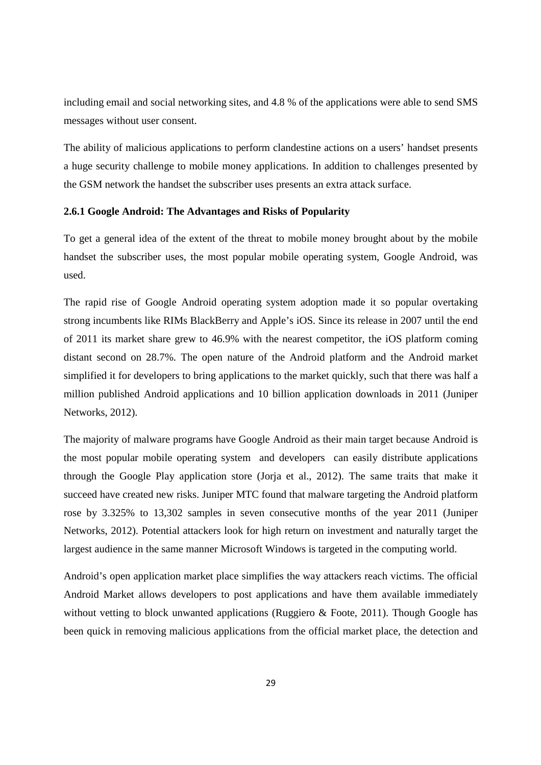including email and social networking sites, and 4.8 % of the applications were able to send SMS messages without user consent.

The ability of malicious applications to perform clandestine actions on a users' handset presents a huge security challenge to mobile money applications. In addition to challenges presented by the GSM network the handset the subscriber uses presents an extra attack surface.

#### **2.6.1 Google Android: The Advantages and Risks of Popularity**

To get a general idea of the extent of the threat to mobile money brought about by the mobile handset the subscriber uses, the most popular mobile operating system, Google Android, was used.

The rapid rise of Google Android operating system adoption made it so popular overtaking strong incumbents like RIMs BlackBerry and Apple's iOS. Since its release in 2007 until the end of 2011 its market share grew to 46.9% with the nearest competitor, the iOS platform coming distant second on 28.7%. The open nature of the Android platform and the Android market simplified it for developers to bring applications to the market quickly, such that there was half a million published Android applications and 10 billion application downloads in 2011 (Juniper Networks, 2012).

The majority of malware programs have Google Android as their main target because Android is the most popular mobile operating system and developers can easily distribute applications through the Google Play application store (Jorja et al., 2012). The same traits that make it succeed have created new risks. Juniper MTC found that malware targeting the Android platform rose by 3.325% to 13,302 samples in seven consecutive months of the year 2011 (Juniper Networks, 2012). Potential attackers look for high return on investment and naturally target the largest audience in the same manner Microsoft Windows is targeted in the computing world.

Android's open application market place simplifies the way attackers reach victims. The official Android Market allows developers to post applications and have them available immediately without vetting to block unwanted applications (Ruggiero & Foote, 2011). Though Google has been quick in removing malicious applications from the official market place, the detection and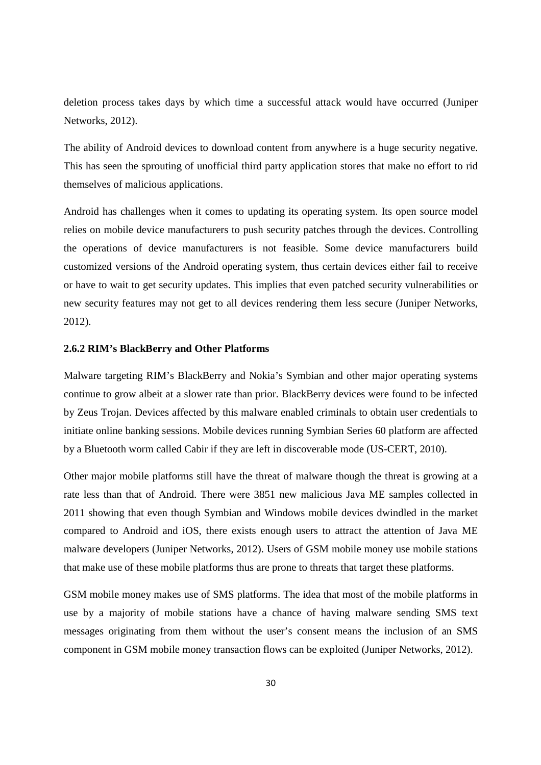deletion process takes days by which time a successful attack would have occurred (Juniper Networks, 2012).

The ability of Android devices to download content from anywhere is a huge security negative. This has seen the sprouting of unofficial third party application stores that make no effort to rid themselves of malicious applications.

Android has challenges when it comes to updating its operating system. Its open source model relies on mobile device manufacturers to push security patches through the devices. Controlling the operations of device manufacturers is not feasible. Some device manufacturers build customized versions of the Android operating system, thus certain devices either fail to receive or have to wait to get security updates. This implies that even patched security vulnerabilities or new security features may not get to all devices rendering them less secure (Juniper Networks, 2012).

#### **2.6.2 RIM's BlackBerry and Other Platforms**

Malware targeting RIM's BlackBerry and Nokia's Symbian and other major operating systems continue to grow albeit at a slower rate than prior. BlackBerry devices were found to be infected by Zeus Trojan. Devices affected by this malware enabled criminals to obtain user credentials to initiate online banking sessions. Mobile devices running Symbian Series 60 platform are affected by a Bluetooth worm called Cabir if they are left in discoverable mode (US-CERT, 2010).

Other major mobile platforms still have the threat of malware though the threat is growing at a rate less than that of Android. There were 3851 new malicious Java ME samples collected in 2011 showing that even though Symbian and Windows mobile devices dwindled in the market compared to Android and iOS, there exists enough users to attract the attention of Java ME malware developers (Juniper Networks, 2012). Users of GSM mobile money use mobile stations that make use of these mobile platforms thus are prone to threats that target these platforms.

GSM mobile money makes use of SMS platforms. The idea that most of the mobile platforms in use by a majority of mobile stations have a chance of having malware sending SMS text messages originating from them without the user's consent means the inclusion of an SMS component in GSM mobile money transaction flows can be exploited (Juniper Networks, 2012).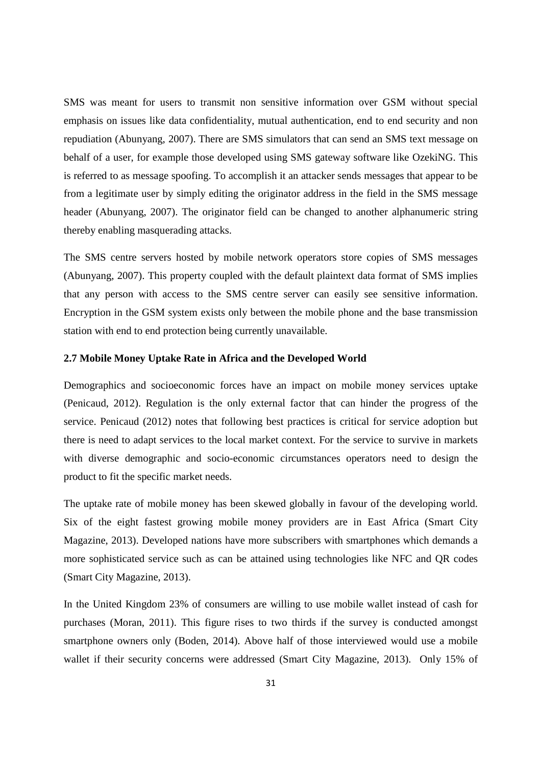SMS was meant for users to transmit non sensitive information over GSM without special emphasis on issues like data confidentiality, mutual authentication, end to end security and non repudiation (Abunyang, 2007). There are SMS simulators that can send an SMS text message on behalf of a user, for example those developed using SMS gateway software like OzekiNG. This is referred to as message spoofing. To accomplish it an attacker sends messages that appear to be from a legitimate user by simply editing the originator address in the field in the SMS message header (Abunyang, 2007). The originator field can be changed to another alphanumeric string thereby enabling masquerading attacks.

The SMS centre servers hosted by mobile network operators store copies of SMS messages (Abunyang, 2007). This property coupled with the default plaintext data format of SMS implies that any person with access to the SMS centre server can easily see sensitive information. Encryption in the GSM system exists only between the mobile phone and the base transmission station with end to end protection being currently unavailable.

## **2.7 Mobile Money Uptake Rate in Africa and the Developed World**

Demographics and socioeconomic forces have an impact on mobile money services uptake (Penicaud, 2012). Regulation is the only external factor that can hinder the progress of the service. Penicaud (2012) notes that following best practices is critical for service adoption but there is need to adapt services to the local market context. For the service to survive in markets with diverse demographic and socio-economic circumstances operators need to design the product to fit the specific market needs.

The uptake rate of mobile money has been skewed globally in favour of the developing world. Six of the eight fastest growing mobile money providers are in East Africa (Smart City Magazine, 2013). Developed nations have more subscribers with smartphones which demands a more sophisticated service such as can be attained using technologies like NFC and QR codes (Smart City Magazine, 2013).

In the United Kingdom 23% of consumers are willing to use mobile wallet instead of cash for purchases (Moran, 2011). This figure rises to two thirds if the survey is conducted amongst smartphone owners only (Boden, 2014). Above half of those interviewed would use a mobile wallet if their security concerns were addressed (Smart City Magazine, 2013). Only 15% of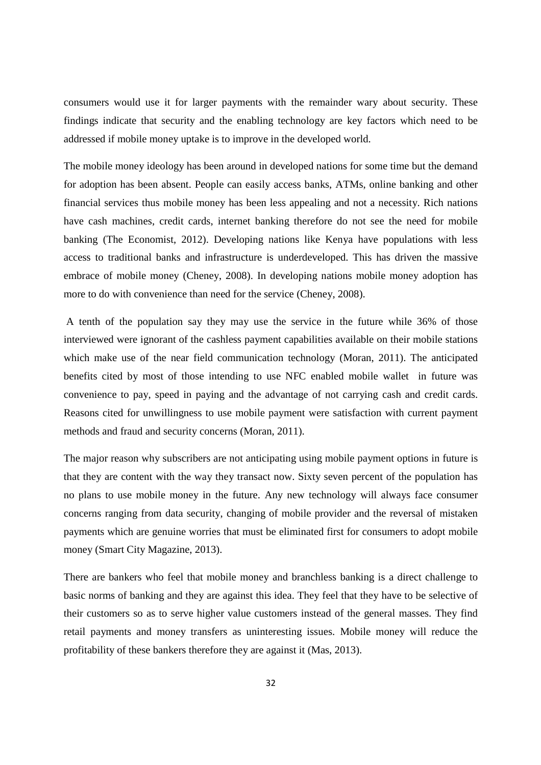consumers would use it for larger payments with the remainder wary about security. These findings indicate that security and the enabling technology are key factors which need to be addressed if mobile money uptake is to improve in the developed world.

The mobile money ideology has been around in developed nations for some time but the demand for adoption has been absent. People can easily access banks, ATMs, online banking and other financial services thus mobile money has been less appealing and not a necessity. Rich nations have cash machines, credit cards, internet banking therefore do not see the need for mobile banking (The Economist, 2012). Developing nations like Kenya have populations with less access to traditional banks and infrastructure is underdeveloped. This has driven the massive embrace of mobile money (Cheney, 2008). In developing nations mobile money adoption has more to do with convenience than need for the service (Cheney, 2008).

 A tenth of the population say they may use the service in the future while 36% of those interviewed were ignorant of the cashless payment capabilities available on their mobile stations which make use of the near field communication technology (Moran, 2011). The anticipated benefits cited by most of those intending to use NFC enabled mobile wallet in future was convenience to pay, speed in paying and the advantage of not carrying cash and credit cards. Reasons cited for unwillingness to use mobile payment were satisfaction with current payment methods and fraud and security concerns (Moran, 2011).

The major reason why subscribers are not anticipating using mobile payment options in future is that they are content with the way they transact now. Sixty seven percent of the population has no plans to use mobile money in the future. Any new technology will always face consumer concerns ranging from data security, changing of mobile provider and the reversal of mistaken payments which are genuine worries that must be eliminated first for consumers to adopt mobile money (Smart City Magazine, 2013).

There are bankers who feel that mobile money and branchless banking is a direct challenge to basic norms of banking and they are against this idea. They feel that they have to be selective of their customers so as to serve higher value customers instead of the general masses. They find retail payments and money transfers as uninteresting issues. Mobile money will reduce the profitability of these bankers therefore they are against it (Mas, 2013).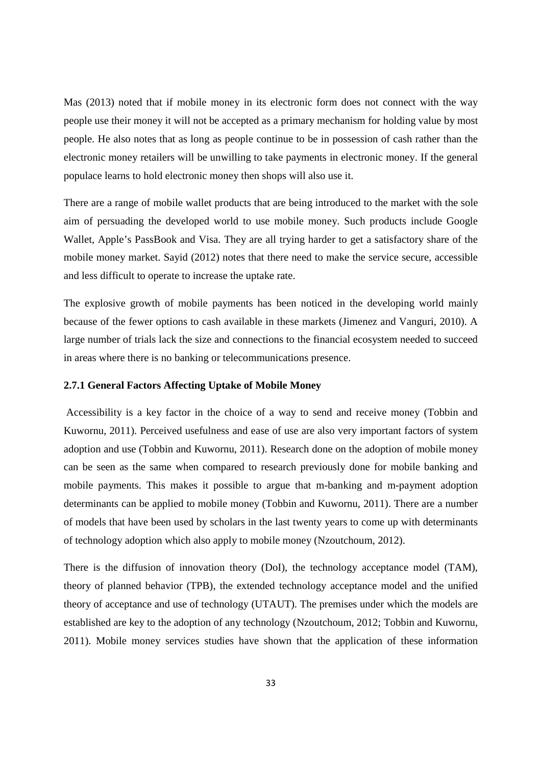Mas (2013) noted that if mobile money in its electronic form does not connect with the way people use their money it will not be accepted as a primary mechanism for holding value by most people. He also notes that as long as people continue to be in possession of cash rather than the electronic money retailers will be unwilling to take payments in electronic money. If the general populace learns to hold electronic money then shops will also use it.

There are a range of mobile wallet products that are being introduced to the market with the sole aim of persuading the developed world to use mobile money. Such products include Google Wallet, Apple's PassBook and Visa. They are all trying harder to get a satisfactory share of the mobile money market. Sayid (2012) notes that there need to make the service secure, accessible and less difficult to operate to increase the uptake rate.

The explosive growth of mobile payments has been noticed in the developing world mainly because of the fewer options to cash available in these markets (Jimenez and Vanguri, 2010). A large number of trials lack the size and connections to the financial ecosystem needed to succeed in areas where there is no banking or telecommunications presence.

## **2.7.1 General Factors Affecting Uptake of Mobile Money**

 Accessibility is a key factor in the choice of a way to send and receive money (Tobbin and Kuwornu, 2011). Perceived usefulness and ease of use are also very important factors of system adoption and use (Tobbin and Kuwornu, 2011). Research done on the adoption of mobile money can be seen as the same when compared to research previously done for mobile banking and mobile payments. This makes it possible to argue that m-banking and m-payment adoption determinants can be applied to mobile money (Tobbin and Kuwornu, 2011). There are a number of models that have been used by scholars in the last twenty years to come up with determinants of technology adoption which also apply to mobile money (Nzoutchoum, 2012).

There is the diffusion of innovation theory (DoI), the technology acceptance model (TAM), theory of planned behavior (TPB), the extended technology acceptance model and the unified theory of acceptance and use of technology (UTAUT). The premises under which the models are established are key to the adoption of any technology (Nzoutchoum, 2012; Tobbin and Kuwornu, 2011). Mobile money services studies have shown that the application of these information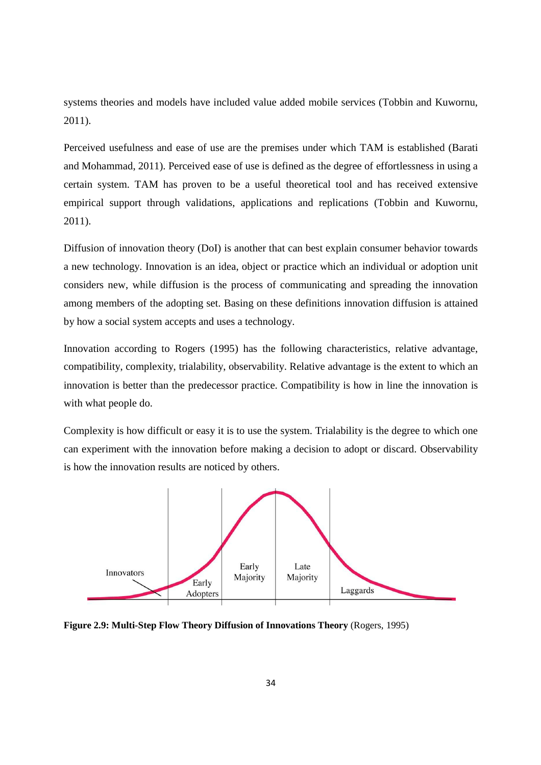systems theories and models have included value added mobile services (Tobbin and Kuwornu, 2011).

Perceived usefulness and ease of use are the premises under which TAM is established (Barati and Mohammad, 2011). Perceived ease of use is defined as the degree of effortlessness in using a certain system. TAM has proven to be a useful theoretical tool and has received extensive empirical support through validations, applications and replications (Tobbin and Kuwornu, 2011).

Diffusion of innovation theory (DoI) is another that can best explain consumer behavior towards a new technology. Innovation is an idea, object or practice which an individual or adoption unit considers new, while diffusion is the process of communicating and spreading the innovation among members of the adopting set. Basing on these definitions innovation diffusion is attained by how a social system accepts and uses a technology.

Innovation according to Rogers (1995) has the following characteristics, relative advantage, compatibility, complexity, trialability, observability. Relative advantage is the extent to which an innovation is better than the predecessor practice. Compatibility is how in line the innovation is with what people do.

Complexity is how difficult or easy it is to use the system. Trialability is the degree to which one can experiment with the innovation before making a decision to adopt or discard. Observability is how the innovation results are noticed by others.



**Figure 2.9: Multi-Step Flow Theory Diffusion of Innovations Theory** (Rogers, 1995)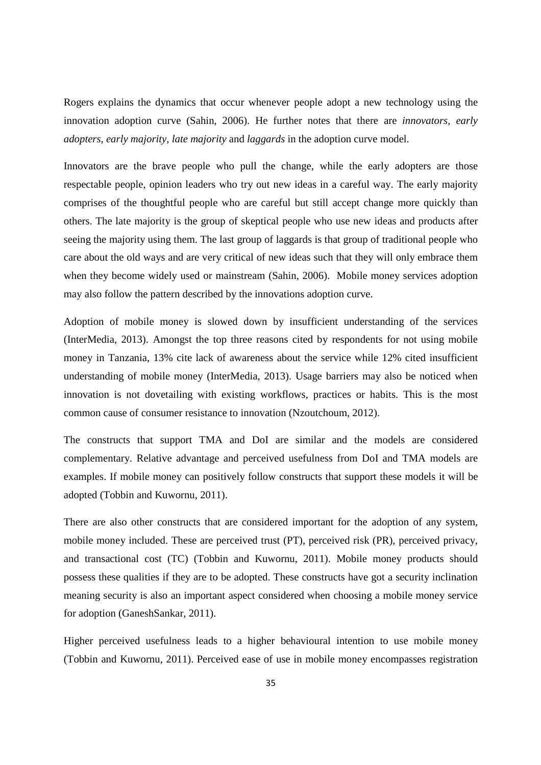Rogers explains the dynamics that occur whenever people adopt a new technology using the innovation adoption curve (Sahin, 2006). He further notes that there are *innovators, early adopters, early majority, late majority* and *laggards* in the adoption curve model.

Innovators are the brave people who pull the change, while the early adopters are those respectable people, opinion leaders who try out new ideas in a careful way. The early majority comprises of the thoughtful people who are careful but still accept change more quickly than others. The late majority is the group of skeptical people who use new ideas and products after seeing the majority using them. The last group of laggards is that group of traditional people who care about the old ways and are very critical of new ideas such that they will only embrace them when they become widely used or mainstream (Sahin, 2006). Mobile money services adoption may also follow the pattern described by the innovations adoption curve.

Adoption of mobile money is slowed down by insufficient understanding of the services (InterMedia, 2013). Amongst the top three reasons cited by respondents for not using mobile money in Tanzania, 13% cite lack of awareness about the service while 12% cited insufficient understanding of mobile money (InterMedia, 2013). Usage barriers may also be noticed when innovation is not dovetailing with existing workflows, practices or habits. This is the most common cause of consumer resistance to innovation (Nzoutchoum, 2012).

The constructs that support TMA and DoI are similar and the models are considered complementary. Relative advantage and perceived usefulness from DoI and TMA models are examples. If mobile money can positively follow constructs that support these models it will be adopted (Tobbin and Kuwornu, 2011).

There are also other constructs that are considered important for the adoption of any system, mobile money included. These are perceived trust (PT), perceived risk (PR), perceived privacy, and transactional cost (TC) (Tobbin and Kuwornu, 2011). Mobile money products should possess these qualities if they are to be adopted. These constructs have got a security inclination meaning security is also an important aspect considered when choosing a mobile money service for adoption (GaneshSankar, 2011).

Higher perceived usefulness leads to a higher behavioural intention to use mobile money (Tobbin and Kuwornu, 2011). Perceived ease of use in mobile money encompasses registration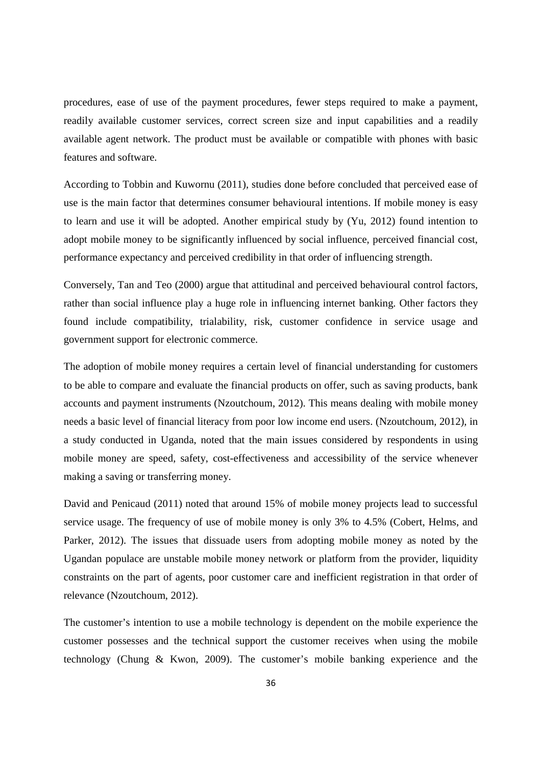procedures, ease of use of the payment procedures, fewer steps required to make a payment, readily available customer services, correct screen size and input capabilities and a readily available agent network. The product must be available or compatible with phones with basic features and software.

According to Tobbin and Kuwornu (2011), studies done before concluded that perceived ease of use is the main factor that determines consumer behavioural intentions. If mobile money is easy to learn and use it will be adopted. Another empirical study by (Yu, 2012) found intention to adopt mobile money to be significantly influenced by social influence, perceived financial cost, performance expectancy and perceived credibility in that order of influencing strength.

Conversely, Tan and Teo (2000) argue that attitudinal and perceived behavioural control factors, rather than social influence play a huge role in influencing internet banking. Other factors they found include compatibility, trialability, risk, customer confidence in service usage and government support for electronic commerce.

The adoption of mobile money requires a certain level of financial understanding for customers to be able to compare and evaluate the financial products on offer, such as saving products, bank accounts and payment instruments (Nzoutchoum, 2012). This means dealing with mobile money needs a basic level of financial literacy from poor low income end users. (Nzoutchoum, 2012), in a study conducted in Uganda, noted that the main issues considered by respondents in using mobile money are speed, safety, cost-effectiveness and accessibility of the service whenever making a saving or transferring money.

David and Penicaud (2011) noted that around 15% of mobile money projects lead to successful service usage. The frequency of use of mobile money is only 3% to 4.5% (Cobert, Helms, and Parker, 2012). The issues that dissuade users from adopting mobile money as noted by the Ugandan populace are unstable mobile money network or platform from the provider, liquidity constraints on the part of agents, poor customer care and inefficient registration in that order of relevance (Nzoutchoum, 2012).

The customer's intention to use a mobile technology is dependent on the mobile experience the customer possesses and the technical support the customer receives when using the mobile technology (Chung & Kwon, 2009). The customer's mobile banking experience and the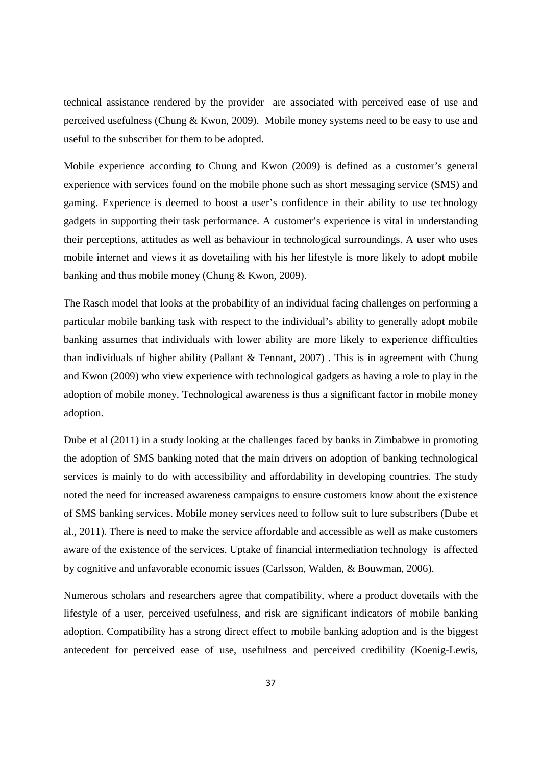technical assistance rendered by the provider are associated with perceived ease of use and perceived usefulness (Chung & Kwon, 2009). Mobile money systems need to be easy to use and useful to the subscriber for them to be adopted.

Mobile experience according to Chung and Kwon (2009) is defined as a customer's general experience with services found on the mobile phone such as short messaging service (SMS) and gaming. Experience is deemed to boost a user's confidence in their ability to use technology gadgets in supporting their task performance. A customer's experience is vital in understanding their perceptions, attitudes as well as behaviour in technological surroundings. A user who uses mobile internet and views it as dovetailing with his her lifestyle is more likely to adopt mobile banking and thus mobile money (Chung & Kwon, 2009).

The Rasch model that looks at the probability of an individual facing challenges on performing a particular mobile banking task with respect to the individual's ability to generally adopt mobile banking assumes that individuals with lower ability are more likely to experience difficulties than individuals of higher ability (Pallant & Tennant, 2007) . This is in agreement with Chung and Kwon (2009) who view experience with technological gadgets as having a role to play in the adoption of mobile money. Technological awareness is thus a significant factor in mobile money adoption.

Dube et al (2011) in a study looking at the challenges faced by banks in Zimbabwe in promoting the adoption of SMS banking noted that the main drivers on adoption of banking technological services is mainly to do with accessibility and affordability in developing countries. The study noted the need for increased awareness campaigns to ensure customers know about the existence of SMS banking services. Mobile money services need to follow suit to lure subscribers (Dube et al., 2011). There is need to make the service affordable and accessible as well as make customers aware of the existence of the services. Uptake of financial intermediation technology is affected by cognitive and unfavorable economic issues (Carlsson, Walden, & Bouwman, 2006).

Numerous scholars and researchers agree that compatibility, where a product dovetails with the lifestyle of a user, perceived usefulness, and risk are significant indicators of mobile banking adoption. Compatibility has a strong direct effect to mobile banking adoption and is the biggest antecedent for perceived ease of use, usefulness and perceived credibility (Koenig-Lewis,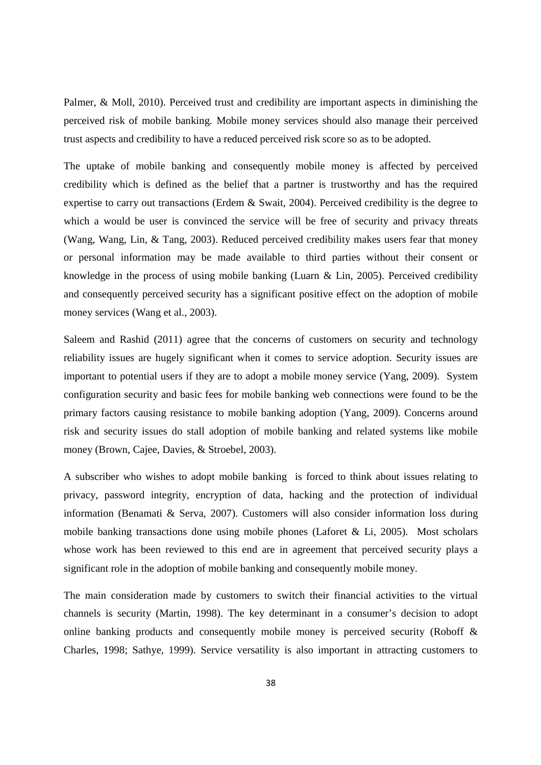Palmer, & Moll, 2010). Perceived trust and credibility are important aspects in diminishing the perceived risk of mobile banking. Mobile money services should also manage their perceived trust aspects and credibility to have a reduced perceived risk score so as to be adopted.

The uptake of mobile banking and consequently mobile money is affected by perceived credibility which is defined as the belief that a partner is trustworthy and has the required expertise to carry out transactions (Erdem & Swait, 2004). Perceived credibility is the degree to which a would be user is convinced the service will be free of security and privacy threats (Wang, Wang, Lin, & Tang, 2003). Reduced perceived credibility makes users fear that money or personal information may be made available to third parties without their consent or knowledge in the process of using mobile banking (Luarn & Lin, 2005). Perceived credibility and consequently perceived security has a significant positive effect on the adoption of mobile money services (Wang et al., 2003).

Saleem and Rashid (2011) agree that the concerns of customers on security and technology reliability issues are hugely significant when it comes to service adoption. Security issues are important to potential users if they are to adopt a mobile money service (Yang, 2009). System configuration security and basic fees for mobile banking web connections were found to be the primary factors causing resistance to mobile banking adoption (Yang, 2009). Concerns around risk and security issues do stall adoption of mobile banking and related systems like mobile money (Brown, Cajee, Davies, & Stroebel, 2003).

A subscriber who wishes to adopt mobile banking is forced to think about issues relating to privacy, password integrity, encryption of data, hacking and the protection of individual information (Benamati & Serva, 2007). Customers will also consider information loss during mobile banking transactions done using mobile phones (Laforet & Li, 2005). Most scholars whose work has been reviewed to this end are in agreement that perceived security plays a significant role in the adoption of mobile banking and consequently mobile money.

The main consideration made by customers to switch their financial activities to the virtual channels is security (Martin, 1998). The key determinant in a consumer's decision to adopt online banking products and consequently mobile money is perceived security (Roboff & Charles, 1998; Sathye, 1999). Service versatility is also important in attracting customers to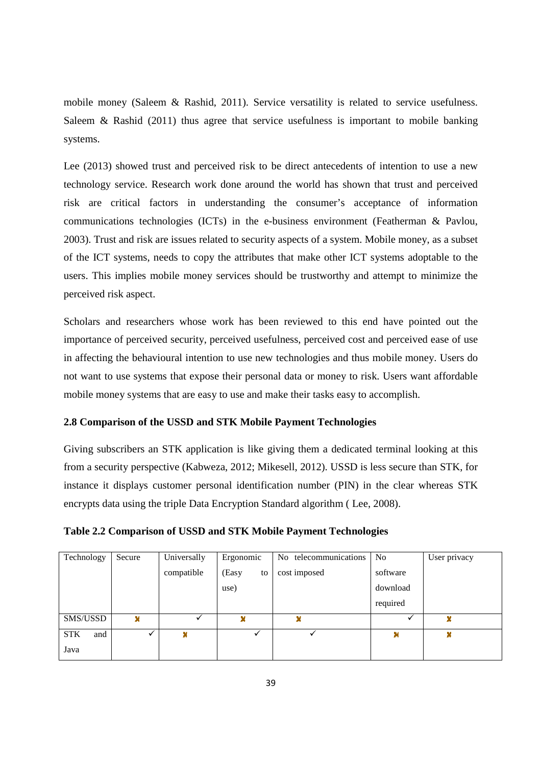mobile money (Saleem & Rashid, 2011). Service versatility is related to service usefulness. Saleem & Rashid (2011) thus agree that service usefulness is important to mobile banking systems.

Lee (2013) showed trust and perceived risk to be direct antecedents of intention to use a new technology service. Research work done around the world has shown that trust and perceived risk are critical factors in understanding the consumer's acceptance of information communications technologies (ICTs) in the e-business environment (Featherman & Pavlou, 2003). Trust and risk are issues related to security aspects of a system. Mobile money, as a subset of the ICT systems, needs to copy the attributes that make other ICT systems adoptable to the users. This implies mobile money services should be trustworthy and attempt to minimize the perceived risk aspect.

Scholars and researchers whose work has been reviewed to this end have pointed out the importance of perceived security, perceived usefulness, perceived cost and perceived ease of use in affecting the behavioural intention to use new technologies and thus mobile money. Users do not want to use systems that expose their personal data or money to risk. Users want affordable mobile money systems that are easy to use and make their tasks easy to accomplish.

# **2.8 Comparison of the USSD and STK Mobile Payment Technologies**

Giving subscribers an STK application is like giving them a dedicated terminal looking at this from a security perspective (Kabweza, 2012; Mikesell, 2012). USSD is less secure than STK, for instance it displays customer personal identification number (PIN) in the clear whereas STK encrypts data using the triple Data Encryption Standard algorithm ( Lee, 2008).

| Table 2.2 Comparison of USSD and STK Mobile Payment Technologies |  |  |  |
|------------------------------------------------------------------|--|--|--|
|                                                                  |  |  |  |

| Technology        | Secure | Universally | Ergonomic   | No telecommunications | N <sub>0</sub> | User privacy |
|-------------------|--------|-------------|-------------|-----------------------|----------------|--------------|
|                   |        | compatible  | (Easy<br>to | cost imposed          | software       |              |
|                   |        |             | use)        |                       | download       |              |
|                   |        |             |             |                       | required       |              |
| SMS/USSD          | ×      |             | ×           | ×                     |                | x            |
| <b>STK</b><br>and |        |             |             |                       |                | ×            |
| Java              |        |             |             |                       |                |              |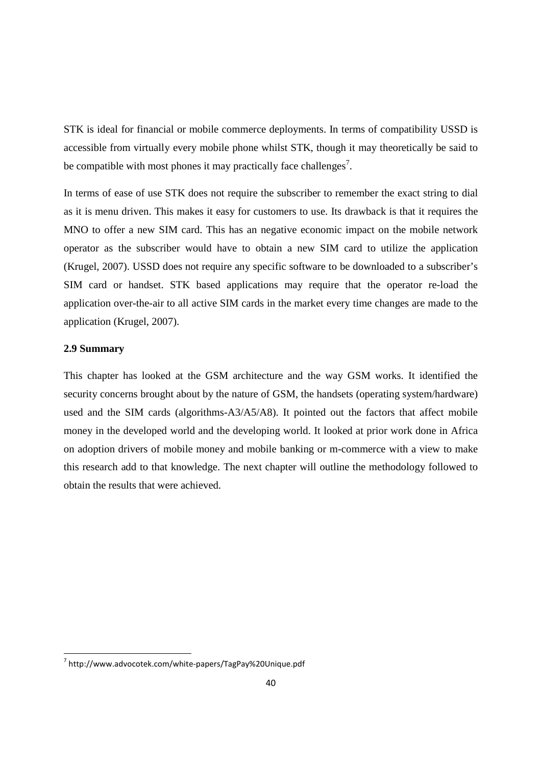STK is ideal for financial or mobile commerce deployments. In terms of compatibility USSD is accessible from virtually every mobile phone whilst STK, though it may theoretically be said to be compatible with most phones it may practically face challenges<sup>7</sup>.

In terms of ease of use STK does not require the subscriber to remember the exact string to dial as it is menu driven. This makes it easy for customers to use. Its drawback is that it requires the MNO to offer a new SIM card. This has an negative economic impact on the mobile network operator as the subscriber would have to obtain a new SIM card to utilize the application (Krugel, 2007). USSD does not require any specific software to be downloaded to a subscriber's SIM card or handset. STK based applications may require that the operator re-load the application over-the-air to all active SIM cards in the market every time changes are made to the application (Krugel, 2007).

## **2.9 Summary**

.<br>-

This chapter has looked at the GSM architecture and the way GSM works. It identified the security concerns brought about by the nature of GSM, the handsets (operating system/hardware) used and the SIM cards (algorithms-A3/A5/A8). It pointed out the factors that affect mobile money in the developed world and the developing world. It looked at prior work done in Africa on adoption drivers of mobile money and mobile banking or m-commerce with a view to make this research add to that knowledge. The next chapter will outline the methodology followed to obtain the results that were achieved.

<sup>7</sup> http://www.advocotek.com/white-papers/TagPay%20Unique.pdf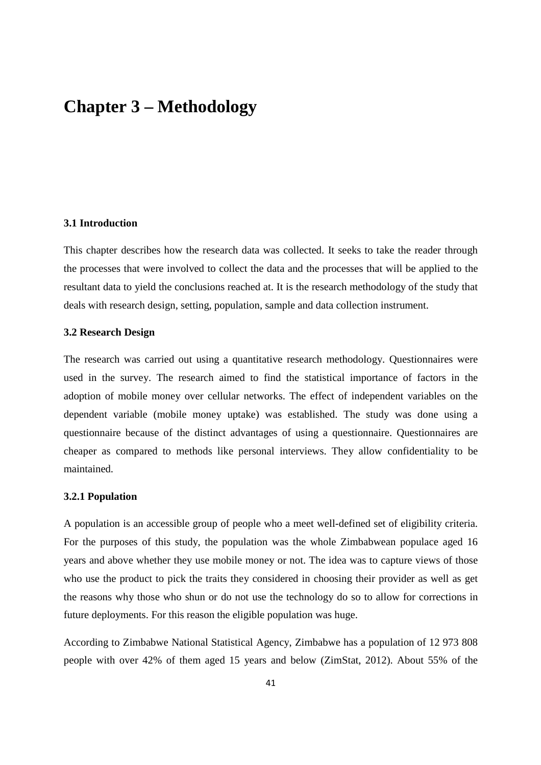# **Chapter 3 – Methodology**

## **3.1 Introduction**

This chapter describes how the research data was collected. It seeks to take the reader through the processes that were involved to collect the data and the processes that will be applied to the resultant data to yield the conclusions reached at. It is the research methodology of the study that deals with research design, setting, population, sample and data collection instrument.

## **3.2 Research Design**

The research was carried out using a quantitative research methodology. Questionnaires were used in the survey. The research aimed to find the statistical importance of factors in the adoption of mobile money over cellular networks. The effect of independent variables on the dependent variable (mobile money uptake) was established. The study was done using a questionnaire because of the distinct advantages of using a questionnaire. Questionnaires are cheaper as compared to methods like personal interviews. They allow confidentiality to be maintained.

#### **3.2.1 Population**

A population is an accessible group of people who a meet well-defined set of eligibility criteria. For the purposes of this study, the population was the whole Zimbabwean populace aged 16 years and above whether they use mobile money or not. The idea was to capture views of those who use the product to pick the traits they considered in choosing their provider as well as get the reasons why those who shun or do not use the technology do so to allow for corrections in future deployments. For this reason the eligible population was huge.

According to Zimbabwe National Statistical Agency, Zimbabwe has a population of 12 973 808 people with over 42% of them aged 15 years and below (ZimStat, 2012). About 55% of the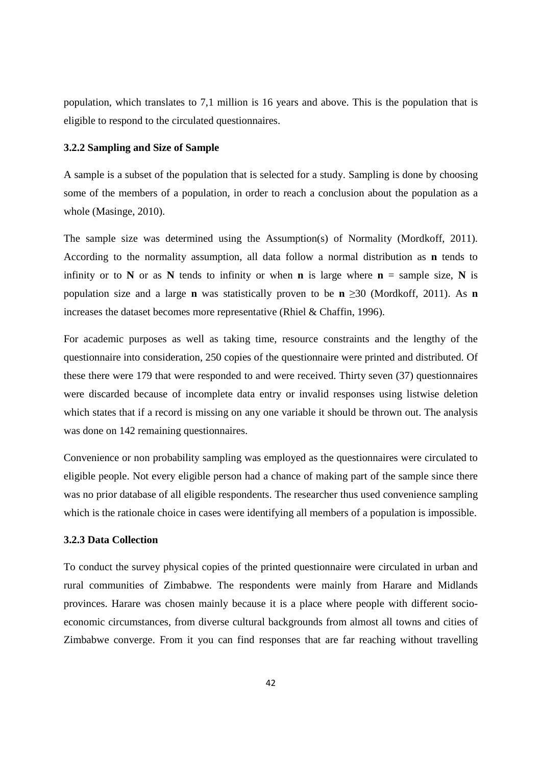population, which translates to 7,1 million is 16 years and above. This is the population that is eligible to respond to the circulated questionnaires.

## **3.2.2 Sampling and Size of Sample**

A sample is a subset of the population that is selected for a study. Sampling is done by choosing some of the members of a population, in order to reach a conclusion about the population as a whole (Masinge, 2010).

The sample size was determined using the Assumption(s) of Normality (Mordkoff, 2011). According to the normality assumption, all data follow a normal distribution as **n** tends to infinity or to **N** or as **N** tends to infinity or when **n** is large where  $\mathbf{n} =$  sample size, **N** is population size and a large **n** was statistically proven to be **n** ≥30 (Mordkoff, 2011). As **n** increases the dataset becomes more representative (Rhiel & Chaffin, 1996).

For academic purposes as well as taking time, resource constraints and the lengthy of the questionnaire into consideration, 250 copies of the questionnaire were printed and distributed. Of these there were 179 that were responded to and were received. Thirty seven (37) questionnaires were discarded because of incomplete data entry or invalid responses using listwise deletion which states that if a record is missing on any one variable it should be thrown out. The analysis was done on 142 remaining questionnaires.

Convenience or non probability sampling was employed as the questionnaires were circulated to eligible people. Not every eligible person had a chance of making part of the sample since there was no prior database of all eligible respondents. The researcher thus used convenience sampling which is the rationale choice in cases were identifying all members of a population is impossible.

## **3.2.3 Data Collection**

To conduct the survey physical copies of the printed questionnaire were circulated in urban and rural communities of Zimbabwe. The respondents were mainly from Harare and Midlands provinces. Harare was chosen mainly because it is a place where people with different socioeconomic circumstances, from diverse cultural backgrounds from almost all towns and cities of Zimbabwe converge. From it you can find responses that are far reaching without travelling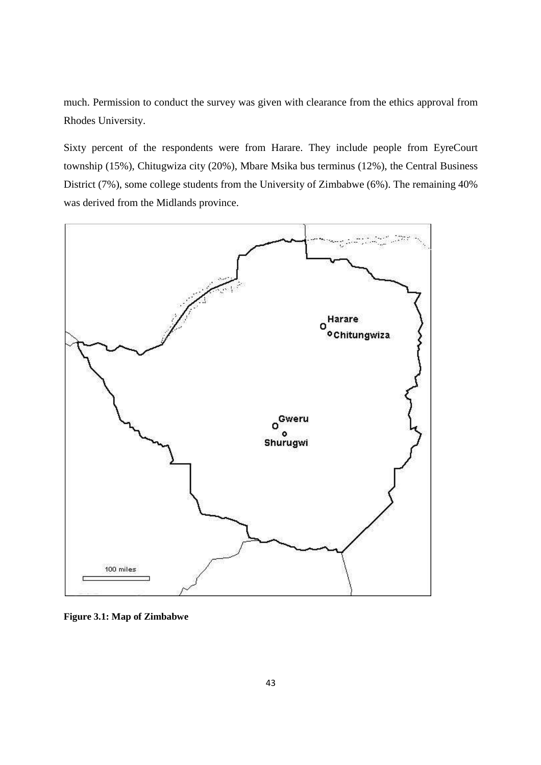much. Permission to conduct the survey was given with clearance from the ethics approval from Rhodes University.

Sixty percent of the respondents were from Harare. They include people from EyreCourt township (15%), Chitugwiza city (20%), Mbare Msika bus terminus (12%), the Central Business District (7%), some college students from the University of Zimbabwe (6%). The remaining 40% was derived from the Midlands province.



**Figure 3.1: Map of Zimbabwe**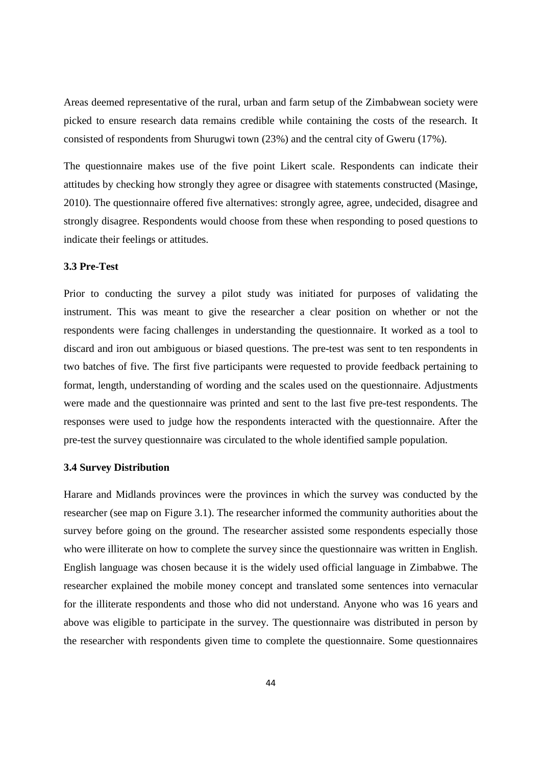Areas deemed representative of the rural, urban and farm setup of the Zimbabwean society were picked to ensure research data remains credible while containing the costs of the research. It consisted of respondents from Shurugwi town (23%) and the central city of Gweru (17%).

The questionnaire makes use of the five point Likert scale. Respondents can indicate their attitudes by checking how strongly they agree or disagree with statements constructed (Masinge, 2010). The questionnaire offered five alternatives: strongly agree, agree, undecided, disagree and strongly disagree. Respondents would choose from these when responding to posed questions to indicate their feelings or attitudes.

## **3.3 Pre-Test**

Prior to conducting the survey a pilot study was initiated for purposes of validating the instrument. This was meant to give the researcher a clear position on whether or not the respondents were facing challenges in understanding the questionnaire. It worked as a tool to discard and iron out ambiguous or biased questions. The pre-test was sent to ten respondents in two batches of five. The first five participants were requested to provide feedback pertaining to format, length, understanding of wording and the scales used on the questionnaire. Adjustments were made and the questionnaire was printed and sent to the last five pre-test respondents. The responses were used to judge how the respondents interacted with the questionnaire. After the pre-test the survey questionnaire was circulated to the whole identified sample population.

## **3.4 Survey Distribution**

Harare and Midlands provinces were the provinces in which the survey was conducted by the researcher (see map on Figure 3.1). The researcher informed the community authorities about the survey before going on the ground. The researcher assisted some respondents especially those who were illiterate on how to complete the survey since the questionnaire was written in English. English language was chosen because it is the widely used official language in Zimbabwe. The researcher explained the mobile money concept and translated some sentences into vernacular for the illiterate respondents and those who did not understand. Anyone who was 16 years and above was eligible to participate in the survey. The questionnaire was distributed in person by the researcher with respondents given time to complete the questionnaire. Some questionnaires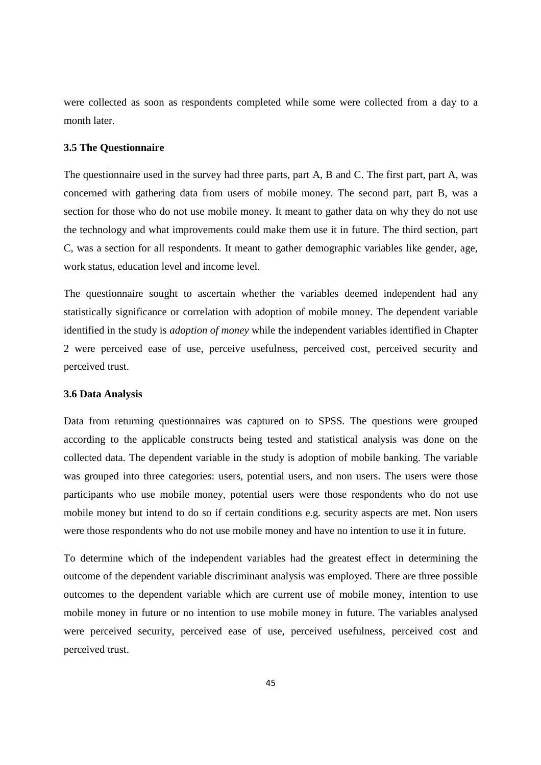were collected as soon as respondents completed while some were collected from a day to a month later.

## **3.5 The Questionnaire**

The questionnaire used in the survey had three parts, part A, B and C. The first part, part A, was concerned with gathering data from users of mobile money. The second part, part B, was a section for those who do not use mobile money. It meant to gather data on why they do not use the technology and what improvements could make them use it in future. The third section, part C, was a section for all respondents. It meant to gather demographic variables like gender, age, work status, education level and income level.

The questionnaire sought to ascertain whether the variables deemed independent had any statistically significance or correlation with adoption of mobile money. The dependent variable identified in the study is *adoption of money* while the independent variables identified in Chapter 2 were perceived ease of use, perceive usefulness, perceived cost, perceived security and perceived trust.

#### **3.6 Data Analysis**

Data from returning questionnaires was captured on to SPSS. The questions were grouped according to the applicable constructs being tested and statistical analysis was done on the collected data. The dependent variable in the study is adoption of mobile banking. The variable was grouped into three categories: users, potential users, and non users. The users were those participants who use mobile money, potential users were those respondents who do not use mobile money but intend to do so if certain conditions e.g. security aspects are met. Non users were those respondents who do not use mobile money and have no intention to use it in future.

To determine which of the independent variables had the greatest effect in determining the outcome of the dependent variable discriminant analysis was employed. There are three possible outcomes to the dependent variable which are current use of mobile money, intention to use mobile money in future or no intention to use mobile money in future. The variables analysed were perceived security, perceived ease of use, perceived usefulness, perceived cost and perceived trust.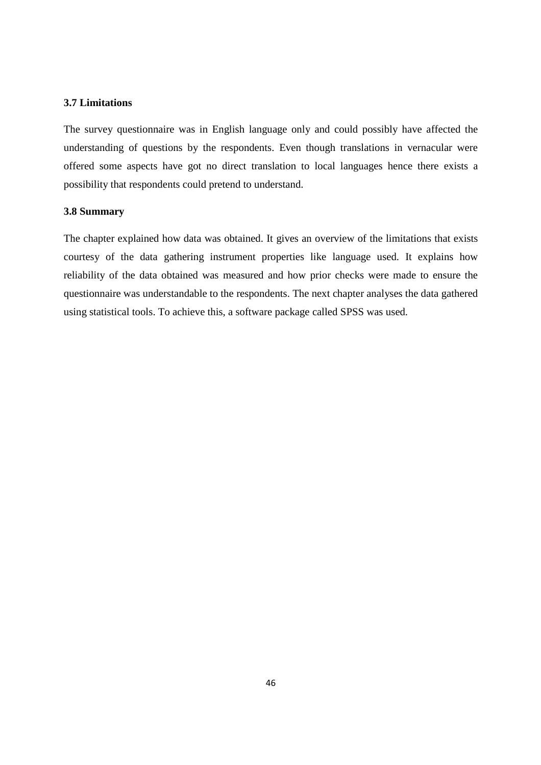## **3.7 Limitations**

The survey questionnaire was in English language only and could possibly have affected the understanding of questions by the respondents. Even though translations in vernacular were offered some aspects have got no direct translation to local languages hence there exists a possibility that respondents could pretend to understand.

## **3.8 Summary**

The chapter explained how data was obtained. It gives an overview of the limitations that exists courtesy of the data gathering instrument properties like language used. It explains how reliability of the data obtained was measured and how prior checks were made to ensure the questionnaire was understandable to the respondents. The next chapter analyses the data gathered using statistical tools. To achieve this, a software package called SPSS was used.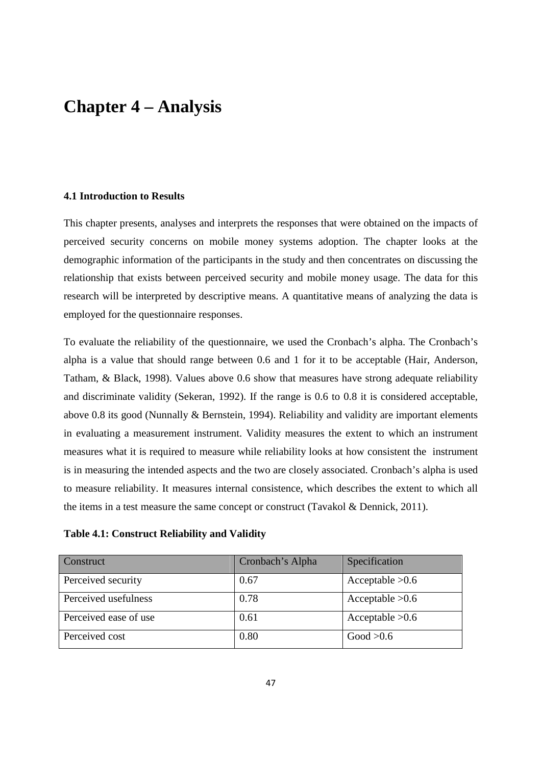# **Chapter 4 – Analysis**

# **4.1 Introduction to Results**

This chapter presents, analyses and interprets the responses that were obtained on the impacts of perceived security concerns on mobile money systems adoption. The chapter looks at the demographic information of the participants in the study and then concentrates on discussing the relationship that exists between perceived security and mobile money usage. The data for this research will be interpreted by descriptive means. A quantitative means of analyzing the data is employed for the questionnaire responses.

To evaluate the reliability of the questionnaire, we used the Cronbach's alpha. The Cronbach's alpha is a value that should range between 0.6 and 1 for it to be acceptable (Hair, Anderson, Tatham, & Black, 1998). Values above 0.6 show that measures have strong adequate reliability and discriminate validity (Sekeran, 1992). If the range is 0.6 to 0.8 it is considered acceptable, above 0.8 its good (Nunnally & Bernstein, 1994). Reliability and validity are important elements in evaluating a measurement instrument. Validity measures the extent to which an instrument measures what it is required to measure while reliability looks at how consistent the instrument is in measuring the intended aspects and the two are closely associated. Cronbach's alpha is used to measure reliability. It measures internal consistence, which describes the extent to which all the items in a test measure the same concept or construct (Tavakol & Dennick, 2011).

| Construct             | Cronbach's Alpha | Specification     |
|-----------------------|------------------|-------------------|
| Perceived security    | 0.67             | Acceptable $>0.6$ |
| Perceived usefulness  | 0.78             | Acceptable $>0.6$ |
| Perceived ease of use | 0.61             | Acceptable $>0.6$ |
| Perceived cost        | 0.80             | Good > 0.6        |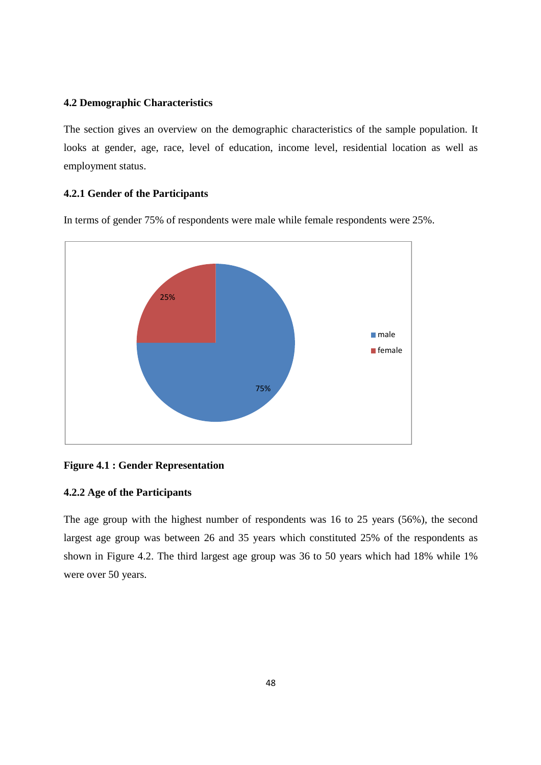## **4.2 Demographic Characteristics**

The section gives an overview on the demographic characteristics of the sample population. It looks at gender, age, race, level of education, income level, residential location as well as employment status.

## **4.2.1 Gender of the Participants**

In terms of gender 75% of respondents were male while female respondents were 25%.



## **Figure 4.1 : Gender Representation**

## **4.2.2 Age of the Participants**

The age group with the highest number of respondents was 16 to 25 years (56%), the second largest age group was between 26 and 35 years which constituted 25% of the respondents as shown in Figure 4.2. The third largest age group was 36 to 50 years which had 18% while 1% were over 50 years.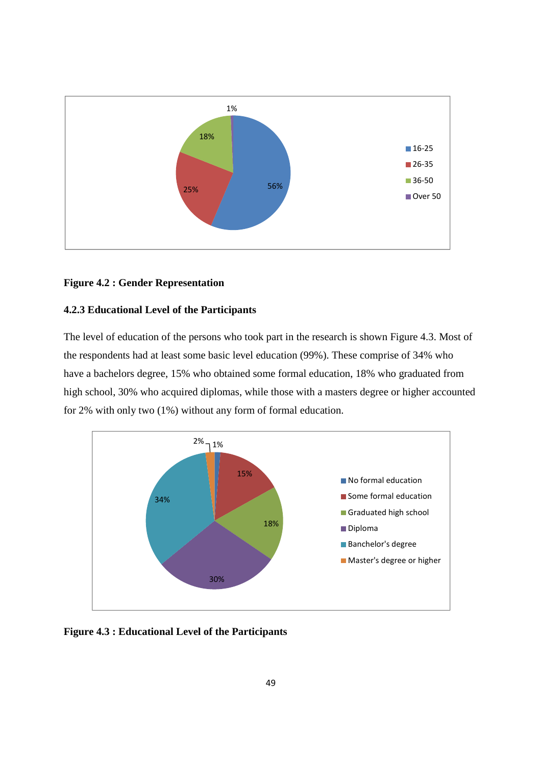

## **Figure 4.2 : Gender Representation**

# **4.2.3 Educational Level of the Participants**

The level of education of the persons who took part in the research is shown Figure 4.3. Most of the respondents had at least some basic level education (99%). These comprise of 34% who have a bachelors degree, 15% who obtained some formal education, 18% who graduated from high school, 30% who acquired diplomas, while those with a masters degree or higher accounted for 2% with only two (1%) without any form of formal education.



**Figure 4.3 : Educational Level of the Participants**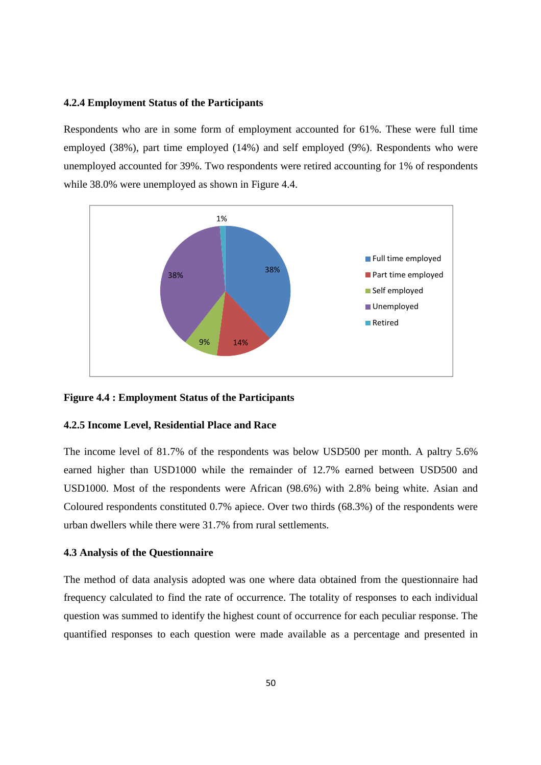## **4.2.4 Employment Status of the Participants**

Respondents who are in some form of employment accounted for 61%. These were full time employed (38%), part time employed (14%) and self employed (9%). Respondents who were unemployed accounted for 39%. Two respondents were retired accounting for 1% of respondents while 38.0% were unemployed as shown in Figure 4.4.



## **Figure 4.4 : Employment Status of the Participants**

## **4.2.5 Income Level, Residential Place and Race**

The income level of 81.7% of the respondents was below USD500 per month. A paltry 5.6% earned higher than USD1000 while the remainder of 12.7% earned between USD500 and USD1000. Most of the respondents were African (98.6%) with 2.8% being white. Asian and Coloured respondents constituted 0.7% apiece. Over two thirds (68.3%) of the respondents were urban dwellers while there were 31.7% from rural settlements.

## **4.3 Analysis of the Questionnaire**

The method of data analysis adopted was one where data obtained from the questionnaire had frequency calculated to find the rate of occurrence. The totality of responses to each individual question was summed to identify the highest count of occurrence for each peculiar response. The quantified responses to each question were made available as a percentage and presented in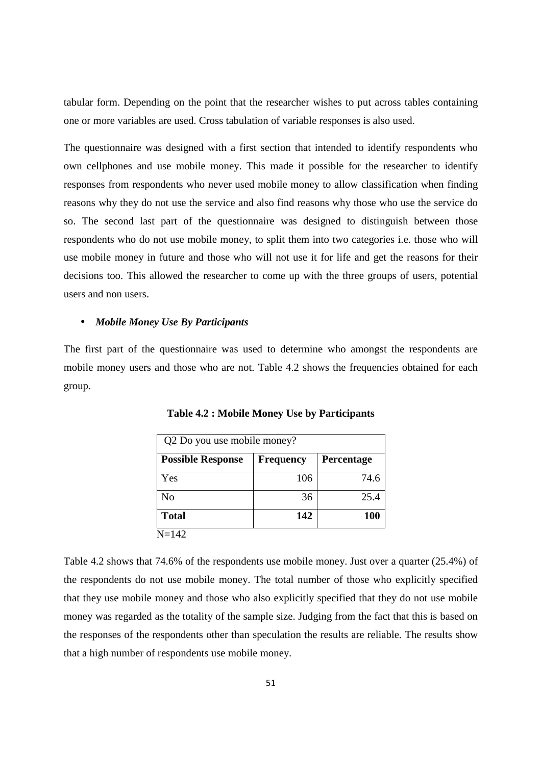tabular form. Depending on the point that the researcher wishes to put across tables containing one or more variables are used. Cross tabulation of variable responses is also used.

The questionnaire was designed with a first section that intended to identify respondents who own cellphones and use mobile money. This made it possible for the researcher to identify responses from respondents who never used mobile money to allow classification when finding reasons why they do not use the service and also find reasons why those who use the service do so. The second last part of the questionnaire was designed to distinguish between those respondents who do not use mobile money, to split them into two categories i.e. those who will use mobile money in future and those who will not use it for life and get the reasons for their decisions too. This allowed the researcher to come up with the three groups of users, potential users and non users.

### • *Mobile Money Use By Participants*

The first part of the questionnaire was used to determine who amongst the respondents are mobile money users and those who are not. Table 4.2 shows the frequencies obtained for each group.

| Q2 Do you use mobile money? |                  |            |  |
|-----------------------------|------------------|------------|--|
| <b>Possible Response</b>    | <b>Frequency</b> | Percentage |  |
| Yes                         | 106              | 74.6       |  |
| No                          | 36               | 25.4       |  |
| <b>Total</b>                | 142              | 100        |  |
| $N = 142$                   |                  |            |  |

**Table 4.2 : Mobile Money Use by Participants**

Table 4.2 shows that 74.6% of the respondents use mobile money. Just over a quarter (25.4%) of the respondents do not use mobile money. The total number of those who explicitly specified that they use mobile money and those who also explicitly specified that they do not use mobile money was regarded as the totality of the sample size. Judging from the fact that this is based on the responses of the respondents other than speculation the results are reliable. The results show that a high number of respondents use mobile money.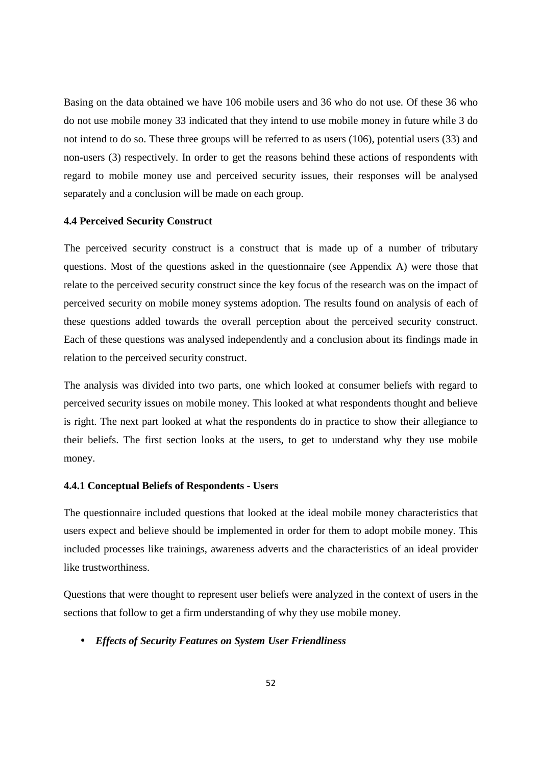Basing on the data obtained we have 106 mobile users and 36 who do not use. Of these 36 who do not use mobile money 33 indicated that they intend to use mobile money in future while 3 do not intend to do so. These three groups will be referred to as users (106), potential users (33) and non-users (3) respectively. In order to get the reasons behind these actions of respondents with regard to mobile money use and perceived security issues, their responses will be analysed separately and a conclusion will be made on each group.

#### **4.4 Perceived Security Construct**

The perceived security construct is a construct that is made up of a number of tributary questions. Most of the questions asked in the questionnaire (see Appendix A) were those that relate to the perceived security construct since the key focus of the research was on the impact of perceived security on mobile money systems adoption. The results found on analysis of each of these questions added towards the overall perception about the perceived security construct. Each of these questions was analysed independently and a conclusion about its findings made in relation to the perceived security construct.

The analysis was divided into two parts, one which looked at consumer beliefs with regard to perceived security issues on mobile money. This looked at what respondents thought and believe is right. The next part looked at what the respondents do in practice to show their allegiance to their beliefs. The first section looks at the users, to get to understand why they use mobile money.

## **4.4.1 Conceptual Beliefs of Respondents - Users**

The questionnaire included questions that looked at the ideal mobile money characteristics that users expect and believe should be implemented in order for them to adopt mobile money. This included processes like trainings, awareness adverts and the characteristics of an ideal provider like trustworthiness.

Questions that were thought to represent user beliefs were analyzed in the context of users in the sections that follow to get a firm understanding of why they use mobile money.

## • *Effects of Security Features on System User Friendliness*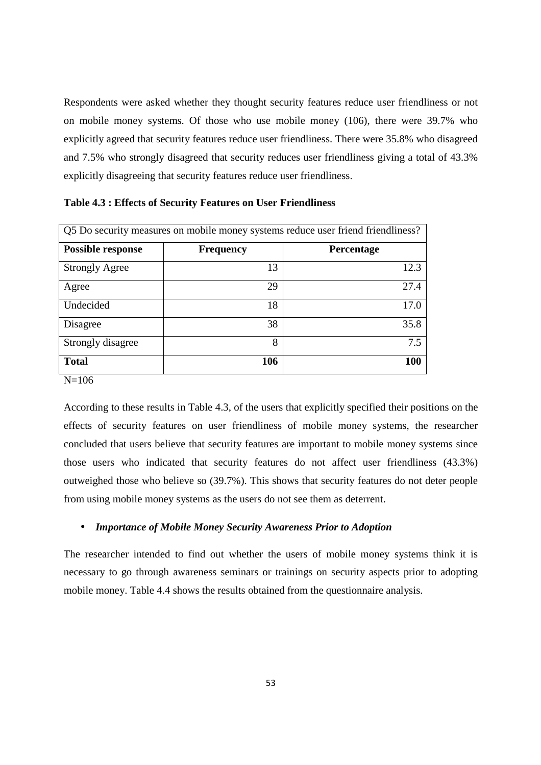Respondents were asked whether they thought security features reduce user friendliness or not on mobile money systems. Of those who use mobile money (106), there were 39.7% who explicitly agreed that security features reduce user friendliness. There were 35.8% who disagreed and 7.5% who strongly disagreed that security reduces user friendliness giving a total of 43.3% explicitly disagreeing that security features reduce user friendliness.

| Q5 Do security measures on mobile money systems reduce user friend friendliness? |                  |            |  |
|----------------------------------------------------------------------------------|------------------|------------|--|
| <b>Possible response</b>                                                         | <b>Frequency</b> | Percentage |  |
| <b>Strongly Agree</b>                                                            | 13               | 12.3       |  |
| Agree                                                                            | 29               | 27.4       |  |
| Undecided                                                                        | 18               | 17.0       |  |
| Disagree                                                                         | 38               | 35.8       |  |
| Strongly disagree                                                                | 8                | 7.5        |  |
| <b>Total</b>                                                                     | 106              | 100        |  |

**Table 4.3 : Effects of Security Features on User Friendliness** 

 $N=106$ 

According to these results in Table 4.3, of the users that explicitly specified their positions on the effects of security features on user friendliness of mobile money systems, the researcher concluded that users believe that security features are important to mobile money systems since those users who indicated that security features do not affect user friendliness (43.3%) outweighed those who believe so (39.7%). This shows that security features do not deter people from using mobile money systems as the users do not see them as deterrent.

## • *Importance of Mobile Money Security Awareness Prior to Adoption*

The researcher intended to find out whether the users of mobile money systems think it is necessary to go through awareness seminars or trainings on security aspects prior to adopting mobile money. Table 4.4 shows the results obtained from the questionnaire analysis.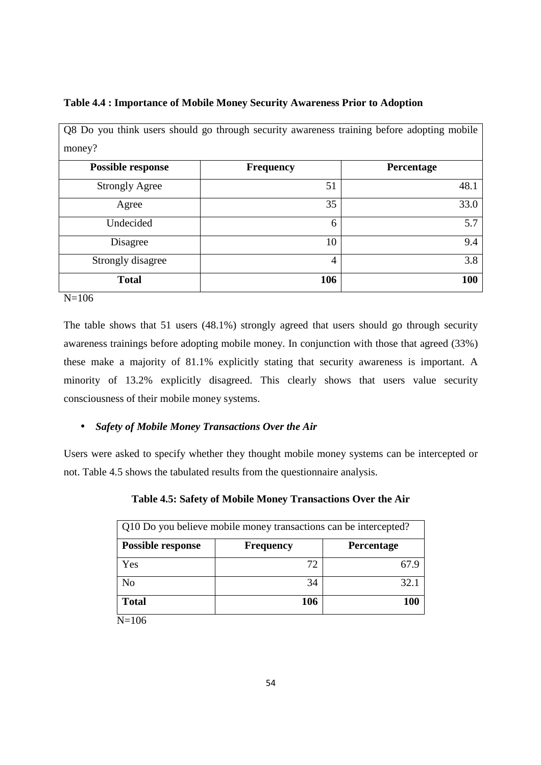# **Table 4.4 : Importance of Mobile Money Security Awareness Prior to Adoption**

| Q8 Do you think users should go through security awareness training before adopting mobile |                  |            |  |  |
|--------------------------------------------------------------------------------------------|------------------|------------|--|--|
| money?                                                                                     |                  |            |  |  |
| <b>Possible response</b>                                                                   | <b>Frequency</b> | Percentage |  |  |
| <b>Strongly Agree</b>                                                                      | 51               | 48.1       |  |  |
| Agree                                                                                      | 35               | 33.0       |  |  |
| Undecided                                                                                  | 6                | 5.7        |  |  |
| Disagree                                                                                   | 10               | 9.4        |  |  |
| Strongly disagree                                                                          | $\overline{4}$   | 3.8        |  |  |
| <b>Total</b>                                                                               | 106              | 100        |  |  |
| $\mathbf{M}$ 10 $\sigma$                                                                   |                  |            |  |  |

N=106

The table shows that 51 users (48.1%) strongly agreed that users should go through security awareness trainings before adopting mobile money. In conjunction with those that agreed (33%) these make a majority of 81.1% explicitly stating that security awareness is important. A minority of 13.2% explicitly disagreed. This clearly shows that users value security consciousness of their mobile money systems.

# • *Safety of Mobile Money Transactions Over the Air*

Users were asked to specify whether they thought mobile money systems can be intercepted or not. Table 4.5 shows the tabulated results from the questionnaire analysis.

| Q10 Do you believe mobile money transactions can be intercepted? |                  |            |  |
|------------------------------------------------------------------|------------------|------------|--|
| <b>Possible response</b>                                         | <b>Frequency</b> | Percentage |  |
| Yes                                                              | 72               |            |  |
| N <sub>o</sub>                                                   | 34               | 32.1       |  |
| <b>Total</b>                                                     | 106              | 100        |  |
| $N = 106$                                                        |                  |            |  |

# **Table 4.5: Safety of Mobile Money Transactions Over the Air**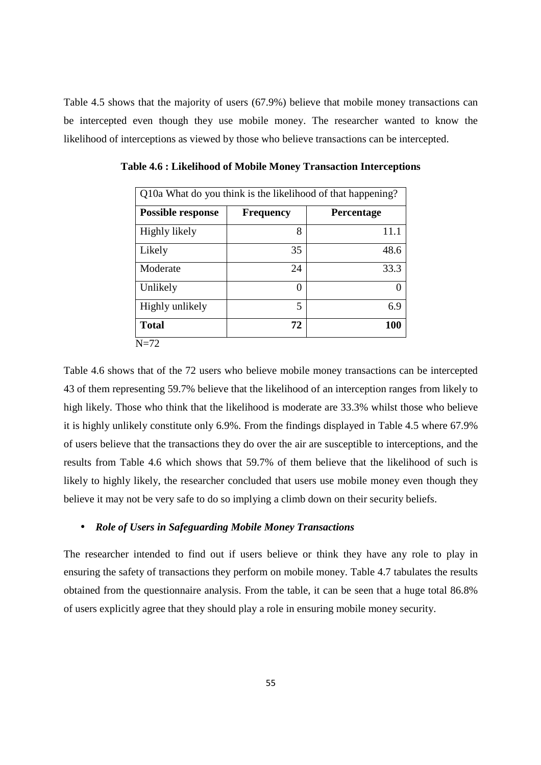Table 4.5 shows that the majority of users (67.9%) believe that mobile money transactions can be intercepted even though they use mobile money. The researcher wanted to know the likelihood of interceptions as viewed by those who believe transactions can be intercepted.

| Q10a What do you think is the likelihood of that happening? |                  |                   |  |  |  |
|-------------------------------------------------------------|------------------|-------------------|--|--|--|
| <b>Possible response</b>                                    | <b>Frequency</b> | <b>Percentage</b> |  |  |  |
| Highly likely                                               | 8                | 11.1              |  |  |  |
| Likely                                                      | 35               | 48.6              |  |  |  |
| Moderate                                                    | 24               | 33.3              |  |  |  |
| Unlikely                                                    |                  |                   |  |  |  |
| Highly unlikely                                             | 5                | 6.9               |  |  |  |
| <b>Total</b>                                                | 72               | 100               |  |  |  |
| $N=72$                                                      |                  |                   |  |  |  |

**Table 4.6 : Likelihood of Mobile Money Transaction Interceptions** 

Table 4.6 shows that of the 72 users who believe mobile money transactions can be intercepted 43 of them representing 59.7% believe that the likelihood of an interception ranges from likely to high likely. Those who think that the likelihood is moderate are 33.3% whilst those who believe it is highly unlikely constitute only 6.9%. From the findings displayed in Table 4.5 where 67.9% of users believe that the transactions they do over the air are susceptible to interceptions, and the results from Table 4.6 which shows that 59.7% of them believe that the likelihood of such is likely to highly likely, the researcher concluded that users use mobile money even though they believe it may not be very safe to do so implying a climb down on their security beliefs.

## • *Role of Users in Safeguarding Mobile Money Transactions*

The researcher intended to find out if users believe or think they have any role to play in ensuring the safety of transactions they perform on mobile money. Table 4.7 tabulates the results obtained from the questionnaire analysis. From the table, it can be seen that a huge total 86.8% of users explicitly agree that they should play a role in ensuring mobile money security.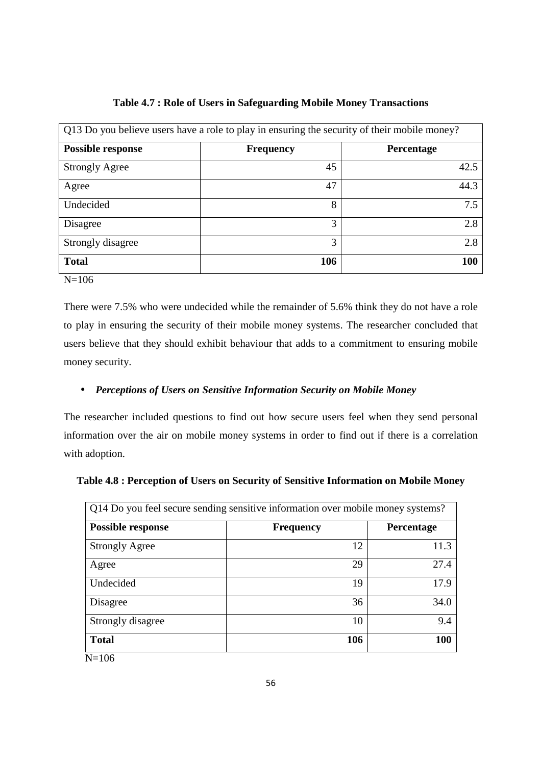| Q13 Do you believe users have a role to play in ensuring the security of their mobile money? |                  |                   |  |
|----------------------------------------------------------------------------------------------|------------------|-------------------|--|
| <b>Possible response</b>                                                                     | <b>Frequency</b> | <b>Percentage</b> |  |
| <b>Strongly Agree</b>                                                                        | 45               | 42.5              |  |
| Agree                                                                                        | 47               | 44.3              |  |
| Undecided                                                                                    | 8                | 7.5               |  |
| Disagree                                                                                     | 3                | 2.8               |  |
| Strongly disagree                                                                            | 3                | 2.8               |  |
| <b>Total</b>                                                                                 | 106              | 100               |  |

## **Table 4.7 : Role of Users in Safeguarding Mobile Money Transactions**

N=106

There were 7.5% who were undecided while the remainder of 5.6% think they do not have a role to play in ensuring the security of their mobile money systems. The researcher concluded that users believe that they should exhibit behaviour that adds to a commitment to ensuring mobile money security.

# • *Perceptions of Users on Sensitive Information Security on Mobile Money*

The researcher included questions to find out how secure users feel when they send personal information over the air on mobile money systems in order to find out if there is a correlation with adoption.

|  |  |  | Table 4.8 : Perception of Users on Security of Sensitive Information on Mobile Money |
|--|--|--|--------------------------------------------------------------------------------------|
|--|--|--|--------------------------------------------------------------------------------------|

| Q14 Do you feel secure sending sensitive information over mobile money systems? |                  |            |  |
|---------------------------------------------------------------------------------|------------------|------------|--|
| <b>Possible response</b>                                                        | <b>Frequency</b> | Percentage |  |
| <b>Strongly Agree</b>                                                           | 12               | 11.3       |  |
| Agree                                                                           | 29               | 27.4       |  |
| Undecided                                                                       | 19               | 17.9       |  |
| Disagree                                                                        | 36               | 34.0       |  |
| Strongly disagree                                                               | 10               | 9.4        |  |
| <b>Total</b>                                                                    | 106              | 100        |  |

N=106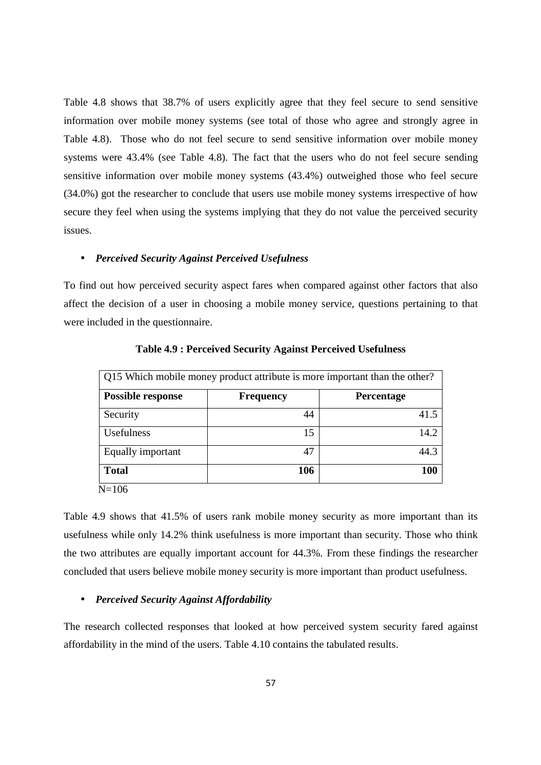Table 4.8 shows that 38.7% of users explicitly agree that they feel secure to send sensitive information over mobile money systems (see total of those who agree and strongly agree in Table 4.8). Those who do not feel secure to send sensitive information over mobile money systems were 43.4% (see Table 4.8). The fact that the users who do not feel secure sending sensitive information over mobile money systems (43.4%) outweighed those who feel secure (34.0%) got the researcher to conclude that users use mobile money systems irrespective of how secure they feel when using the systems implying that they do not value the perceived security issues.

## • *Perceived Security Against Perceived Usefulness*

To find out how perceived security aspect fares when compared against other factors that also affect the decision of a user in choosing a mobile money service, questions pertaining to that were included in the questionnaire.

| Q15 Which mobile money product attribute is more important than the other? |                  |            |  |  |
|----------------------------------------------------------------------------|------------------|------------|--|--|
| <b>Possible response</b>                                                   | <b>Frequency</b> | Percentage |  |  |
| Security                                                                   | 44               | 41.5       |  |  |
| Usefulness                                                                 | 15               | 14.2       |  |  |
| Equally important                                                          | 47               | 44.3       |  |  |
| <b>Total</b>                                                               | 106              | 100        |  |  |
| $N=106$                                                                    |                  |            |  |  |

**Table 4.9 : Perceived Security Against Perceived Usefulness** 

Table 4.9 shows that 41.5% of users rank mobile money security as more important than its usefulness while only 14.2% think usefulness is more important than security. Those who think the two attributes are equally important account for 44.3%. From these findings the researcher concluded that users believe mobile money security is more important than product usefulness.

#### • *Perceived Security Against Affordability*

The research collected responses that looked at how perceived system security fared against affordability in the mind of the users. Table 4.10 contains the tabulated results.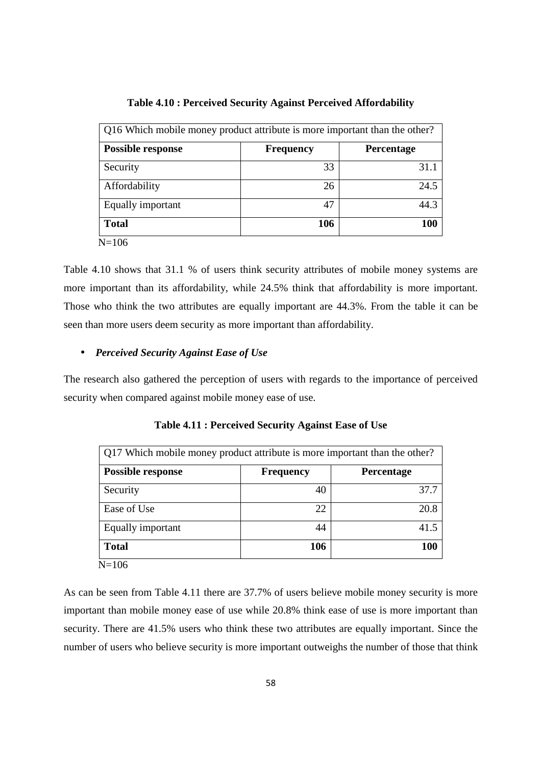| Q16 Which mobile money product attribute is more important than the other? |                  |            |  |  |
|----------------------------------------------------------------------------|------------------|------------|--|--|
| <b>Possible response</b>                                                   | <b>Frequency</b> | Percentage |  |  |
| Security                                                                   | 33               | 31.1       |  |  |
| Affordability                                                              | 26               | 24.5       |  |  |
| Equally important                                                          | 47               | 44.3       |  |  |
| <b>Total</b>                                                               | 106              | 100        |  |  |
| $N = 106$                                                                  |                  |            |  |  |

**Table 4.10 : Perceived Security Against Perceived Affordability** 

Table 4.10 shows that 31.1 % of users think security attributes of mobile money systems are more important than its affordability, while 24.5% think that affordability is more important. Those who think the two attributes are equally important are 44.3%. From the table it can be seen than more users deem security as more important than affordability.

## • *Perceived Security Against Ease of Use*

The research also gathered the perception of users with regards to the importance of perceived security when compared against mobile money ease of use.

| <b>Possible response</b> | <b>Frequency</b> | <b>Percentage</b> |
|--------------------------|------------------|-------------------|
| Security                 | 40               |                   |
| Ease of Use              | 22               |                   |
| Equally important        | 44               |                   |
| <b>Total</b>             | 106              |                   |

**Table 4.11 : Perceived Security Against Ease of Use**

As can be seen from Table 4.11 there are 37.7% of users believe mobile money security is more important than mobile money ease of use while 20.8% think ease of use is more important than security. There are 41.5% users who think these two attributes are equally important. Since the number of users who believe security is more important outweighs the number of those that think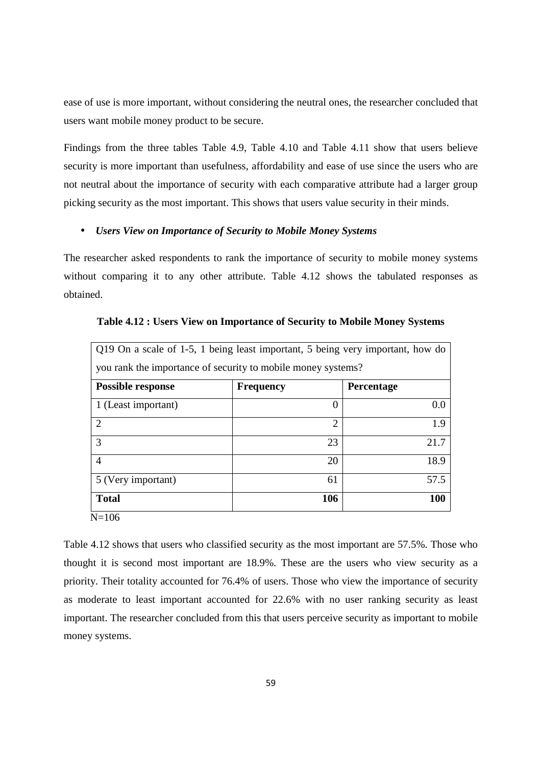ease of use is more important, without considering the neutral ones, the researcher concluded that users want mobile money product to be secure.

Findings from the three tables Table 4.9, Table 4.10 and Table 4.11 show that users believe security is more important than usefulness, affordability and ease of use since the users who are not neutral about the importance of security with each comparative attribute had a larger group picking security as the most important. This shows that users value security in their minds.

## • *Users View on Importance of Security to Mobile Money Systems*

The researcher asked respondents to rank the importance of security to mobile money systems without comparing it to any other attribute. Table 4.12 shows the tabulated responses as obtained.

| Q19 On a scale of 1-5, 1 being least important, 5 being very important, how do |                  |            |  |  |
|--------------------------------------------------------------------------------|------------------|------------|--|--|
| you rank the importance of security to mobile money systems?                   |                  |            |  |  |
| <b>Possible response</b>                                                       | <b>Frequency</b> | Percentage |  |  |
| 1 (Least important)                                                            | $\theta$         | 0.0        |  |  |
| $\overline{2}$                                                                 | $\overline{2}$   | 1.9        |  |  |
| 3                                                                              | 23               | 21.7       |  |  |
| 4                                                                              | 20               | 18.9       |  |  |
| 5 (Very important)                                                             | 61               | 57.5       |  |  |
| <b>Total</b>                                                                   | 106              | <b>100</b> |  |  |
| $N = 106$                                                                      |                  |            |  |  |

**Table 4.12 : Users View on Importance of Security to Mobile Money Systems** 

Table 4.12 shows that users who classified security as the most important are 57.5%. Those who thought it is second most important are 18.9%. These are the users who view security as a priority. Their totality accounted for 76.4% of users. Those who view the importance of security as moderate to least important accounted for 22.6% with no user ranking security as least important. The researcher concluded from this that users perceive security as important to mobile money systems.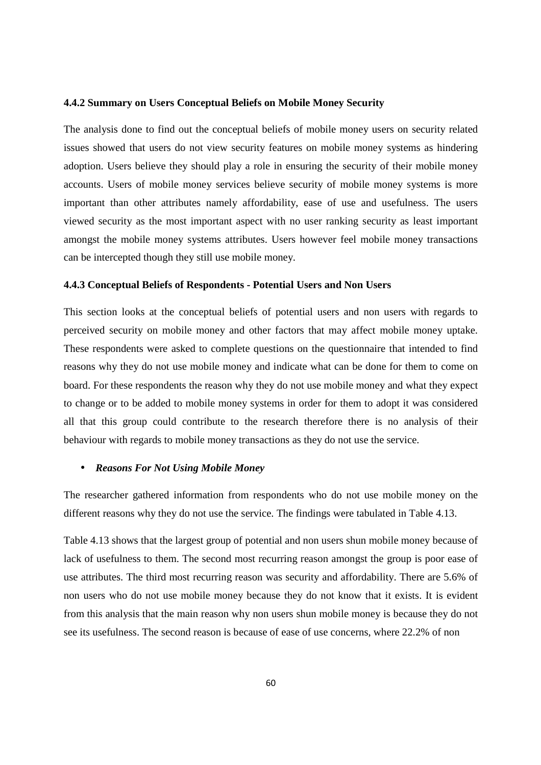#### **4.4.2 Summary on Users Conceptual Beliefs on Mobile Money Security**

The analysis done to find out the conceptual beliefs of mobile money users on security related issues showed that users do not view security features on mobile money systems as hindering adoption. Users believe they should play a role in ensuring the security of their mobile money accounts. Users of mobile money services believe security of mobile money systems is more important than other attributes namely affordability, ease of use and usefulness. The users viewed security as the most important aspect with no user ranking security as least important amongst the mobile money systems attributes. Users however feel mobile money transactions can be intercepted though they still use mobile money.

## **4.4.3 Conceptual Beliefs of Respondents - Potential Users and Non Users**

This section looks at the conceptual beliefs of potential users and non users with regards to perceived security on mobile money and other factors that may affect mobile money uptake. These respondents were asked to complete questions on the questionnaire that intended to find reasons why they do not use mobile money and indicate what can be done for them to come on board. For these respondents the reason why they do not use mobile money and what they expect to change or to be added to mobile money systems in order for them to adopt it was considered all that this group could contribute to the research therefore there is no analysis of their behaviour with regards to mobile money transactions as they do not use the service.

#### • *Reasons For Not Using Mobile Money*

The researcher gathered information from respondents who do not use mobile money on the different reasons why they do not use the service. The findings were tabulated in Table 4.13.

Table 4.13 shows that the largest group of potential and non users shun mobile money because of lack of usefulness to them. The second most recurring reason amongst the group is poor ease of use attributes. The third most recurring reason was security and affordability. There are 5.6% of non users who do not use mobile money because they do not know that it exists. It is evident from this analysis that the main reason why non users shun mobile money is because they do not see its usefulness. The second reason is because of ease of use concerns, where 22.2% of non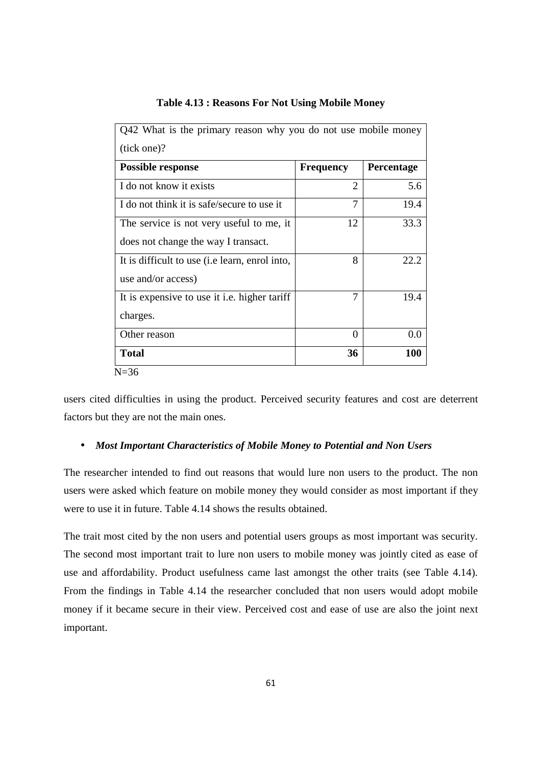| Q42 What is the primary reason why you do not use mobile money |                  |                   |
|----------------------------------------------------------------|------------------|-------------------|
| (tick one)?                                                    |                  |                   |
| <b>Possible response</b>                                       | <b>Frequency</b> | <b>Percentage</b> |
| I do not know it exists                                        | 2                | 5.6               |
| I do not think it is safe/secure to use it                     | 7                | 19.4              |
| The service is not very useful to me, it                       | 12               | 33.3              |
| does not change the way I transact.                            |                  |                   |
| It is difficult to use ( <i>i.e. learn</i> , enrol into,       | 8                | 22.2              |
| use and/or access)                                             |                  |                   |
| It is expensive to use it <i>i.e.</i> higher tariff            | 7                | 19.4              |
| charges.                                                       |                  |                   |
| Other reason                                                   | 0                | 0.0               |
| <b>Total</b>                                                   | 36               | 100               |
| $N = 36$                                                       |                  |                   |

## **Table 4.13 : Reasons For Not Using Mobile Money**

users cited difficulties in using the product. Perceived security features and cost are deterrent factors but they are not the main ones.

## • *Most Important Characteristics of Mobile Money to Potential and Non Users*

The researcher intended to find out reasons that would lure non users to the product. The non users were asked which feature on mobile money they would consider as most important if they were to use it in future. Table 4.14 shows the results obtained.

The trait most cited by the non users and potential users groups as most important was security. The second most important trait to lure non users to mobile money was jointly cited as ease of use and affordability. Product usefulness came last amongst the other traits (see Table 4.14). From the findings in Table 4.14 the researcher concluded that non users would adopt mobile money if it became secure in their view. Perceived cost and ease of use are also the joint next important.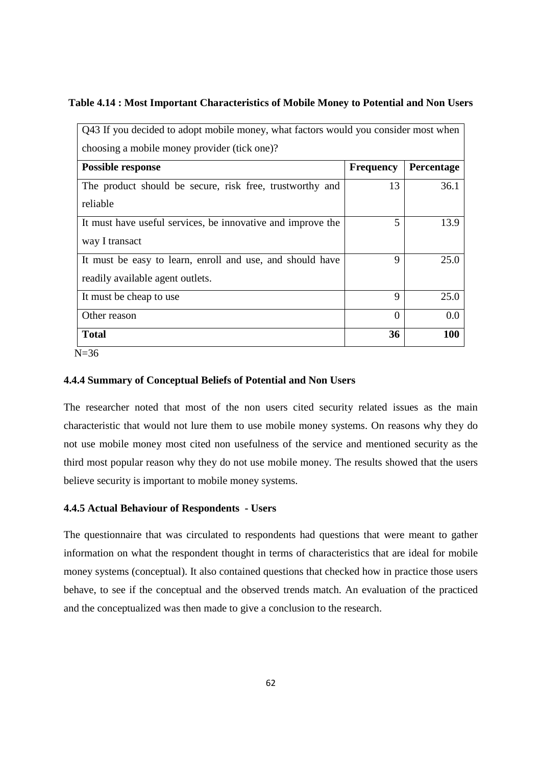## **Table 4.14 : Most Important Characteristics of Mobile Money to Potential and Non Users**

| Q43 If you decided to adopt mobile money, what factors would you consider most when<br>choosing a mobile money provider (tick one)? |                  |            |
|-------------------------------------------------------------------------------------------------------------------------------------|------------------|------------|
| <b>Possible response</b>                                                                                                            | <b>Frequency</b> | Percentage |
| The product should be secure, risk free, trustworthy and<br>reliable                                                                | 13               | 36.1       |
| It must have useful services, be innovative and improve the                                                                         | 5                | 13.9       |
| way I transact<br>It must be easy to learn, enroll and use, and should have                                                         | 9                | 25.0       |
| readily available agent outlets.                                                                                                    |                  |            |
| It must be cheap to use                                                                                                             | 9                | 25.0       |
| Other reason                                                                                                                        | $\Omega$         | 0.0        |
| <b>Total</b>                                                                                                                        | 36               | 100        |

N=36

## **4.4.4 Summary of Conceptual Beliefs of Potential and Non Users**

The researcher noted that most of the non users cited security related issues as the main characteristic that would not lure them to use mobile money systems. On reasons why they do not use mobile money most cited non usefulness of the service and mentioned security as the third most popular reason why they do not use mobile money. The results showed that the users believe security is important to mobile money systems.

## **4.4.5 Actual Behaviour of Respondents - Users**

The questionnaire that was circulated to respondents had questions that were meant to gather information on what the respondent thought in terms of characteristics that are ideal for mobile money systems (conceptual). It also contained questions that checked how in practice those users behave, to see if the conceptual and the observed trends match. An evaluation of the practiced and the conceptualized was then made to give a conclusion to the research.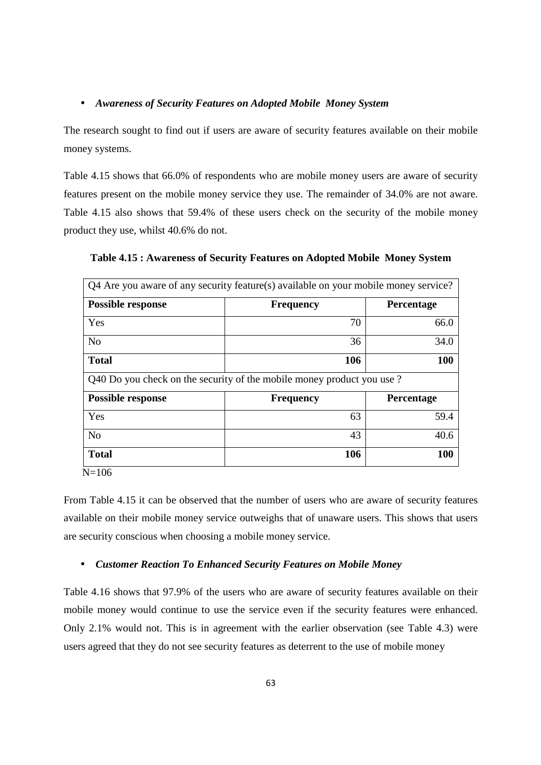### • *Awareness of Security Features on Adopted Mobile Money System*

The research sought to find out if users are aware of security features available on their mobile money systems.

Table 4.15 shows that 66.0% of respondents who are mobile money users are aware of security features present on the mobile money service they use. The remainder of 34.0% are not aware. Table 4.15 also shows that 59.4% of these users check on the security of the mobile money product they use, whilst 40.6% do not.

| <b>Frequency</b><br>70                                                | Percentage<br>66.0 |
|-----------------------------------------------------------------------|--------------------|
|                                                                       |                    |
|                                                                       |                    |
|                                                                       | 34.0               |
| 106                                                                   | 100                |
| Q40 Do you check on the security of the mobile money product you use? |                    |
| <b>Frequency</b>                                                      | Percentage         |
| 63                                                                    | 59.4               |
| 43                                                                    | 40.6               |
| 106                                                                   | 100                |
|                                                                       | 36                 |

**Table 4.15 : Awareness of Security Features on Adopted Mobile Money System** 

 $N=106$ 

From Table 4.15 it can be observed that the number of users who are aware of security features available on their mobile money service outweighs that of unaware users. This shows that users are security conscious when choosing a mobile money service.

### • *Customer Reaction To Enhanced Security Features on Mobile Money*

Table 4.16 shows that 97.9% of the users who are aware of security features available on their mobile money would continue to use the service even if the security features were enhanced. Only 2.1% would not. This is in agreement with the earlier observation (see Table 4.3) were users agreed that they do not see security features as deterrent to the use of mobile money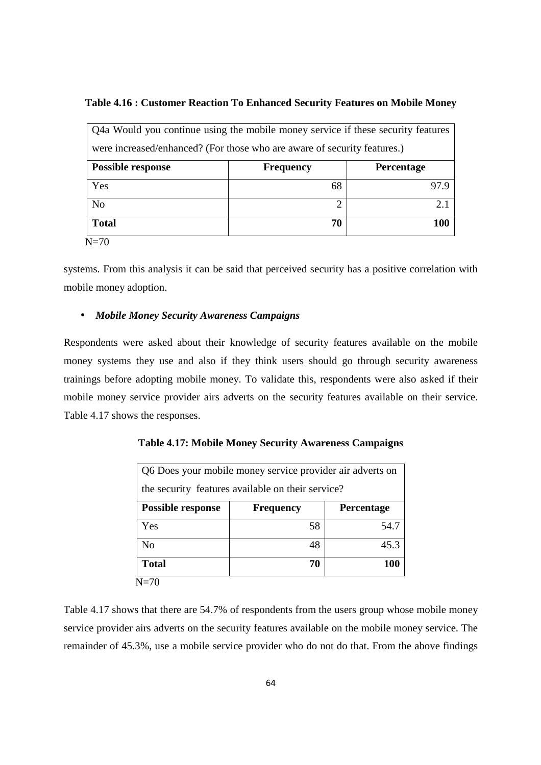## **Table 4.16 : Customer Reaction To Enhanced Security Features on Mobile Money**

| Q4a Would you continue using the mobile money service if these security features |                  |            |
|----------------------------------------------------------------------------------|------------------|------------|
| were increased/enhanced? (For those who are aware of security features.)         |                  |            |
| <b>Possible response</b>                                                         | <b>Frequency</b> | Percentage |
| Yes                                                                              | 68               | 97.9       |
| N <sub>o</sub>                                                                   | ◠                | 2.1        |
| <b>Total</b>                                                                     | 70               | 100        |
| $N=70$                                                                           |                  |            |

systems. From this analysis it can be said that perceived security has a positive correlation with mobile money adoption.

## • *Mobile Money Security Awareness Campaigns*

Respondents were asked about their knowledge of security features available on the mobile money systems they use and also if they think users should go through security awareness trainings before adopting mobile money. To validate this, respondents were also asked if their mobile money service provider airs adverts on the security features available on their service. Table 4.17 shows the responses.

| Q6 Does your mobile money service provider air adverts on |                  |                   |
|-----------------------------------------------------------|------------------|-------------------|
| the security features available on their service?         |                  |                   |
| <b>Possible response</b>                                  | <b>Frequency</b> | <b>Percentage</b> |
| Yes                                                       | 58               | 54.7              |
| N <sub>0</sub>                                            | 48               | 45.3              |
| <b>Total</b>                                              | 70               | 100               |

**Table 4.17: Mobile Money Security Awareness Campaigns** 

Table 4.17 shows that there are 54.7% of respondents from the users group whose mobile money service provider airs adverts on the security features available on the mobile money service. The remainder of 45.3%, use a mobile service provider who do not do that. From the above findings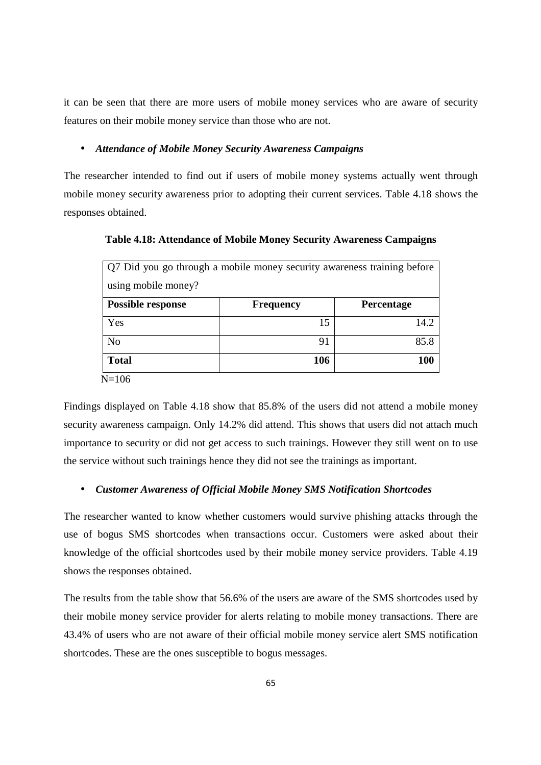it can be seen that there are more users of mobile money services who are aware of security features on their mobile money service than those who are not.

## • *Attendance of Mobile Money Security Awareness Campaigns*

The researcher intended to find out if users of mobile money systems actually went through mobile money security awareness prior to adopting their current services. Table 4.18 shows the responses obtained.

Q7 Did you go through a mobile money security awareness training before using mobile money? **Possible response** Frequency Percentage  $Yes$  15 14.2 No 35.8 **Total 106 100**

**Table 4.18: Attendance of Mobile Money Security Awareness Campaigns** 

N=106

Findings displayed on Table 4.18 show that 85.8% of the users did not attend a mobile money security awareness campaign. Only 14.2% did attend. This shows that users did not attach much importance to security or did not get access to such trainings. However they still went on to use the service without such trainings hence they did not see the trainings as important.

#### • *Customer Awareness of Official Mobile Money SMS Notification Shortcodes*

The researcher wanted to know whether customers would survive phishing attacks through the use of bogus SMS shortcodes when transactions occur. Customers were asked about their knowledge of the official shortcodes used by their mobile money service providers. Table 4.19 shows the responses obtained.

The results from the table show that 56.6% of the users are aware of the SMS shortcodes used by their mobile money service provider for alerts relating to mobile money transactions. There are 43.4% of users who are not aware of their official mobile money service alert SMS notification shortcodes. These are the ones susceptible to bogus messages.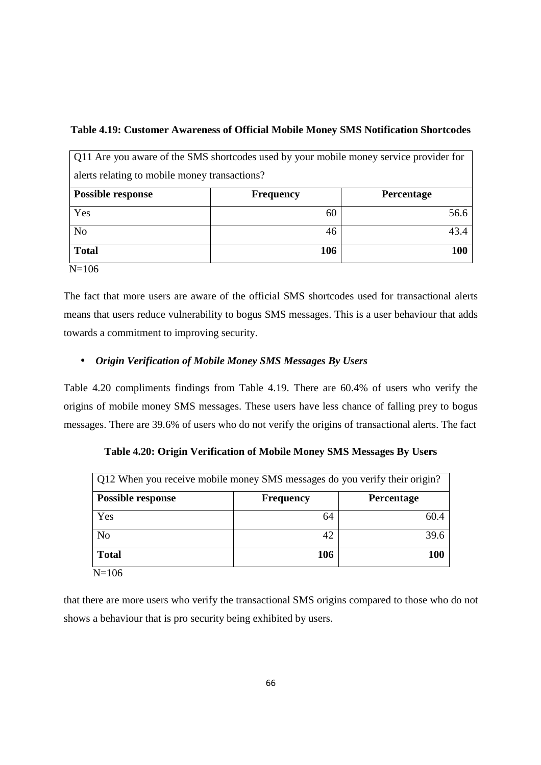## **Table 4.19: Customer Awareness of Official Mobile Money SMS Notification Shortcodes**

|                                               | Q11 Are you aware of the SMS shortcodes used by your mobile money service provider for |            |
|-----------------------------------------------|----------------------------------------------------------------------------------------|------------|
| alerts relating to mobile money transactions? |                                                                                        |            |
| <b>Possible response</b>                      | <b>Frequency</b>                                                                       | Percentage |
| Yes                                           | 60                                                                                     | 56.6       |
| N <sub>o</sub>                                | 46                                                                                     | 43.4       |
| <b>Total</b>                                  | 106                                                                                    | 100        |
| $N = 106$                                     |                                                                                        |            |

The fact that more users are aware of the official SMS shortcodes used for transactional alerts means that users reduce vulnerability to bogus SMS messages. This is a user behaviour that adds towards a commitment to improving security.

## • *Origin Verification of Mobile Money SMS Messages By Users*

Table 4.20 compliments findings from Table 4.19. There are 60.4% of users who verify the origins of mobile money SMS messages. These users have less chance of falling prey to bogus messages. There are 39.6% of users who do not verify the origins of transactional alerts. The fact

| Q12 When you receive mobile money SMS messages do you verify their origin? |                  |            |
|----------------------------------------------------------------------------|------------------|------------|
| <b>Possible response</b>                                                   | <b>Frequency</b> | Percentage |
| Yes                                                                        | 64               | 60.4       |
| N <sub>o</sub>                                                             | 42               | 39.6       |
| <b>Total</b>                                                               | 106              | 100        |

**Table 4.20: Origin Verification of Mobile Money SMS Messages By Users** 

 $N=106$ 

that there are more users who verify the transactional SMS origins compared to those who do not shows a behaviour that is pro security being exhibited by users.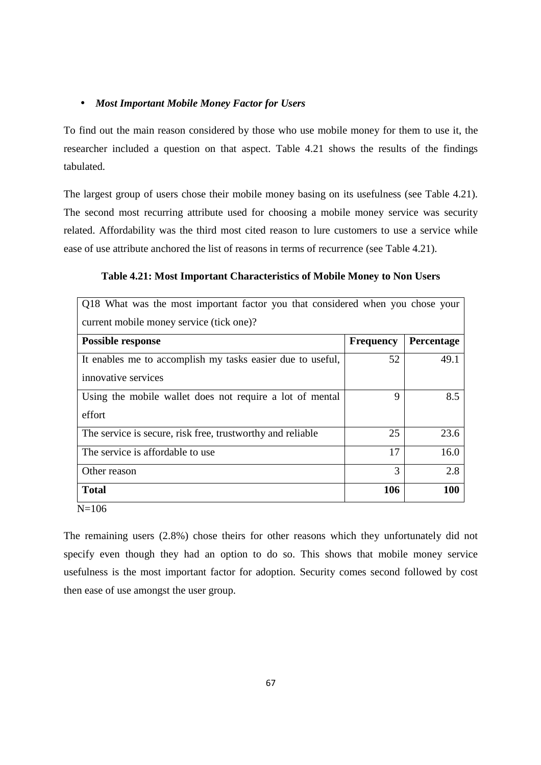## • *Most Important Mobile Money Factor for Users*

To find out the main reason considered by those who use mobile money for them to use it, the researcher included a question on that aspect. Table 4.21 shows the results of the findings tabulated.

The largest group of users chose their mobile money basing on its usefulness (see Table 4.21). The second most recurring attribute used for choosing a mobile money service was security related. Affordability was the third most cited reason to lure customers to use a service while ease of use attribute anchored the list of reasons in terms of recurrence (see Table 4.21).

| Q18 What was the most important factor you that considered when you chose your |                  |            |
|--------------------------------------------------------------------------------|------------------|------------|
| current mobile money service (tick one)?                                       |                  |            |
| <b>Possible response</b>                                                       | <b>Frequency</b> | Percentage |
| It enables me to accomplish my tasks easier due to useful,                     | 52               | 49.1       |
| innovative services                                                            |                  |            |
| Using the mobile wallet does not require a lot of mental                       | 9                | 8.5        |
| effort                                                                         |                  |            |
| The service is secure, risk free, trustworthy and reliable                     | 25               | 23.6       |
| The service is affordable to use.                                              | 17               | 16.0       |
| Other reason                                                                   | 3                | 2.8        |
| <b>Total</b>                                                                   | 106              | 100        |
| $N = 106$                                                                      |                  |            |

**Table 4.21: Most Important Characteristics of Mobile Money to Non Users** 

The remaining users (2.8%) chose theirs for other reasons which they unfortunately did not specify even though they had an option to do so. This shows that mobile money service usefulness is the most important factor for adoption. Security comes second followed by cost then ease of use amongst the user group.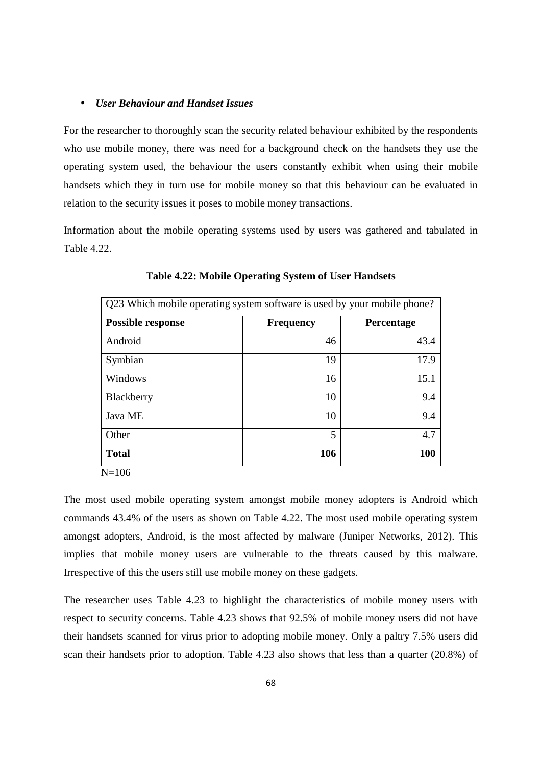#### • *User Behaviour and Handset Issues*

For the researcher to thoroughly scan the security related behaviour exhibited by the respondents who use mobile money, there was need for a background check on the handsets they use the operating system used, the behaviour the users constantly exhibit when using their mobile handsets which they in turn use for mobile money so that this behaviour can be evaluated in relation to the security issues it poses to mobile money transactions.

Information about the mobile operating systems used by users was gathered and tabulated in Table 4.22.

| <b>Possible response</b> | <b>Frequency</b> | Percentage |
|--------------------------|------------------|------------|
| Android                  | 46               | 43.4       |
| Symbian                  | 19               | 17.9       |
| Windows                  | 16               | 15.1       |
| Blackberry               | 10               | 9.4        |
| Java ME                  | 10               | 9.4        |
| Other                    | 5                | 4.7        |
| <b>Total</b>             | 106              | 100        |

**Table 4.22: Mobile Operating System of User Handsets**

The most used mobile operating system amongst mobile money adopters is Android which commands 43.4% of the users as shown on Table 4.22. The most used mobile operating system amongst adopters, Android, is the most affected by malware (Juniper Networks, 2012). This implies that mobile money users are vulnerable to the threats caused by this malware. Irrespective of this the users still use mobile money on these gadgets.

The researcher uses Table 4.23 to highlight the characteristics of mobile money users with respect to security concerns. Table 4.23 shows that 92.5% of mobile money users did not have their handsets scanned for virus prior to adopting mobile money. Only a paltry 7.5% users did scan their handsets prior to adoption. Table 4.23 also shows that less than a quarter (20.8%) of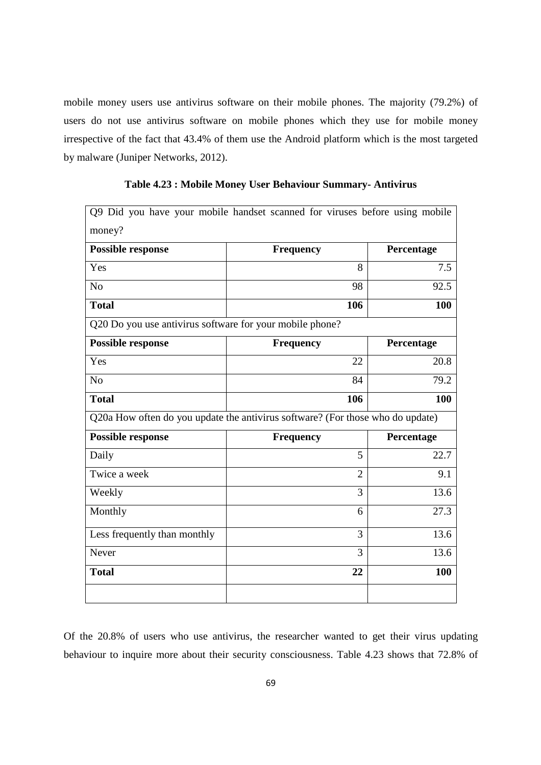mobile money users use antivirus software on their mobile phones. The majority (79.2%) of users do not use antivirus software on mobile phones which they use for mobile money irrespective of the fact that 43.4% of them use the Android platform which is the most targeted by malware (Juniper Networks, 2012).

|                                                          | Q9 Did you have your mobile handset scanned for viruses before using mobile    |            |
|----------------------------------------------------------|--------------------------------------------------------------------------------|------------|
| money?                                                   |                                                                                |            |
| Possible response                                        | <b>Frequency</b>                                                               | Percentage |
| Yes                                                      | 8                                                                              | 7.5        |
| N <sub>o</sub>                                           | 98                                                                             | 92.5       |
| <b>Total</b>                                             | 106                                                                            | 100        |
| Q20 Do you use antivirus software for your mobile phone? |                                                                                |            |
| <b>Possible response</b>                                 | <b>Frequency</b>                                                               | Percentage |
| Yes                                                      | 22                                                                             | 20.8       |
| N <sub>o</sub>                                           | 84                                                                             | 79.2       |
| <b>Total</b>                                             | 106                                                                            | 100        |
|                                                          | Q20a How often do you update the antivirus software? (For those who do update) |            |
| <b>Possible response</b>                                 | <b>Frequency</b>                                                               | Percentage |
| Daily                                                    | 5                                                                              | 22.7       |
| Twice a week                                             | $\overline{2}$                                                                 | 9.1        |
| Weekly                                                   | 3                                                                              | 13.6       |
| Monthly                                                  | 6                                                                              | 27.3       |
| Less frequently than monthly                             | 3                                                                              | 13.6       |
| Never                                                    | 3                                                                              | 13.6       |
| <b>Total</b>                                             | 22                                                                             | 100        |
|                                                          |                                                                                |            |

**Table 4.23 : Mobile Money User Behaviour Summary- Antivirus**

Of the 20.8% of users who use antivirus, the researcher wanted to get their virus updating behaviour to inquire more about their security consciousness. Table 4.23 shows that 72.8% of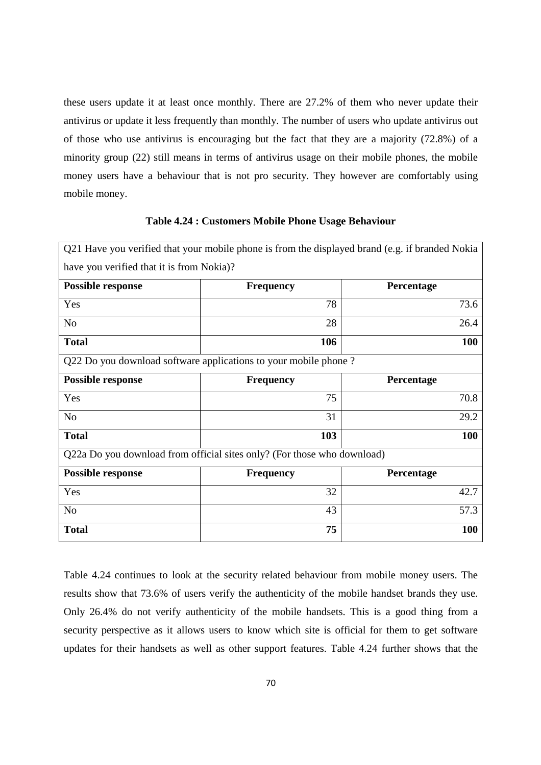these users update it at least once monthly. There are 27.2% of them who never update their antivirus or update it less frequently than monthly. The number of users who update antivirus out of those who use antivirus is encouraging but the fact that they are a majority (72.8%) of a minority group (22) still means in terms of antivirus usage on their mobile phones, the mobile money users have a behaviour that is not pro security. They however are comfortably using mobile money.

#### **Table 4.24 : Customers Mobile Phone Usage Behaviour**

|                                           | Q21 Have you verified that your mobile phone is from the displayed brand (e.g. if branded Nokia |            |
|-------------------------------------------|-------------------------------------------------------------------------------------------------|------------|
| have you verified that it is from Nokia)? |                                                                                                 |            |
| <b>Possible response</b>                  | <b>Frequency</b>                                                                                | Percentage |
| Yes                                       | 78                                                                                              | 73.6       |
| N <sub>o</sub>                            | 28                                                                                              | 26.4       |
| <b>Total</b>                              | 106                                                                                             | <b>100</b> |
|                                           | Q22 Do you download software applications to your mobile phone?                                 |            |
| <b>Possible response</b>                  | <b>Frequency</b>                                                                                | Percentage |
| Yes                                       | 75                                                                                              | 70.8       |
| N <sub>o</sub>                            | 31                                                                                              | 29.2       |
| <b>Total</b>                              | 103                                                                                             | <b>100</b> |
|                                           | Q22a Do you download from official sites only? (For those who download)                         |            |
| <b>Possible response</b>                  | <b>Frequency</b>                                                                                | Percentage |
| Yes                                       | 32                                                                                              | 42.7       |
| N <sub>o</sub>                            | 43                                                                                              | 57.3       |
| <b>Total</b>                              | 75                                                                                              | <b>100</b> |

Table 4.24 continues to look at the security related behaviour from mobile money users. The results show that 73.6% of users verify the authenticity of the mobile handset brands they use. Only 26.4% do not verify authenticity of the mobile handsets. This is a good thing from a security perspective as it allows users to know which site is official for them to get software updates for their handsets as well as other support features. Table 4.24 further shows that the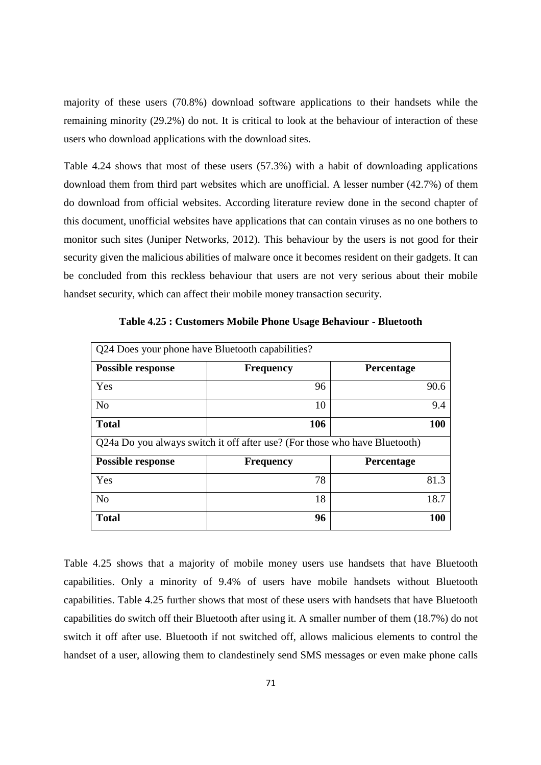majority of these users (70.8%) download software applications to their handsets while the remaining minority (29.2%) do not. It is critical to look at the behaviour of interaction of these users who download applications with the download sites.

Table 4.24 shows that most of these users (57.3%) with a habit of downloading applications download them from third part websites which are unofficial. A lesser number (42.7%) of them do download from official websites. According literature review done in the second chapter of this document, unofficial websites have applications that can contain viruses as no one bothers to monitor such sites (Juniper Networks, 2012). This behaviour by the users is not good for their security given the malicious abilities of malware once it becomes resident on their gadgets. It can be concluded from this reckless behaviour that users are not very serious about their mobile handset security, which can affect their mobile money transaction security.

| Q24 Does your phone have Bluetooth capabilities? |                                                                            |                   |
|--------------------------------------------------|----------------------------------------------------------------------------|-------------------|
| <b>Possible response</b>                         | <b>Frequency</b>                                                           | Percentage        |
| Yes                                              | 96                                                                         | 90.6              |
| N <sub>0</sub>                                   | 10                                                                         | 9.4               |
| <b>Total</b>                                     | 106                                                                        | 100               |
|                                                  | Q24a Do you always switch it off after use? (For those who have Bluetooth) |                   |
| <b>Possible response</b>                         | <b>Frequency</b>                                                           | <b>Percentage</b> |
|                                                  |                                                                            |                   |
| Yes                                              | 78                                                                         | 81.3              |
| N <sub>o</sub>                                   | 18                                                                         | 18.7              |

**Table 4.25 : Customers Mobile Phone Usage Behaviour - Bluetooth**

Table 4.25 shows that a majority of mobile money users use handsets that have Bluetooth capabilities. Only a minority of 9.4% of users have mobile handsets without Bluetooth capabilities. Table 4.25 further shows that most of these users with handsets that have Bluetooth capabilities do switch off their Bluetooth after using it. A smaller number of them (18.7%) do not switch it off after use. Bluetooth if not switched off, allows malicious elements to control the handset of a user, allowing them to clandestinely send SMS messages or even make phone calls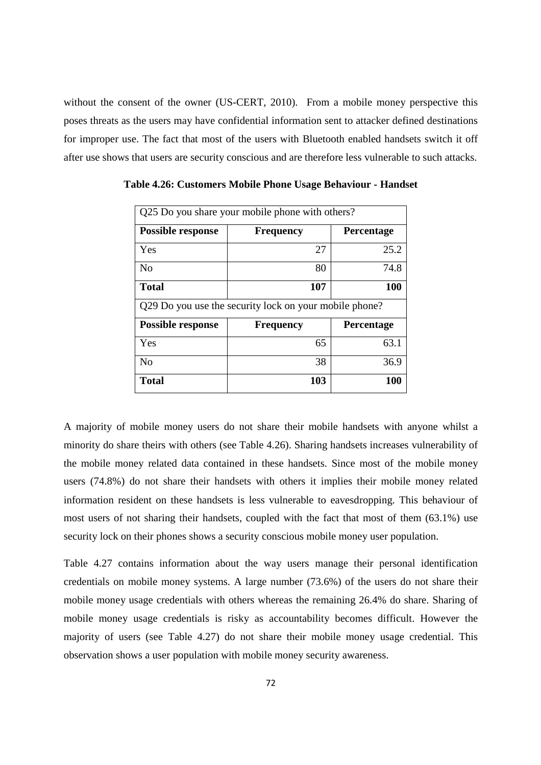without the consent of the owner (US-CERT, 2010). From a mobile money perspective this poses threats as the users may have confidential information sent to attacker defined destinations for improper use. The fact that most of the users with Bluetooth enabled handsets switch it off after use shows that users are security conscious and are therefore less vulnerable to such attacks.

| Q25 Do you share your mobile phone with others?        |                  |                   |  |  |
|--------------------------------------------------------|------------------|-------------------|--|--|
| <b>Possible response</b>                               | <b>Frequency</b> | <b>Percentage</b> |  |  |
| Yes                                                    | 27               | 25.2              |  |  |
| N <sub>0</sub>                                         | 80               | 74.8              |  |  |
| <b>Total</b>                                           | 107              | 100               |  |  |
| Q29 Do you use the security lock on your mobile phone? |                  |                   |  |  |
|                                                        |                  |                   |  |  |
| <b>Possible response</b>                               | <b>Frequency</b> | Percentage        |  |  |
| Yes                                                    | 65               | 63.1              |  |  |
| N <sub>0</sub>                                         | 38               | 36.9              |  |  |

**Table 4.26: Customers Mobile Phone Usage Behaviour - Handset**

A majority of mobile money users do not share their mobile handsets with anyone whilst a minority do share theirs with others (see Table 4.26). Sharing handsets increases vulnerability of the mobile money related data contained in these handsets. Since most of the mobile money users (74.8%) do not share their handsets with others it implies their mobile money related information resident on these handsets is less vulnerable to eavesdropping. This behaviour of most users of not sharing their handsets, coupled with the fact that most of them (63.1%) use security lock on their phones shows a security conscious mobile money user population.

Table 4.27 contains information about the way users manage their personal identification credentials on mobile money systems. A large number (73.6%) of the users do not share their mobile money usage credentials with others whereas the remaining 26.4% do share. Sharing of mobile money usage credentials is risky as accountability becomes difficult. However the majority of users (see Table 4.27) do not share their mobile money usage credential. This observation shows a user population with mobile money security awareness.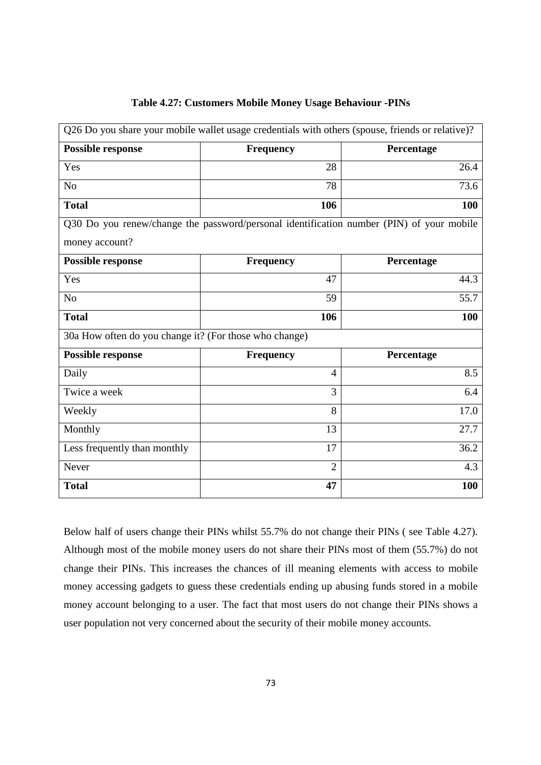|                                                        | Q26 Do you share your mobile wallet usage credentials with others (spouse, friends or relative)? |            |  |
|--------------------------------------------------------|--------------------------------------------------------------------------------------------------|------------|--|
| <b>Possible response</b>                               | <b>Frequency</b><br>Percentage                                                                   |            |  |
| Yes                                                    | 28                                                                                               | 26.4       |  |
| N <sub>o</sub>                                         | 78                                                                                               | 73.6       |  |
| <b>Total</b>                                           | 106                                                                                              |            |  |
|                                                        | Q30 Do you renew/change the password/personal identification number (PIN) of your mobile         |            |  |
| money account?                                         |                                                                                                  |            |  |
| <b>Possible response</b>                               | <b>Frequency</b>                                                                                 | Percentage |  |
| Yes                                                    | 47                                                                                               | 44.3       |  |
| N <sub>o</sub>                                         | 59                                                                                               | 55.7       |  |
| <b>Total</b>                                           | 106                                                                                              | 100        |  |
| 30a How often do you change it? (For those who change) |                                                                                                  |            |  |
| <b>Possible response</b>                               | <b>Frequency</b>                                                                                 | Percentage |  |
| Daily                                                  | 4                                                                                                | 8.5        |  |
| Twice a week                                           | 3                                                                                                | 6.4        |  |
| Weekly                                                 | 8                                                                                                | 17.0       |  |
| Monthly                                                | 13                                                                                               | 27.7       |  |
| Less frequently than monthly                           | 17                                                                                               | 36.2       |  |
| Never                                                  | $\overline{2}$                                                                                   | 4.3        |  |
| <b>Total</b>                                           | 47                                                                                               | 100        |  |

## **Table 4.27: Customers Mobile Money Usage Behaviour -PINs**

Below half of users change their PINs whilst 55.7% do not change their PINs ( see Table 4.27). Although most of the mobile money users do not share their PINs most of them (55.7%) do not change their PINs. This increases the chances of ill meaning elements with access to mobile money accessing gadgets to guess these credentials ending up abusing funds stored in a mobile money account belonging to a user. The fact that most users do not change their PINs shows a user population not very concerned about the security of their mobile money accounts.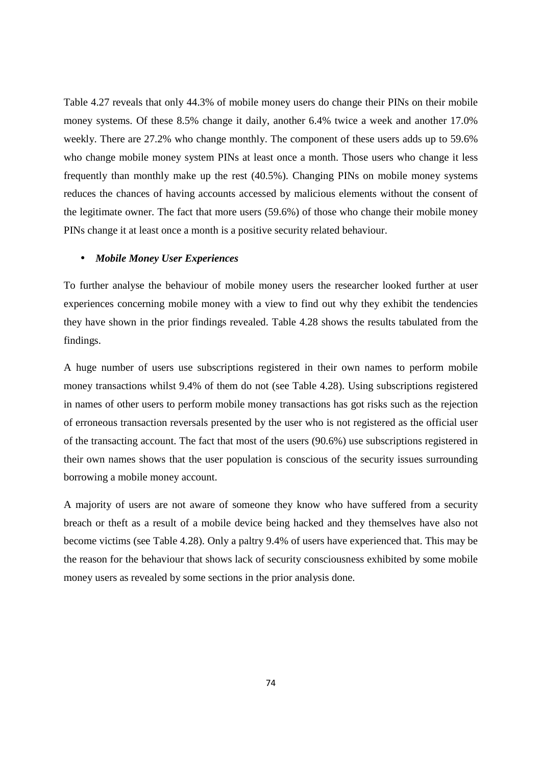Table 4.27 reveals that only 44.3% of mobile money users do change their PINs on their mobile money systems. Of these 8.5% change it daily, another 6.4% twice a week and another 17.0% weekly. There are 27.2% who change monthly. The component of these users adds up to 59.6% who change mobile money system PINs at least once a month. Those users who change it less frequently than monthly make up the rest (40.5%). Changing PINs on mobile money systems reduces the chances of having accounts accessed by malicious elements without the consent of the legitimate owner. The fact that more users (59.6%) of those who change their mobile money PINs change it at least once a month is a positive security related behaviour.

## • *Mobile Money User Experiences*

To further analyse the behaviour of mobile money users the researcher looked further at user experiences concerning mobile money with a view to find out why they exhibit the tendencies they have shown in the prior findings revealed. Table 4.28 shows the results tabulated from the findings.

A huge number of users use subscriptions registered in their own names to perform mobile money transactions whilst 9.4% of them do not (see Table 4.28). Using subscriptions registered in names of other users to perform mobile money transactions has got risks such as the rejection of erroneous transaction reversals presented by the user who is not registered as the official user of the transacting account. The fact that most of the users (90.6%) use subscriptions registered in their own names shows that the user population is conscious of the security issues surrounding borrowing a mobile money account.

A majority of users are not aware of someone they know who have suffered from a security breach or theft as a result of a mobile device being hacked and they themselves have also not become victims (see Table 4.28). Only a paltry 9.4% of users have experienced that. This may be the reason for the behaviour that shows lack of security consciousness exhibited by some mobile money users as revealed by some sections in the prior analysis done.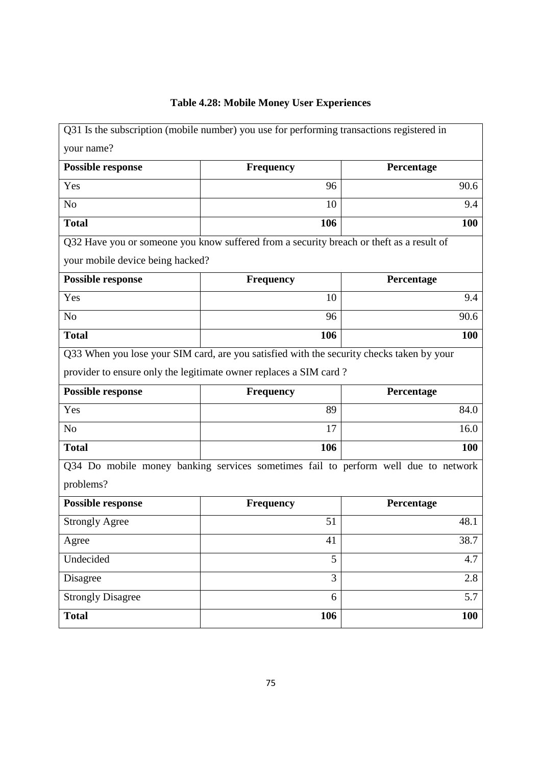## **Table 4.28: Mobile Money User Experiences**

|                                                                                    | Q31 Is the subscription (mobile number) you use for performing transactions registered in |            |  |  |
|------------------------------------------------------------------------------------|-------------------------------------------------------------------------------------------|------------|--|--|
| your name?                                                                         |                                                                                           |            |  |  |
| <b>Possible response</b>                                                           | <b>Frequency</b><br>Percentage                                                            |            |  |  |
| Yes                                                                                | 96                                                                                        |            |  |  |
| N <sub>o</sub>                                                                     | 10                                                                                        |            |  |  |
| <b>Total</b>                                                                       | 106                                                                                       |            |  |  |
|                                                                                    | Q32 Have you or someone you know suffered from a security breach or theft as a result of  |            |  |  |
| your mobile device being hacked?                                                   |                                                                                           |            |  |  |
| <b>Possible response</b>                                                           | Percentage<br><b>Frequency</b>                                                            |            |  |  |
| Yes                                                                                | 10                                                                                        | 9.4        |  |  |
| N <sub>o</sub>                                                                     | 96                                                                                        |            |  |  |
| <b>Total</b>                                                                       | 106                                                                                       |            |  |  |
|                                                                                    | Q33 When you lose your SIM card, are you satisfied with the security checks taken by your |            |  |  |
|                                                                                    | provider to ensure only the legitimate owner replaces a SIM card?                         |            |  |  |
| <b>Possible response</b>                                                           | <b>Frequency</b><br>Percentage                                                            |            |  |  |
| Yes                                                                                | 89                                                                                        | 84.0       |  |  |
| N <sub>o</sub>                                                                     | 17                                                                                        |            |  |  |
| <b>Total</b>                                                                       | 106                                                                                       |            |  |  |
| Q34 Do mobile money banking services sometimes fail to perform well due to network |                                                                                           |            |  |  |
| problems?                                                                          |                                                                                           |            |  |  |
| <b>Possible response</b>                                                           | Percentage<br><b>Frequency</b>                                                            |            |  |  |
| <b>Strongly Agree</b>                                                              | 51                                                                                        | 48.1       |  |  |
| Agree                                                                              | 41                                                                                        | 38.7       |  |  |
| Undecided                                                                          | 5                                                                                         | 4.7        |  |  |
| Disagree                                                                           | 3                                                                                         | 2.8        |  |  |
| <b>Strongly Disagree</b>                                                           | 6                                                                                         | 5.7        |  |  |
| <b>Total</b>                                                                       | 106                                                                                       | <b>100</b> |  |  |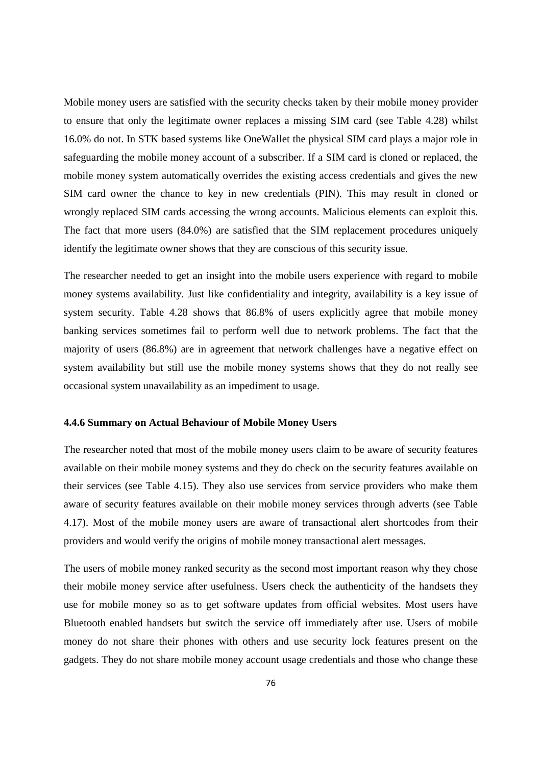Mobile money users are satisfied with the security checks taken by their mobile money provider to ensure that only the legitimate owner replaces a missing SIM card (see Table 4.28) whilst 16.0% do not. In STK based systems like OneWallet the physical SIM card plays a major role in safeguarding the mobile money account of a subscriber. If a SIM card is cloned or replaced, the mobile money system automatically overrides the existing access credentials and gives the new SIM card owner the chance to key in new credentials (PIN). This may result in cloned or wrongly replaced SIM cards accessing the wrong accounts. Malicious elements can exploit this. The fact that more users (84.0%) are satisfied that the SIM replacement procedures uniquely identify the legitimate owner shows that they are conscious of this security issue.

The researcher needed to get an insight into the mobile users experience with regard to mobile money systems availability. Just like confidentiality and integrity, availability is a key issue of system security. Table 4.28 shows that 86.8% of users explicitly agree that mobile money banking services sometimes fail to perform well due to network problems. The fact that the majority of users (86.8%) are in agreement that network challenges have a negative effect on system availability but still use the mobile money systems shows that they do not really see occasional system unavailability as an impediment to usage.

## **4.4.6 Summary on Actual Behaviour of Mobile Money Users**

The researcher noted that most of the mobile money users claim to be aware of security features available on their mobile money systems and they do check on the security features available on their services (see Table 4.15). They also use services from service providers who make them aware of security features available on their mobile money services through adverts (see Table 4.17). Most of the mobile money users are aware of transactional alert shortcodes from their providers and would verify the origins of mobile money transactional alert messages.

The users of mobile money ranked security as the second most important reason why they chose their mobile money service after usefulness. Users check the authenticity of the handsets they use for mobile money so as to get software updates from official websites. Most users have Bluetooth enabled handsets but switch the service off immediately after use. Users of mobile money do not share their phones with others and use security lock features present on the gadgets. They do not share mobile money account usage credentials and those who change these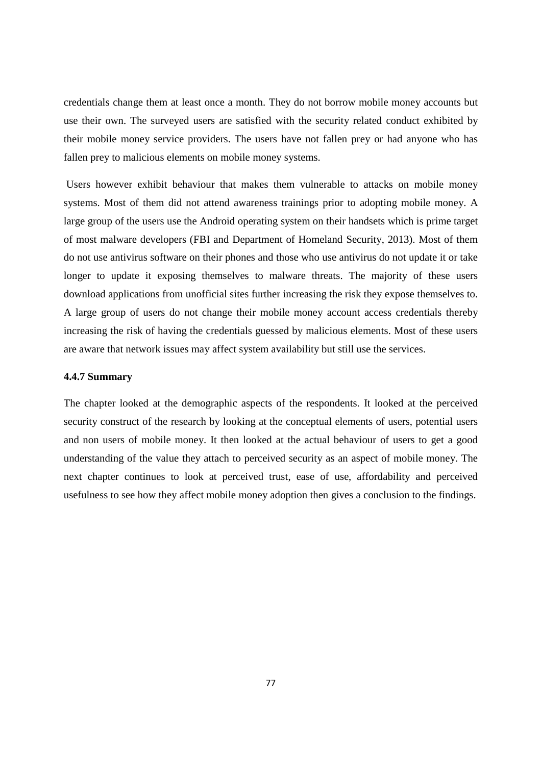credentials change them at least once a month. They do not borrow mobile money accounts but use their own. The surveyed users are satisfied with the security related conduct exhibited by their mobile money service providers. The users have not fallen prey or had anyone who has fallen prey to malicious elements on mobile money systems.

 Users however exhibit behaviour that makes them vulnerable to attacks on mobile money systems. Most of them did not attend awareness trainings prior to adopting mobile money. A large group of the users use the Android operating system on their handsets which is prime target of most malware developers (FBI and Department of Homeland Security, 2013). Most of them do not use antivirus software on their phones and those who use antivirus do not update it or take longer to update it exposing themselves to malware threats. The majority of these users download applications from unofficial sites further increasing the risk they expose themselves to. A large group of users do not change their mobile money account access credentials thereby increasing the risk of having the credentials guessed by malicious elements. Most of these users are aware that network issues may affect system availability but still use the services.

## **4.4.7 Summary**

The chapter looked at the demographic aspects of the respondents. It looked at the perceived security construct of the research by looking at the conceptual elements of users, potential users and non users of mobile money. It then looked at the actual behaviour of users to get a good understanding of the value they attach to perceived security as an aspect of mobile money. The next chapter continues to look at perceived trust, ease of use, affordability and perceived usefulness to see how they affect mobile money adoption then gives a conclusion to the findings.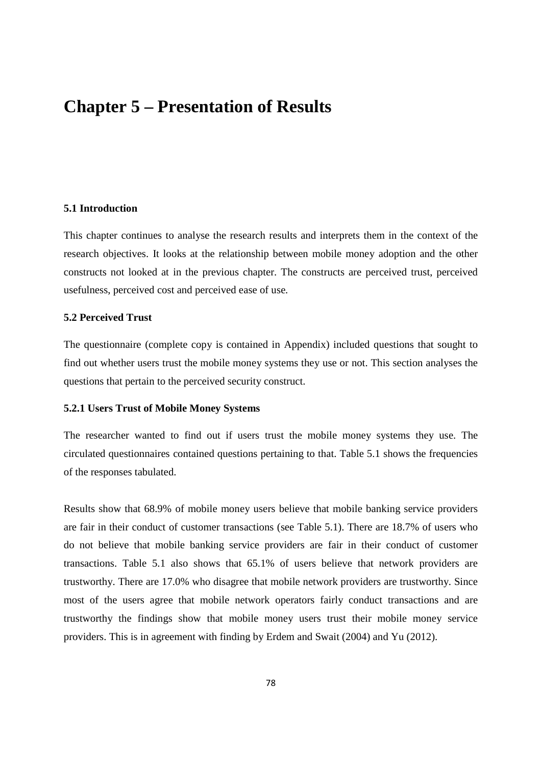# **Chapter 5 – Presentation of Results**

## **5.1 Introduction**

This chapter continues to analyse the research results and interprets them in the context of the research objectives. It looks at the relationship between mobile money adoption and the other constructs not looked at in the previous chapter. The constructs are perceived trust, perceived usefulness, perceived cost and perceived ease of use.

## **5.2 Perceived Trust**

The questionnaire (complete copy is contained in Appendix) included questions that sought to find out whether users trust the mobile money systems they use or not. This section analyses the questions that pertain to the perceived security construct.

## **5.2.1 Users Trust of Mobile Money Systems**

The researcher wanted to find out if users trust the mobile money systems they use. The circulated questionnaires contained questions pertaining to that. Table 5.1 shows the frequencies of the responses tabulated.

Results show that 68.9% of mobile money users believe that mobile banking service providers are fair in their conduct of customer transactions (see Table 5.1). There are 18.7% of users who do not believe that mobile banking service providers are fair in their conduct of customer transactions. Table 5.1 also shows that 65.1% of users believe that network providers are trustworthy. There are 17.0% who disagree that mobile network providers are trustworthy. Since most of the users agree that mobile network operators fairly conduct transactions and are trustworthy the findings show that mobile money users trust their mobile money service providers. This is in agreement with finding by Erdem and Swait (2004) and Yu (2012).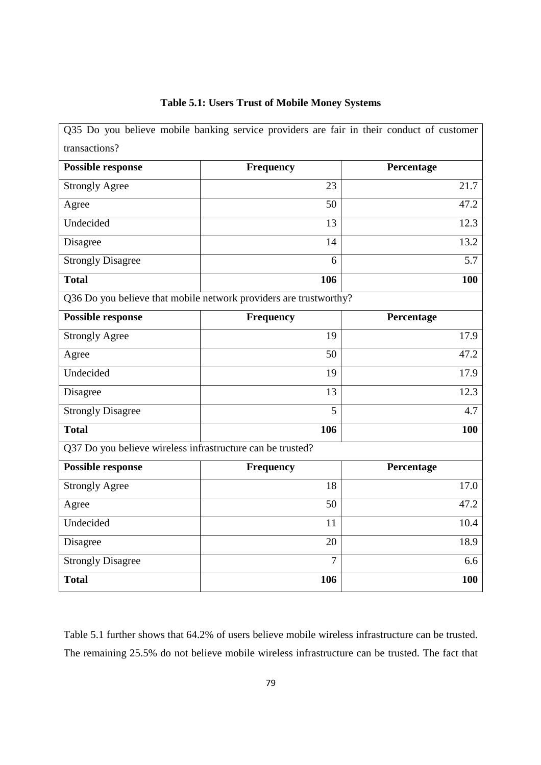|                                                            | Q35 Do you believe mobile banking service providers are fair in their conduct of customer |            |  |
|------------------------------------------------------------|-------------------------------------------------------------------------------------------|------------|--|
| transactions?                                              |                                                                                           |            |  |
| <b>Possible response</b>                                   | <b>Frequency</b>                                                                          | Percentage |  |
| <b>Strongly Agree</b>                                      | 23                                                                                        | 21.7       |  |
| Agree                                                      | 50                                                                                        | 47.2       |  |
| Undecided                                                  | 13                                                                                        | 12.3       |  |
| Disagree                                                   | 14                                                                                        | 13.2       |  |
| <b>Strongly Disagree</b>                                   | 6                                                                                         | 5.7        |  |
| <b>Total</b>                                               | 106                                                                                       | 100        |  |
|                                                            | Q36 Do you believe that mobile network providers are trustworthy?                         |            |  |
| <b>Possible response</b>                                   | <b>Frequency</b>                                                                          | Percentage |  |
| <b>Strongly Agree</b>                                      | 19                                                                                        | 17.9       |  |
| Agree                                                      | 50                                                                                        | 47.2       |  |
| Undecided                                                  | 19                                                                                        | 17.9       |  |
| Disagree                                                   | 13                                                                                        | 12.3       |  |
| <b>Strongly Disagree</b>                                   | $\overline{5}$                                                                            | 4.7        |  |
| <b>Total</b>                                               | 106                                                                                       | 100        |  |
| Q37 Do you believe wireless infrastructure can be trusted? |                                                                                           |            |  |
| <b>Possible response</b>                                   | <b>Frequency</b>                                                                          | Percentage |  |
| <b>Strongly Agree</b>                                      | 18                                                                                        | 17.0       |  |
| Agree                                                      | 50                                                                                        | 47.2       |  |
| Undecided                                                  | 11                                                                                        | 10.4       |  |
| Disagree                                                   | 20                                                                                        | 18.9       |  |
| <b>Strongly Disagree</b>                                   | $\overline{7}$                                                                            | 6.6        |  |
| <b>Total</b>                                               | 106                                                                                       | 100        |  |

## **Table 5.1: Users Trust of Mobile Money Systems**

Table 5.1 further shows that 64.2% of users believe mobile wireless infrastructure can be trusted. The remaining 25.5% do not believe mobile wireless infrastructure can be trusted. The fact that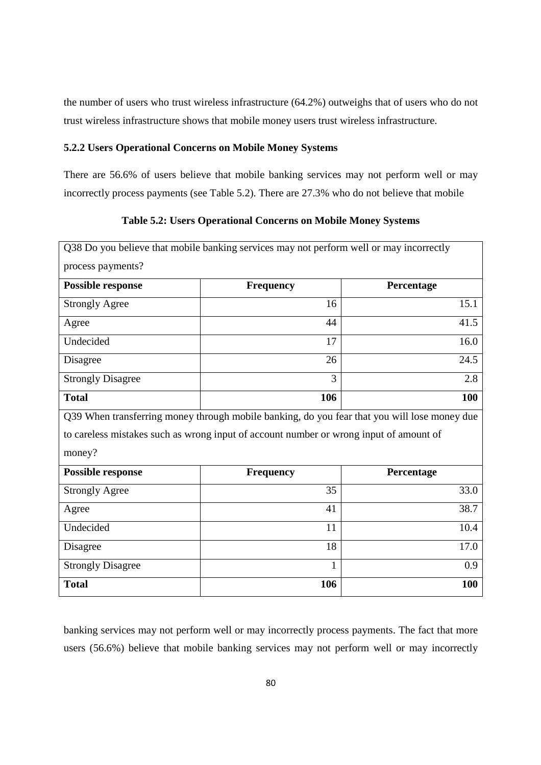the number of users who trust wireless infrastructure (64.2%) outweighs that of users who do not trust wireless infrastructure shows that mobile money users trust wireless infrastructure.

## **5.2.2 Users Operational Concerns on Mobile Money Systems**

There are 56.6% of users believe that mobile banking services may not perform well or may incorrectly process payments (see Table 5.2). There are 27.3% who do not believe that mobile

**Table 5.2: Users Operational Concerns on Mobile Money Systems**

|                          | Q38 Do you believe that mobile banking services may not perform well or may incorrectly      |            |
|--------------------------|----------------------------------------------------------------------------------------------|------------|
| process payments?        |                                                                                              |            |
| <b>Possible response</b> | <b>Frequency</b>                                                                             | Percentage |
| <b>Strongly Agree</b>    | 16                                                                                           | 15.1       |
| Agree                    | 44                                                                                           | 41.5       |
| Undecided                | 17                                                                                           | 16.0       |
| Disagree                 | 26                                                                                           | 24.5       |
| <b>Strongly Disagree</b> | 3                                                                                            | 2.8        |
| <b>Total</b>             | 106                                                                                          | 100        |
|                          | Q39 When transferring money through mobile banking, do you fear that you will lose money due |            |
|                          | to careless mistakes such as wrong input of account number or wrong input of amount of       |            |
| money?                   |                                                                                              |            |
| <b>Possible response</b> | <b>Frequency</b>                                                                             | Percentage |
| <b>Strongly Agree</b>    | 35                                                                                           | 33.0       |
| Agree                    | 41                                                                                           | 38.7       |
| Undecided                | 11                                                                                           | 10.4       |
| Disagree                 | 18                                                                                           | 17.0       |
| <b>Strongly Disagree</b> | $\mathbf{1}$                                                                                 | 0.9        |
|                          |                                                                                              |            |

banking services may not perform well or may incorrectly process payments. The fact that more users (56.6%) believe that mobile banking services may not perform well or may incorrectly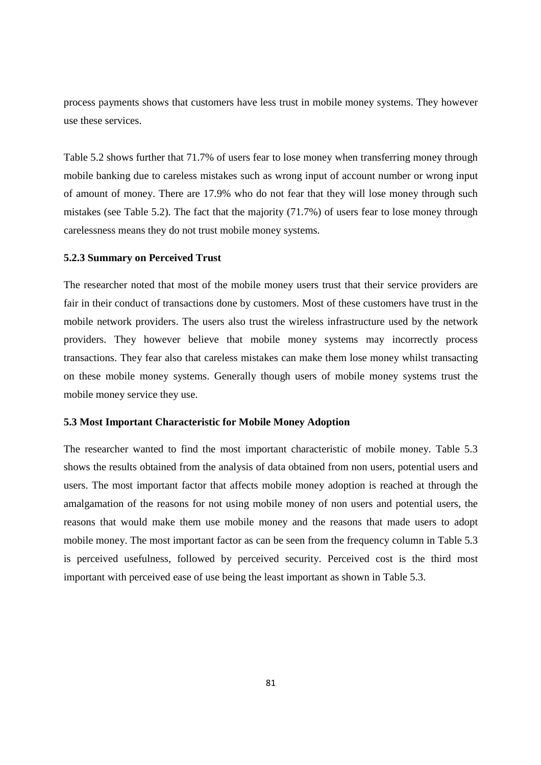process payments shows that customers have less trust in mobile money systems. They however use these services.

Table 5.2 shows further that 71.7% of users fear to lose money when transferring money through mobile banking due to careless mistakes such as wrong input of account number or wrong input of amount of money. There are 17.9% who do not fear that they will lose money through such mistakes (see Table 5.2). The fact that the majority (71.7%) of users fear to lose money through carelessness means they do not trust mobile money systems.

### **5.2.3 Summary on Perceived Trust**

The researcher noted that most of the mobile money users trust that their service providers are fair in their conduct of transactions done by customers. Most of these customers have trust in the mobile network providers. The users also trust the wireless infrastructure used by the network providers. They however believe that mobile money systems may incorrectly process transactions. They fear also that careless mistakes can make them lose money whilst transacting on these mobile money systems. Generally though users of mobile money systems trust the mobile money service they use.

### **5.3 Most Important Characteristic for Mobile Money Adoption**

The researcher wanted to find the most important characteristic of mobile money. Table 5.3 shows the results obtained from the analysis of data obtained from non users, potential users and users. The most important factor that affects mobile money adoption is reached at through the amalgamation of the reasons for not using mobile money of non users and potential users, the reasons that would make them use mobile money and the reasons that made users to adopt mobile money. The most important factor as can be seen from the frequency column in Table 5.3 is perceived usefulness, followed by perceived security. Perceived cost is the third most important with perceived ease of use being the least important as shown in Table 5.3.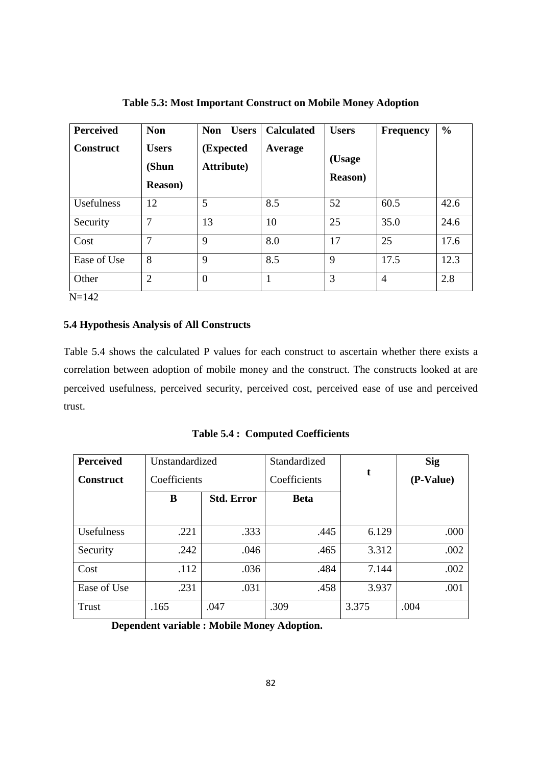| <b>Perceived</b><br><b>Construct</b> | <b>Non</b><br><b>Users</b><br>(Shun<br><b>Reason</b> ) | <b>Non</b><br><b>Users</b><br>(Expected<br><b>Attribute</b> ) | <b>Calculated</b><br>Average | <b>Users</b><br>(Usage<br><b>Reason</b> ) | <b>Frequency</b> | $\frac{6}{9}$ |
|--------------------------------------|--------------------------------------------------------|---------------------------------------------------------------|------------------------------|-------------------------------------------|------------------|---------------|
| Usefulness                           | 12                                                     | 5                                                             | 8.5                          | 52                                        | 60.5             | 42.6          |
| Security                             | 7                                                      | 13                                                            | 10                           | 25                                        | 35.0             | 24.6          |
| Cost                                 | 7                                                      | 9                                                             | 8.0                          | 17                                        | 25               | 17.6          |
| Ease of Use                          | 8                                                      | 9                                                             | 8.5                          | 9                                         | 17.5             | 12.3          |
| Other<br>$\mathbf{v}$ $\mathbf{v}$   | $\overline{2}$                                         | $\Omega$                                                      |                              | 3                                         | $\overline{4}$   | 2.8           |

**Table 5.3: Most Important Construct on Mobile Money Adoption** 

N=142

## **5.4 Hypothesis Analysis of All Constructs**

Table 5.4 shows the calculated P values for each construct to ascertain whether there exists a correlation between adoption of mobile money and the construct. The constructs looked at are perceived usefulness, perceived security, perceived cost, perceived ease of use and perceived trust.

**Table 5.4 : Computed Coefficients**

| <b>Perceived</b> | Unstandardized |                   | Standardized |       | <b>Sig</b> |
|------------------|----------------|-------------------|--------------|-------|------------|
| <b>Construct</b> | Coefficients   |                   | Coefficients | t     | (P-Value)  |
|                  | B              | <b>Std. Error</b> | <b>Beta</b>  |       |            |
|                  |                |                   |              |       |            |
| Usefulness       | .221           | .333              | .445         | 6.129 | .000       |
| Security         | .242           | .046              | .465         | 3.312 | .002       |
| Cost             | .112           | .036              | .484         | 7.144 | .002       |
| Ease of Use      | .231           | .031              | .458         | 3.937 | .001       |
| Trust            | .165           | .047              | .309         | 3.375 | .004       |

**Dependent variable : Mobile Money Adoption.**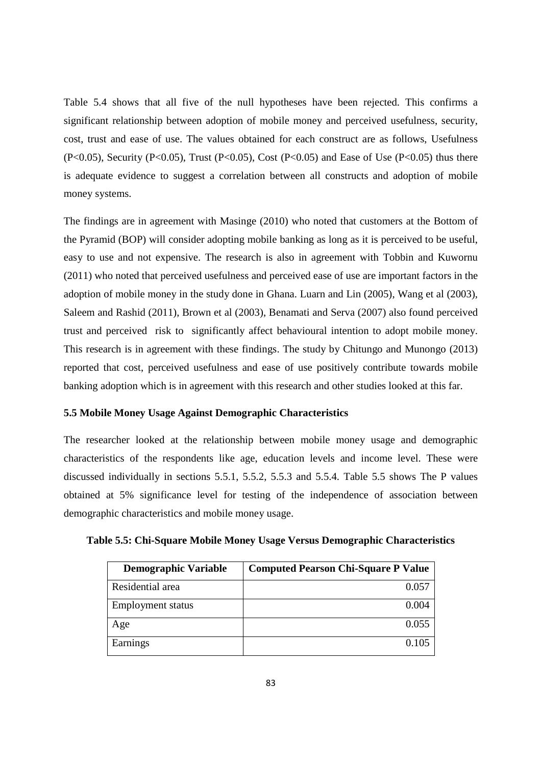Table 5.4 shows that all five of the null hypotheses have been rejected. This confirms a significant relationship between adoption of mobile money and perceived usefulness, security, cost, trust and ease of use. The values obtained for each construct are as follows, Usefulness  $(P<0.05)$ , Security  $(P<0.05)$ , Trust  $(P<0.05)$ , Cost  $(P<0.05)$  and Ease of Use  $(P<0.05)$  thus there is adequate evidence to suggest a correlation between all constructs and adoption of mobile money systems.

The findings are in agreement with Masinge (2010) who noted that customers at the Bottom of the Pyramid (BOP) will consider adopting mobile banking as long as it is perceived to be useful, easy to use and not expensive. The research is also in agreement with Tobbin and Kuwornu (2011) who noted that perceived usefulness and perceived ease of use are important factors in the adoption of mobile money in the study done in Ghana. Luarn and Lin (2005), Wang et al (2003), Saleem and Rashid (2011), Brown et al (2003), Benamati and Serva (2007) also found perceived trust and perceived risk to significantly affect behavioural intention to adopt mobile money. This research is in agreement with these findings. The study by Chitungo and Munongo (2013) reported that cost, perceived usefulness and ease of use positively contribute towards mobile banking adoption which is in agreement with this research and other studies looked at this far.

## **5.5 Mobile Money Usage Against Demographic Characteristics**

The researcher looked at the relationship between mobile money usage and demographic characteristics of the respondents like age, education levels and income level. These were discussed individually in sections 5.5.1, 5.5.2, 5.5.3 and 5.5.4. Table 5.5 shows The P values obtained at 5% significance level for testing of the independence of association between demographic characteristics and mobile money usage.

| <b>Demographic Variable</b> | <b>Computed Pearson Chi-Square P Value</b> |
|-----------------------------|--------------------------------------------|
| Residential area            | 0.057                                      |
| <b>Employment</b> status    | 0.004                                      |
| Age                         | 0.055                                      |
| Earnings                    | 0.105                                      |

**Table 5.5: Chi-Square Mobile Money Usage Versus Demographic Characteristics**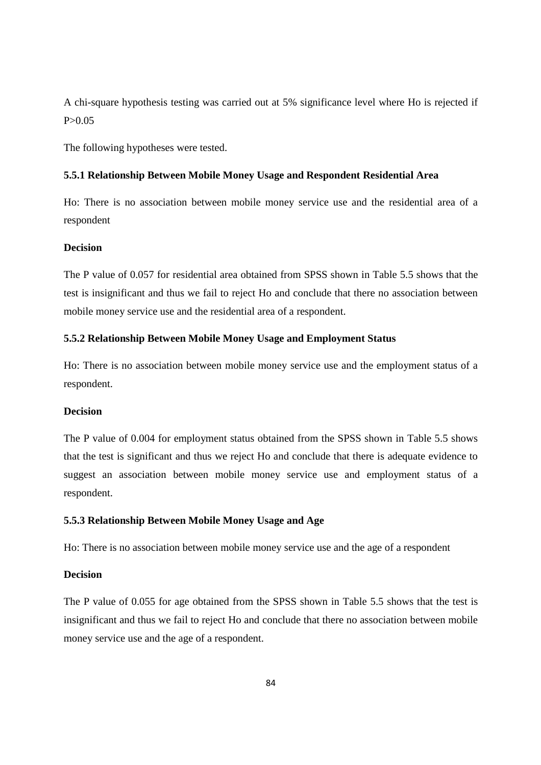A chi-square hypothesis testing was carried out at 5% significance level where Ho is rejected if  $P > 0.05$ 

The following hypotheses were tested.

### **5.5.1 Relationship Between Mobile Money Usage and Respondent Residential Area**

Ho: There is no association between mobile money service use and the residential area of a respondent

## **Decision**

The P value of 0.057 for residential area obtained from SPSS shown in Table 5.5 shows that the test is insignificant and thus we fail to reject Ho and conclude that there no association between mobile money service use and the residential area of a respondent.

## **5.5.2 Relationship Between Mobile Money Usage and Employment Status**

Ho: There is no association between mobile money service use and the employment status of a respondent.

## **Decision**

The P value of 0.004 for employment status obtained from the SPSS shown in Table 5.5 shows that the test is significant and thus we reject Ho and conclude that there is adequate evidence to suggest an association between mobile money service use and employment status of a respondent.

## **5.5.3 Relationship Between Mobile Money Usage and Age**

Ho: There is no association between mobile money service use and the age of a respondent

## **Decision**

The P value of 0.055 for age obtained from the SPSS shown in Table 5.5 shows that the test is insignificant and thus we fail to reject Ho and conclude that there no association between mobile money service use and the age of a respondent.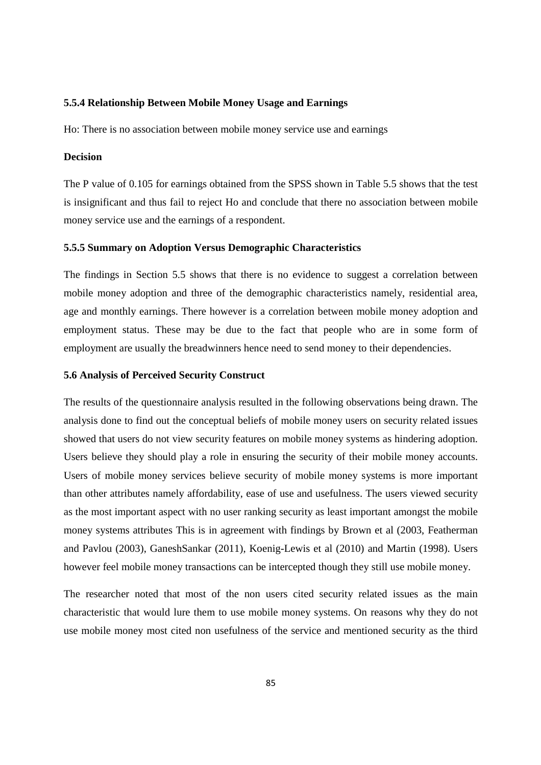#### **5.5.4 Relationship Between Mobile Money Usage and Earnings**

Ho: There is no association between mobile money service use and earnings

## **Decision**

The P value of 0.105 for earnings obtained from the SPSS shown in Table 5.5 shows that the test is insignificant and thus fail to reject Ho and conclude that there no association between mobile money service use and the earnings of a respondent.

#### **5.5.5 Summary on Adoption Versus Demographic Characteristics**

The findings in Section 5.5 shows that there is no evidence to suggest a correlation between mobile money adoption and three of the demographic characteristics namely, residential area, age and monthly earnings. There however is a correlation between mobile money adoption and employment status. These may be due to the fact that people who are in some form of employment are usually the breadwinners hence need to send money to their dependencies.

### **5.6 Analysis of Perceived Security Construct**

The results of the questionnaire analysis resulted in the following observations being drawn. The analysis done to find out the conceptual beliefs of mobile money users on security related issues showed that users do not view security features on mobile money systems as hindering adoption. Users believe they should play a role in ensuring the security of their mobile money accounts. Users of mobile money services believe security of mobile money systems is more important than other attributes namely affordability, ease of use and usefulness. The users viewed security as the most important aspect with no user ranking security as least important amongst the mobile money systems attributes This is in agreement with findings by Brown et al (2003, Featherman and Pavlou (2003), GaneshSankar (2011), Koenig-Lewis et al (2010) and Martin (1998). Users however feel mobile money transactions can be intercepted though they still use mobile money.

The researcher noted that most of the non users cited security related issues as the main characteristic that would lure them to use mobile money systems. On reasons why they do not use mobile money most cited non usefulness of the service and mentioned security as the third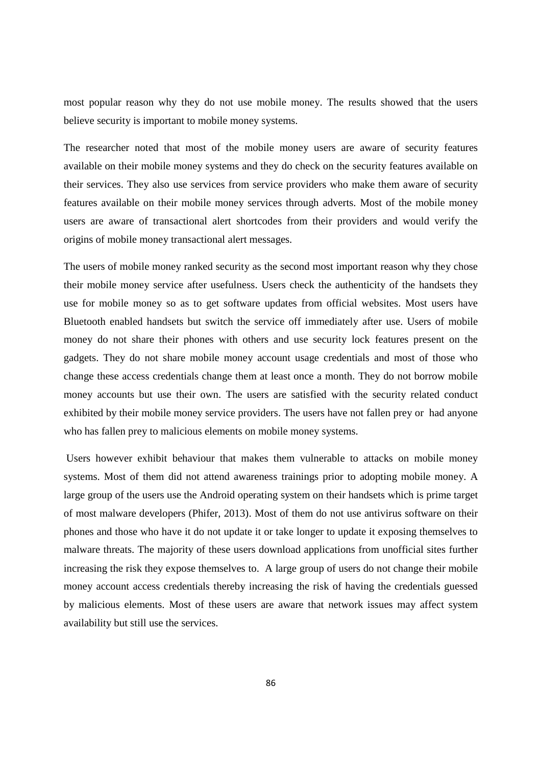most popular reason why they do not use mobile money. The results showed that the users believe security is important to mobile money systems.

The researcher noted that most of the mobile money users are aware of security features available on their mobile money systems and they do check on the security features available on their services. They also use services from service providers who make them aware of security features available on their mobile money services through adverts. Most of the mobile money users are aware of transactional alert shortcodes from their providers and would verify the origins of mobile money transactional alert messages.

The users of mobile money ranked security as the second most important reason why they chose their mobile money service after usefulness. Users check the authenticity of the handsets they use for mobile money so as to get software updates from official websites. Most users have Bluetooth enabled handsets but switch the service off immediately after use. Users of mobile money do not share their phones with others and use security lock features present on the gadgets. They do not share mobile money account usage credentials and most of those who change these access credentials change them at least once a month. They do not borrow mobile money accounts but use their own. The users are satisfied with the security related conduct exhibited by their mobile money service providers. The users have not fallen prey or had anyone who has fallen prey to malicious elements on mobile money systems.

 Users however exhibit behaviour that makes them vulnerable to attacks on mobile money systems. Most of them did not attend awareness trainings prior to adopting mobile money. A large group of the users use the Android operating system on their handsets which is prime target of most malware developers (Phifer, 2013). Most of them do not use antivirus software on their phones and those who have it do not update it or take longer to update it exposing themselves to malware threats. The majority of these users download applications from unofficial sites further increasing the risk they expose themselves to. A large group of users do not change their mobile money account access credentials thereby increasing the risk of having the credentials guessed by malicious elements. Most of these users are aware that network issues may affect system availability but still use the services.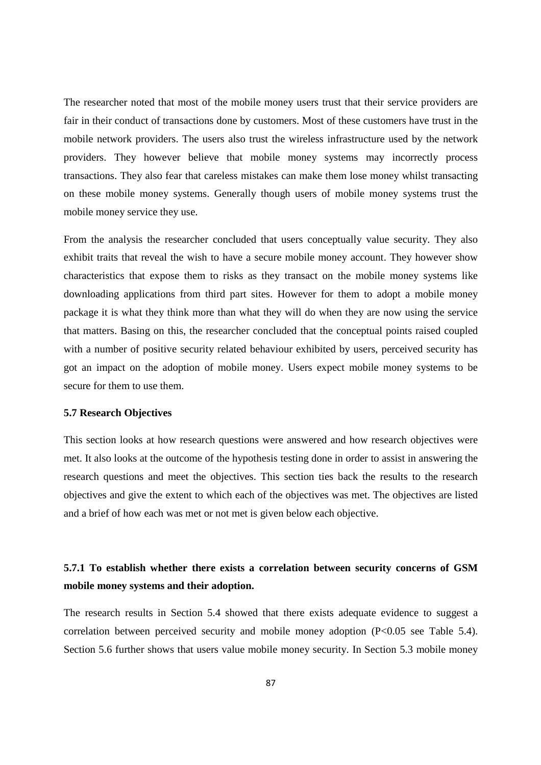The researcher noted that most of the mobile money users trust that their service providers are fair in their conduct of transactions done by customers. Most of these customers have trust in the mobile network providers. The users also trust the wireless infrastructure used by the network providers. They however believe that mobile money systems may incorrectly process transactions. They also fear that careless mistakes can make them lose money whilst transacting on these mobile money systems. Generally though users of mobile money systems trust the mobile money service they use.

From the analysis the researcher concluded that users conceptually value security. They also exhibit traits that reveal the wish to have a secure mobile money account. They however show characteristics that expose them to risks as they transact on the mobile money systems like downloading applications from third part sites. However for them to adopt a mobile money package it is what they think more than what they will do when they are now using the service that matters. Basing on this, the researcher concluded that the conceptual points raised coupled with a number of positive security related behaviour exhibited by users, perceived security has got an impact on the adoption of mobile money. Users expect mobile money systems to be secure for them to use them.

## **5.7 Research Objectives**

This section looks at how research questions were answered and how research objectives were met. It also looks at the outcome of the hypothesis testing done in order to assist in answering the research questions and meet the objectives. This section ties back the results to the research objectives and give the extent to which each of the objectives was met. The objectives are listed and a brief of how each was met or not met is given below each objective.

## **5.7.1 To establish whether there exists a correlation between security concerns of GSM mobile money systems and their adoption.**

The research results in Section 5.4 showed that there exists adequate evidence to suggest a correlation between perceived security and mobile money adoption (P<0.05 see Table 5.4). Section 5.6 further shows that users value mobile money security. In Section 5.3 mobile money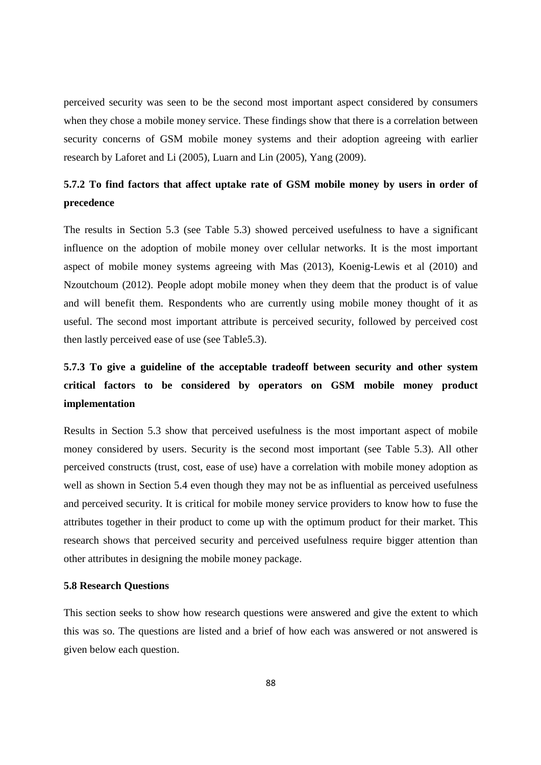perceived security was seen to be the second most important aspect considered by consumers when they chose a mobile money service. These findings show that there is a correlation between security concerns of GSM mobile money systems and their adoption agreeing with earlier research by Laforet and Li (2005), Luarn and Lin (2005), Yang (2009).

## **5.7.2 To find factors that affect uptake rate of GSM mobile money by users in order of precedence**

The results in Section 5.3 (see Table 5.3) showed perceived usefulness to have a significant influence on the adoption of mobile money over cellular networks. It is the most important aspect of mobile money systems agreeing with Mas (2013), Koenig-Lewis et al (2010) and Nzoutchoum (2012). People adopt mobile money when they deem that the product is of value and will benefit them. Respondents who are currently using mobile money thought of it as useful. The second most important attribute is perceived security, followed by perceived cost then lastly perceived ease of use (see Table5.3).

## **5.7.3 To give a guideline of the acceptable tradeoff between security and other system critical factors to be considered by operators on GSM mobile money product implementation**

Results in Section 5.3 show that perceived usefulness is the most important aspect of mobile money considered by users. Security is the second most important (see Table 5.3). All other perceived constructs (trust, cost, ease of use) have a correlation with mobile money adoption as well as shown in Section 5.4 even though they may not be as influential as perceived usefulness and perceived security. It is critical for mobile money service providers to know how to fuse the attributes together in their product to come up with the optimum product for their market. This research shows that perceived security and perceived usefulness require bigger attention than other attributes in designing the mobile money package.

## **5.8 Research Questions**

This section seeks to show how research questions were answered and give the extent to which this was so. The questions are listed and a brief of how each was answered or not answered is given below each question.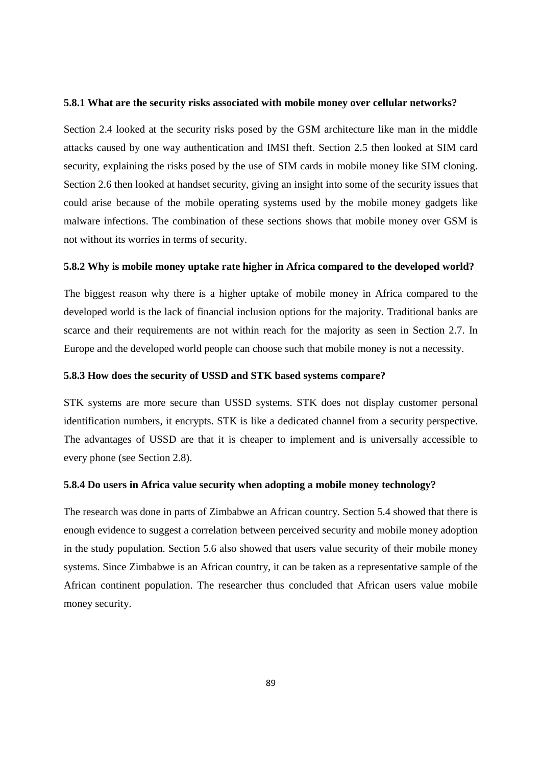#### **5.8.1 What are the security risks associated with mobile money over cellular networks?**

Section 2.4 looked at the security risks posed by the GSM architecture like man in the middle attacks caused by one way authentication and IMSI theft. Section 2.5 then looked at SIM card security, explaining the risks posed by the use of SIM cards in mobile money like SIM cloning. Section 2.6 then looked at handset security, giving an insight into some of the security issues that could arise because of the mobile operating systems used by the mobile money gadgets like malware infections. The combination of these sections shows that mobile money over GSM is not without its worries in terms of security.

## **5.8.2 Why is mobile money uptake rate higher in Africa compared to the developed world?**

The biggest reason why there is a higher uptake of mobile money in Africa compared to the developed world is the lack of financial inclusion options for the majority. Traditional banks are scarce and their requirements are not within reach for the majority as seen in Section 2.7. In Europe and the developed world people can choose such that mobile money is not a necessity.

### **5.8.3 How does the security of USSD and STK based systems compare?**

STK systems are more secure than USSD systems. STK does not display customer personal identification numbers, it encrypts. STK is like a dedicated channel from a security perspective. The advantages of USSD are that it is cheaper to implement and is universally accessible to every phone (see Section 2.8).

## **5.8.4 Do users in Africa value security when adopting a mobile money technology?**

The research was done in parts of Zimbabwe an African country. Section 5.4 showed that there is enough evidence to suggest a correlation between perceived security and mobile money adoption in the study population. Section 5.6 also showed that users value security of their mobile money systems. Since Zimbabwe is an African country, it can be taken as a representative sample of the African continent population. The researcher thus concluded that African users value mobile money security.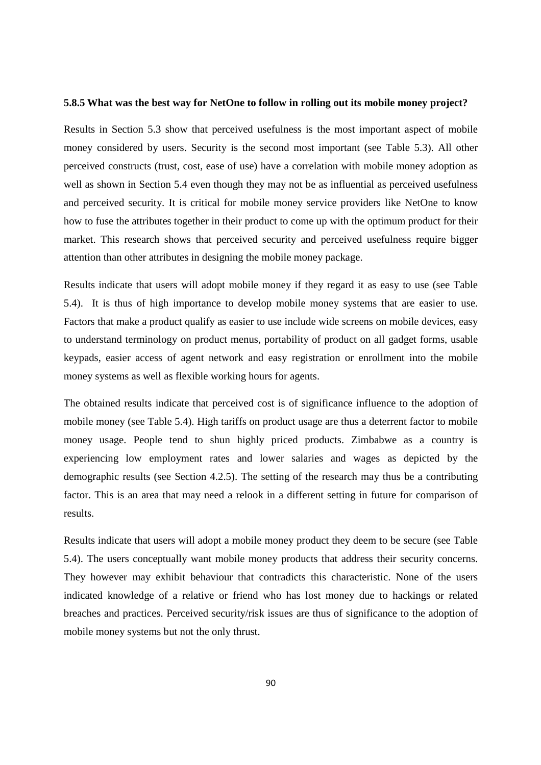#### **5.8.5 What was the best way for NetOne to follow in rolling out its mobile money project?**

Results in Section 5.3 show that perceived usefulness is the most important aspect of mobile money considered by users. Security is the second most important (see Table 5.3). All other perceived constructs (trust, cost, ease of use) have a correlation with mobile money adoption as well as shown in Section 5.4 even though they may not be as influential as perceived usefulness and perceived security. It is critical for mobile money service providers like NetOne to know how to fuse the attributes together in their product to come up with the optimum product for their market. This research shows that perceived security and perceived usefulness require bigger attention than other attributes in designing the mobile money package.

Results indicate that users will adopt mobile money if they regard it as easy to use (see Table 5.4). It is thus of high importance to develop mobile money systems that are easier to use. Factors that make a product qualify as easier to use include wide screens on mobile devices, easy to understand terminology on product menus, portability of product on all gadget forms, usable keypads, easier access of agent network and easy registration or enrollment into the mobile money systems as well as flexible working hours for agents.

The obtained results indicate that perceived cost is of significance influence to the adoption of mobile money (see Table 5.4). High tariffs on product usage are thus a deterrent factor to mobile money usage. People tend to shun highly priced products. Zimbabwe as a country is experiencing low employment rates and lower salaries and wages as depicted by the demographic results (see Section 4.2.5). The setting of the research may thus be a contributing factor. This is an area that may need a relook in a different setting in future for comparison of results.

Results indicate that users will adopt a mobile money product they deem to be secure (see Table 5.4). The users conceptually want mobile money products that address their security concerns. They however may exhibit behaviour that contradicts this characteristic. None of the users indicated knowledge of a relative or friend who has lost money due to hackings or related breaches and practices. Perceived security/risk issues are thus of significance to the adoption of mobile money systems but not the only thrust.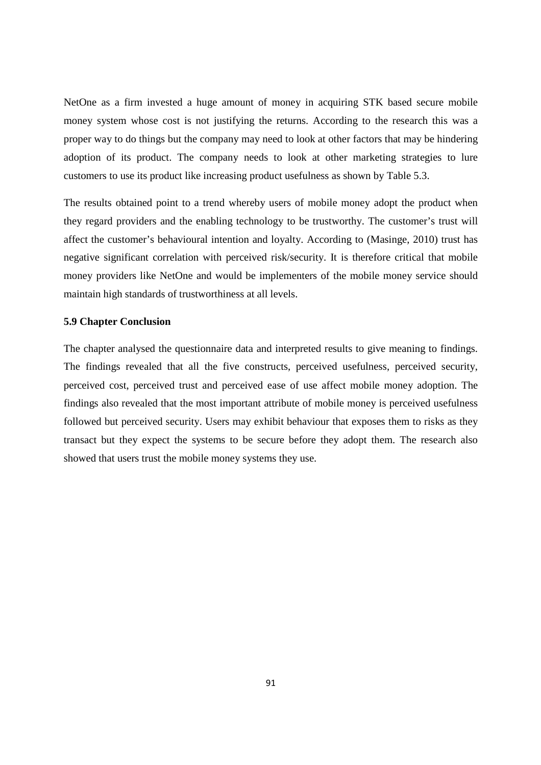NetOne as a firm invested a huge amount of money in acquiring STK based secure mobile money system whose cost is not justifying the returns. According to the research this was a proper way to do things but the company may need to look at other factors that may be hindering adoption of its product. The company needs to look at other marketing strategies to lure customers to use its product like increasing product usefulness as shown by Table 5.3.

The results obtained point to a trend whereby users of mobile money adopt the product when they regard providers and the enabling technology to be trustworthy. The customer's trust will affect the customer's behavioural intention and loyalty. According to (Masinge, 2010) trust has negative significant correlation with perceived risk/security. It is therefore critical that mobile money providers like NetOne and would be implementers of the mobile money service should maintain high standards of trustworthiness at all levels.

## **5.9 Chapter Conclusion**

The chapter analysed the questionnaire data and interpreted results to give meaning to findings. The findings revealed that all the five constructs, perceived usefulness, perceived security, perceived cost, perceived trust and perceived ease of use affect mobile money adoption. The findings also revealed that the most important attribute of mobile money is perceived usefulness followed but perceived security. Users may exhibit behaviour that exposes them to risks as they transact but they expect the systems to be secure before they adopt them. The research also showed that users trust the mobile money systems they use.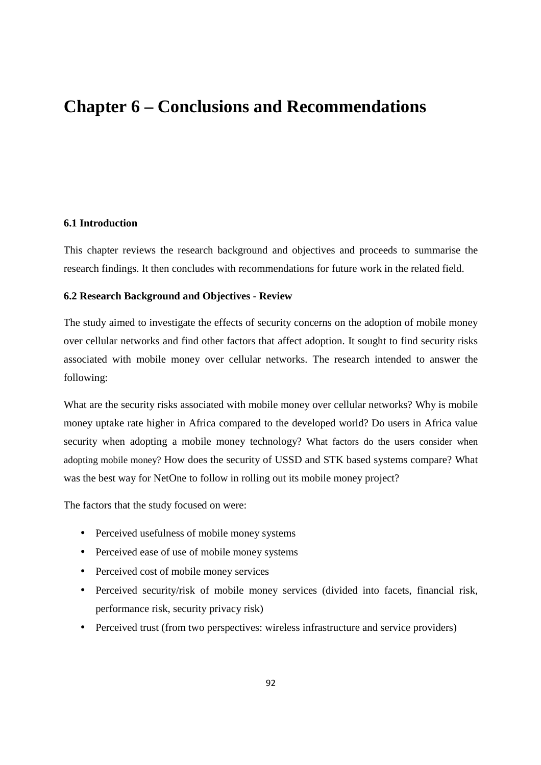# **Chapter 6 – Conclusions and Recommendations**

## **6.1 Introduction**

This chapter reviews the research background and objectives and proceeds to summarise the research findings. It then concludes with recommendations for future work in the related field.

## **6.2 Research Background and Objectives - Review**

The study aimed to investigate the effects of security concerns on the adoption of mobile money over cellular networks and find other factors that affect adoption. It sought to find security risks associated with mobile money over cellular networks. The research intended to answer the following:

What are the security risks associated with mobile money over cellular networks? Why is mobile money uptake rate higher in Africa compared to the developed world? Do users in Africa value security when adopting a mobile money technology? What factors do the users consider when adopting mobile money? How does the security of USSD and STK based systems compare? What was the best way for NetOne to follow in rolling out its mobile money project?

The factors that the study focused on were:

- Perceived usefulness of mobile money systems
- Perceived ease of use of mobile money systems
- Perceived cost of mobile money services
- Perceived security/risk of mobile money services (divided into facets, financial risk, performance risk, security privacy risk)
- Perceived trust (from two perspectives: wireless infrastructure and service providers)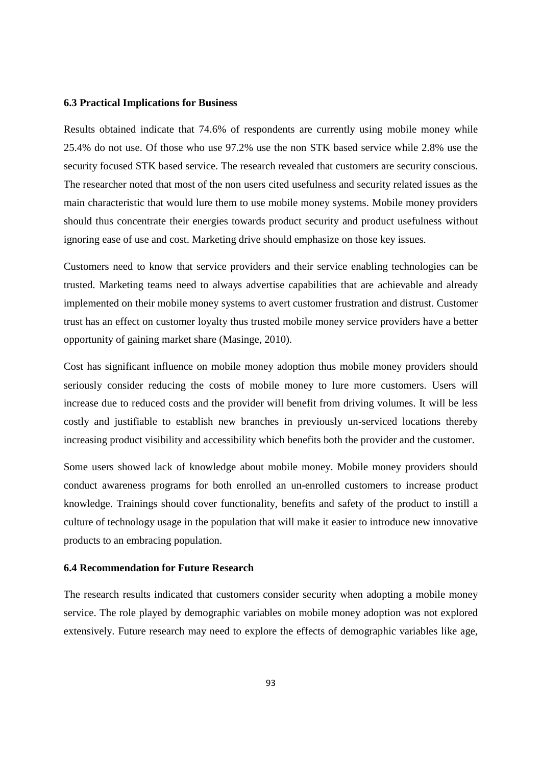#### **6.3 Practical Implications for Business**

Results obtained indicate that 74.6% of respondents are currently using mobile money while 25.4% do not use. Of those who use 97.2% use the non STK based service while 2.8% use the security focused STK based service. The research revealed that customers are security conscious. The researcher noted that most of the non users cited usefulness and security related issues as the main characteristic that would lure them to use mobile money systems. Mobile money providers should thus concentrate their energies towards product security and product usefulness without ignoring ease of use and cost. Marketing drive should emphasize on those key issues.

Customers need to know that service providers and their service enabling technologies can be trusted. Marketing teams need to always advertise capabilities that are achievable and already implemented on their mobile money systems to avert customer frustration and distrust. Customer trust has an effect on customer loyalty thus trusted mobile money service providers have a better opportunity of gaining market share (Masinge, 2010).

Cost has significant influence on mobile money adoption thus mobile money providers should seriously consider reducing the costs of mobile money to lure more customers. Users will increase due to reduced costs and the provider will benefit from driving volumes. It will be less costly and justifiable to establish new branches in previously un-serviced locations thereby increasing product visibility and accessibility which benefits both the provider and the customer.

Some users showed lack of knowledge about mobile money. Mobile money providers should conduct awareness programs for both enrolled an un-enrolled customers to increase product knowledge. Trainings should cover functionality, benefits and safety of the product to instill a culture of technology usage in the population that will make it easier to introduce new innovative products to an embracing population.

#### **6.4 Recommendation for Future Research**

The research results indicated that customers consider security when adopting a mobile money service. The role played by demographic variables on mobile money adoption was not explored extensively. Future research may need to explore the effects of demographic variables like age,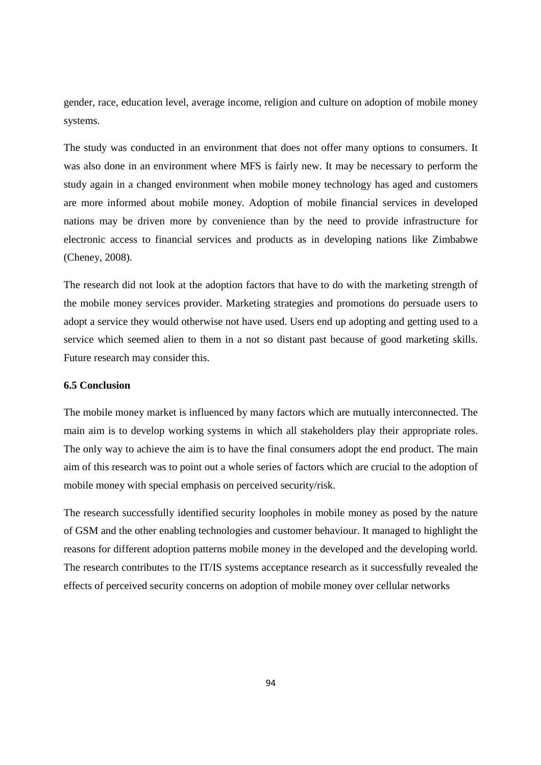gender, race, education level, average income, religion and culture on adoption of mobile money systems.

The study was conducted in an environment that does not offer many options to consumers. It was also done in an environment where MFS is fairly new. It may be necessary to perform the study again in a changed environment when mobile money technology has aged and customers are more informed about mobile money. Adoption of mobile financial services in developed nations may be driven more by convenience than by the need to provide infrastructure for electronic access to financial services and products as in developing nations like Zimbabwe (Cheney, 2008).

The research did not look at the adoption factors that have to do with the marketing strength of the mobile money services provider. Marketing strategies and promotions do persuade users to adopt a service they would otherwise not have used. Users end up adopting and getting used to a service which seemed alien to them in a not so distant past because of good marketing skills. Future research may consider this.

## **6.5 Conclusion**

The mobile money market is influenced by many factors which are mutually interconnected. The main aim is to develop working systems in which all stakeholders play their appropriate roles. The only way to achieve the aim is to have the final consumers adopt the end product. The main aim of this research was to point out a whole series of factors which are crucial to the adoption of mobile money with special emphasis on perceived security/risk.

The research successfully identified security loopholes in mobile money as posed by the nature of GSM and the other enabling technologies and customer behaviour. It managed to highlight the reasons for different adoption patterns mobile money in the developed and the developing world. The research contributes to the IT/IS systems acceptance research as it successfully revealed the effects of perceived security concerns on adoption of mobile money over cellular networks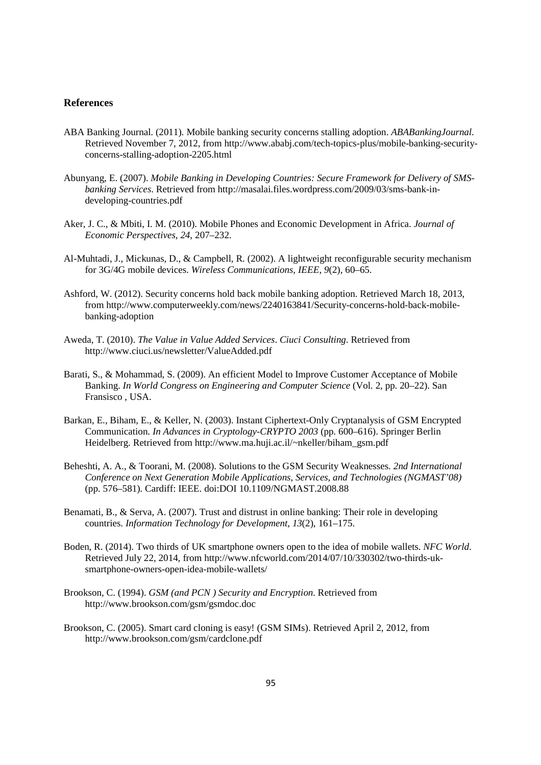## **References**

- ABA Banking Journal. (2011). Mobile banking security concerns stalling adoption. *ABABankingJournal*. Retrieved November 7, 2012, from http://www.ababj.com/tech-topics-plus/mobile-banking-securityconcerns-stalling-adoption-2205.html
- Abunyang, E. (2007). *Mobile Banking in Developing Countries: Secure Framework for Delivery of SMSbanking Services*. Retrieved from http://masalai.files.wordpress.com/2009/03/sms-bank-indeveloping-countries.pdf
- Aker, J. C., & Mbiti, I. M. (2010). Mobile Phones and Economic Development in Africa. *Journal of Economic Perspectives*, *24*, 207–232.
- Al-Muhtadi, J., Mickunas, D., & Campbell, R. (2002). A lightweight reconfigurable security mechanism for 3G/4G mobile devices. *Wireless Communications, IEEE*, *9*(2), 60–65.
- Ashford, W. (2012). Security concerns hold back mobile banking adoption. Retrieved March 18, 2013, from http://www.computerweekly.com/news/2240163841/Security-concerns-hold-back-mobilebanking-adoption
- Aweda, T. (2010). *The Value in Value Added Services*. *Ciuci Consulting*. Retrieved from http://www.ciuci.us/newsletter/ValueAdded.pdf
- Barati, S., & Mohammad, S. (2009). An efficient Model to Improve Customer Acceptance of Mobile Banking. *In World Congress on Engineering and Computer Science* (Vol. 2, pp. 20–22). San Fransisco , USA.
- Barkan, E., Biham, E., & Keller, N. (2003). Instant Ciphertext-Only Cryptanalysis of GSM Encrypted Communication. *In Advances in Cryptology-CRYPTO 2003* (pp. 600–616). Springer Berlin Heidelberg. Retrieved from http://www.ma.huji.ac.il/~nkeller/biham\_gsm.pdf
- Beheshti, A. A., & Toorani, M. (2008). Solutions to the GSM Security Weaknesses. *2nd International Conference on Next Generation Mobile Applications, Services, and Technologies (NGMAST'08)* (pp. 576–581). Cardiff: IEEE. doi:DOI 10.1109/NGMAST.2008.88
- Benamati, B., & Serva, A. (2007). Trust and distrust in online banking: Their role in developing countries. *Information Technology for Development*, *13*(2), 161–175.
- Boden, R. (2014). Two thirds of UK smartphone owners open to the idea of mobile wallets. *NFC World*. Retrieved July 22, 2014, from http://www.nfcworld.com/2014/07/10/330302/two-thirds-uksmartphone-owners-open-idea-mobile-wallets/
- Brookson, C. (1994). *GSM (and PCN ) Security and Encryption*. Retrieved from http://www.brookson.com/gsm/gsmdoc.doc
- Brookson, C. (2005). Smart card cloning is easy! (GSM SIMs). Retrieved April 2, 2012, from http://www.brookson.com/gsm/cardclone.pdf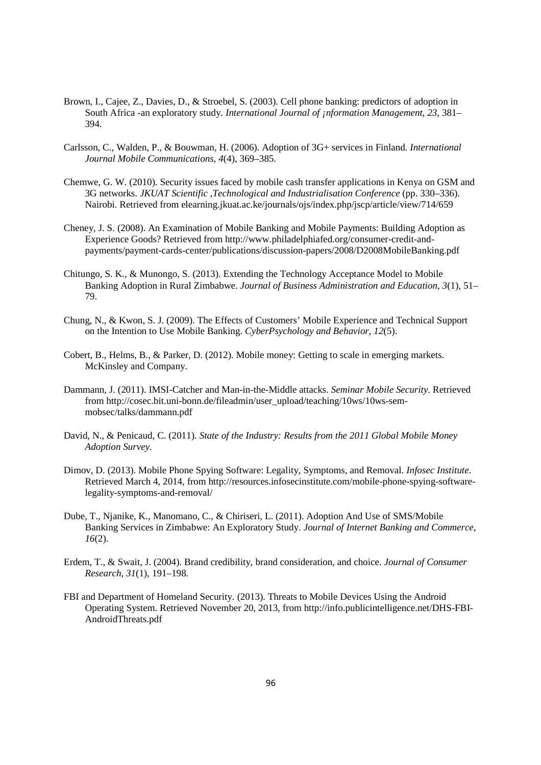- Brown, I., Cajee, Z., Davies, D., & Stroebel, S. (2003). Cell phone banking: predictors of adoption in South Africa -an exploratory study. *International Journal of ¡nformation Management*, *23*, 381– 394.
- Carlsson, C., Walden, P., & Bouwman, H. (2006). Adoption of 3G+ services in Finland. *International Journal Mobile Communications*, *4*(4), 369–385.
- Chemwe, G. W. (2010). Security issues faced by mobile cash transfer applications in Kenya on GSM and 3G networks. *JKUAT Scientific ,Technological and Industrialisation Conference* (pp. 330–336). Nairobi. Retrieved from elearning.jkuat.ac.ke/journals/ojs/index.php/jscp/article/view/714/659
- Cheney, J. S. (2008). An Examination of Mobile Banking and Mobile Payments: Building Adoption as Experience Goods? Retrieved from http://www.philadelphiafed.org/consumer-credit-andpayments/payment-cards-center/publications/discussion-papers/2008/D2008MobileBanking.pdf
- Chitungo, S. K., & Munongo, S. (2013). Extending the Technology Acceptance Model to Mobile Banking Adoption in Rural Zimbabwe. *Journal of Business Administration and Education*, *3*(1), 51– 79.
- Chung, N., & Kwon, S. J. (2009). The Effects of Customers' Mobile Experience and Technical Support on the Intention to Use Mobile Banking. *CyberPsychology and Behavior*, *12*(5).
- Cobert, B., Helms, B., & Parker, D. (2012). Mobile money: Getting to scale in emerging markets. McKinsley and Company.
- Dammann, J. (2011). IMSI-Catcher and Man-in-the-Middle attacks. *Seminar Mobile Security*. Retrieved from http://cosec.bit.uni-bonn.de/fileadmin/user\_upload/teaching/10ws/10ws-semmobsec/talks/dammann.pdf
- David, N., & Penicaud, C. (2011). *State of the Industry: Results from the 2011 Global Mobile Money Adoption Survey*.
- Dimov, D. (2013). Mobile Phone Spying Software: Legality, Symptoms, and Removal. *Infosec Institute*. Retrieved March 4, 2014, from http://resources.infosecinstitute.com/mobile-phone-spying-softwarelegality-symptoms-and-removal/
- Dube, T., Njanike, K., Manomano, C., & Chiriseri, L. (2011). Adoption And Use of SMS/Mobile Banking Services in Zimbabwe: An Exploratory Study. *Journal of Internet Banking and Commerce*, *16*(2).
- Erdem, T., & Swait, J. (2004). Brand credibility, brand consideration, and choice. *Journal of Consumer Research*, *31*(1), 191–198.
- FBI and Department of Homeland Security. (2013). Threats to Mobile Devices Using the Android Operating System. Retrieved November 20, 2013, from http://info.publicintelligence.net/DHS-FBI-AndroidThreats.pdf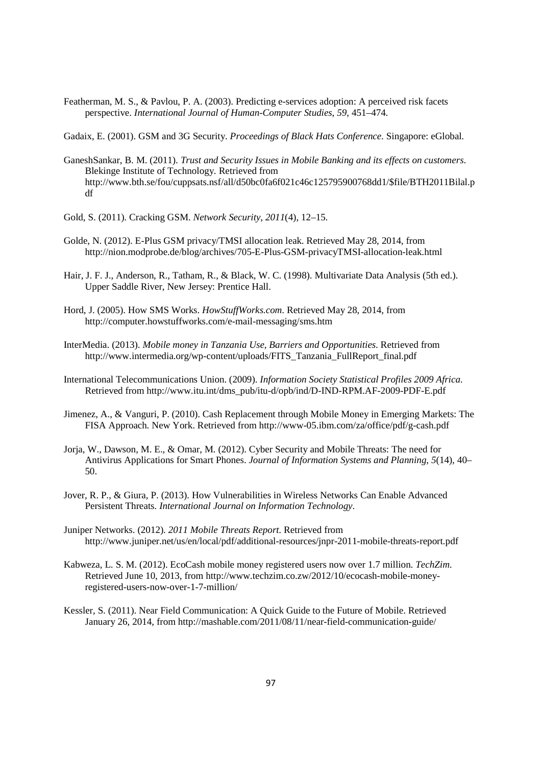Featherman, M. S., & Pavlou, P. A. (2003). Predicting e-services adoption: A perceived risk facets perspective. *International Journal of Human-Computer Studies*, *59*, 451–474.

Gadaix, E. (2001). GSM and 3G Security. *Proceedings of Black Hats Conference*. Singapore: eGlobal.

- GaneshSankar, B. M. (2011). *Trust and Security Issues in Mobile Banking and its effects on customers*. Blekinge Institute of Technology. Retrieved from http://www.bth.se/fou/cuppsats.nsf/all/d50bc0fa6f021c46c125795900768dd1/\$file/BTH2011Bilal.p df
- Gold, S. (2011). Cracking GSM. *Network Security*, *2011*(4), 12–15.
- Golde, N. (2012). E-Plus GSM privacy/TMSI allocation leak. Retrieved May 28, 2014, from http://nion.modprobe.de/blog/archives/705-E-Plus-GSM-privacyTMSI-allocation-leak.html
- Hair, J. F. J., Anderson, R., Tatham, R., & Black, W. C. (1998). Multivariate Data Analysis (5th ed.). Upper Saddle River, New Jersey: Prentice Hall.
- Hord, J. (2005). How SMS Works. *HowStuffWorks.com*. Retrieved May 28, 2014, from http://computer.howstuffworks.com/e-mail-messaging/sms.htm
- InterMedia. (2013). *Mobile money in Tanzania Use, Barriers and Opportunities*. Retrieved from http://www.intermedia.org/wp-content/uploads/FITS\_Tanzania\_FullReport\_final.pdf
- International Telecommunications Union. (2009). *Information Society Statistical Profiles 2009 Africa*. Retrieved from http://www.itu.int/dms\_pub/itu-d/opb/ind/D-IND-RPM.AF-2009-PDF-E.pdf
- Jimenez, A., & Vanguri, P. (2010). Cash Replacement through Mobile Money in Emerging Markets: The FISA Approach. New York. Retrieved from http://www-05.ibm.com/za/office/pdf/g-cash.pdf
- Jorja, W., Dawson, M. E., & Omar, M. (2012). Cyber Security and Mobile Threats: The need for Antivirus Applications for Smart Phones. *Journal of Information Systems and Planning*, *5*(14), 40– 50.
- Jover, R. P., & Giura, P. (2013). How Vulnerabilities in Wireless Networks Can Enable Advanced Persistent Threats. *International Journal on Information Technology*.
- Juniper Networks. (2012). *2011 Mobile Threats Report*. Retrieved from http://www.juniper.net/us/en/local/pdf/additional-resources/jnpr-2011-mobile-threats-report.pdf
- Kabweza, L. S. M. (2012). EcoCash mobile money registered users now over 1.7 million. *TechZim*. Retrieved June 10, 2013, from http://www.techzim.co.zw/2012/10/ecocash-mobile-moneyregistered-users-now-over-1-7-million/
- Kessler, S. (2011). Near Field Communication: A Quick Guide to the Future of Mobile. Retrieved January 26, 2014, from http://mashable.com/2011/08/11/near-field-communication-guide/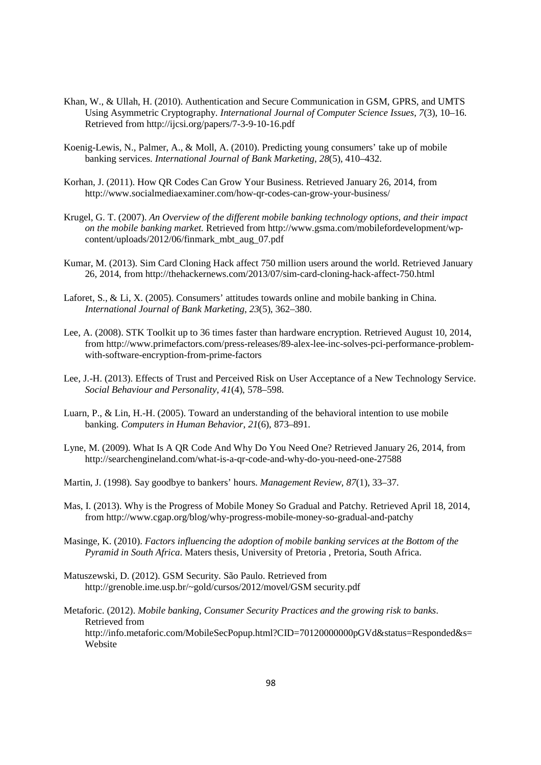- Khan, W., & Ullah, H. (2010). Authentication and Secure Communication in GSM, GPRS, and UMTS Using Asymmetric Cryptography. *International Journal of Computer Science Issues*, *7*(3), 10–16. Retrieved from http://ijcsi.org/papers/7-3-9-10-16.pdf
- Koenig-Lewis, N., Palmer, A., & Moll, A. (2010). Predicting young consumers' take up of mobile banking services. *International Journal of Bank Marketing*, *28*(5), 410–432.
- Korhan, J. (2011). How QR Codes Can Grow Your Business. Retrieved January 26, 2014, from http://www.socialmediaexaminer.com/how-qr-codes-can-grow-your-business/
- Krugel, G. T. (2007). *An Overview of the different mobile banking technology options, and their impact on the mobile banking market.* Retrieved from http://www.gsma.com/mobilefordevelopment/wpcontent/uploads/2012/06/finmark\_mbt\_aug\_07.pdf
- Kumar, M. (2013). Sim Card Cloning Hack affect 750 million users around the world. Retrieved January 26, 2014, from http://thehackernews.com/2013/07/sim-card-cloning-hack-affect-750.html
- Laforet, S., & Li, X. (2005). Consumers' attitudes towards online and mobile banking in China. *International Journal of Bank Marketing*, *23*(5), 362–380.
- Lee, A. (2008). STK Toolkit up to 36 times faster than hardware encryption. Retrieved August 10, 2014, from http://www.primefactors.com/press-releases/89-alex-lee-inc-solves-pci-performance-problemwith-software-encryption-from-prime-factors
- Lee, J.-H. (2013). Effects of Trust and Perceived Risk on User Acceptance of a New Technology Service. *Social Behaviour and Personality*, *41*(4), 578–598.
- Luarn, P., & Lin, H.-H. (2005). Toward an understanding of the behavioral intention to use mobile banking. *Computers in Human Behavior*, *21*(6), 873–891.
- Lyne, M. (2009). What Is A QR Code And Why Do You Need One? Retrieved January 26, 2014, from http://searchengineland.com/what-is-a-qr-code-and-why-do-you-need-one-27588
- Martin, J. (1998). Say goodbye to bankers' hours. *Management Review*, *87*(1), 33–37.
- Mas, I. (2013). Why is the Progress of Mobile Money So Gradual and Patchy. Retrieved April 18, 2014, from http://www.cgap.org/blog/why-progress-mobile-money-so-gradual-and-patchy
- Masinge, K. (2010). *Factors influencing the adoption of mobile banking services at the Bottom of the Pyramid in South Africa*. Maters thesis, University of Pretoria , Pretoria, South Africa.
- Matuszewski, D. (2012). GSM Security. São Paulo. Retrieved from http://grenoble.ime.usp.br/~gold/cursos/2012/movel/GSM security.pdf
- Metaforic. (2012). *Mobile banking, Consumer Security Practices and the growing risk to banks*. Retrieved from http://info.metaforic.com/MobileSecPopup.html?CID=70120000000pGVd&status=Responded&s= Website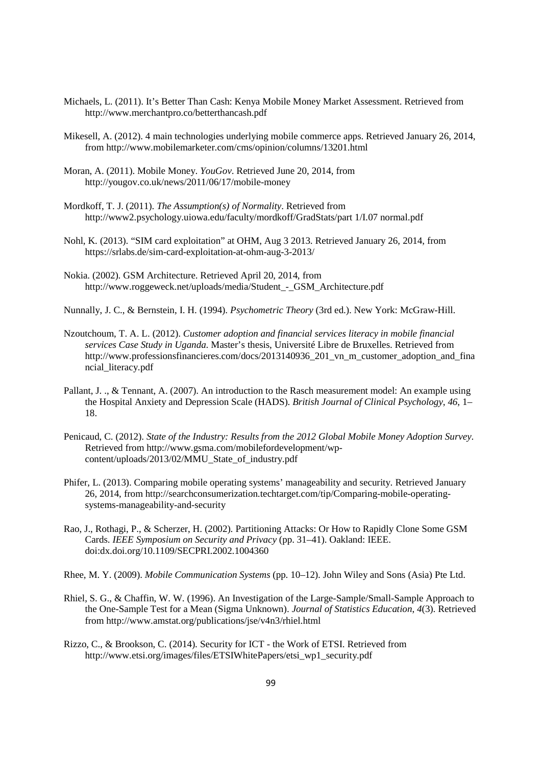- Michaels, L. (2011). It's Better Than Cash: Kenya Mobile Money Market Assessment. Retrieved from http://www.merchantpro.co/betterthancash.pdf
- Mikesell, A. (2012). 4 main technologies underlying mobile commerce apps. Retrieved January 26, 2014, from http://www.mobilemarketer.com/cms/opinion/columns/13201.html
- Moran, A. (2011). Mobile Money. *YouGov*. Retrieved June 20, 2014, from http://yougov.co.uk/news/2011/06/17/mobile-money
- Mordkoff, T. J. (2011). *The Assumption(s) of Normality*. Retrieved from http://www2.psychology.uiowa.edu/faculty/mordkoff/GradStats/part 1/I.07 normal.pdf
- Nohl, K. (2013). "SIM card exploitation" at OHM, Aug 3 2013. Retrieved January 26, 2014, from https://srlabs.de/sim-card-exploitation-at-ohm-aug-3-2013/
- Nokia. (2002). GSM Architecture. Retrieved April 20, 2014, from http://www.roggeweck.net/uploads/media/Student\_-\_GSM\_Architecture.pdf

Nunnally, J. C., & Bernstein, I. H. (1994). *Psychometric Theory* (3rd ed.). New York: McGraw-Hill.

- Nzoutchoum, T. A. L. (2012). *Customer adoption and financial services literacy in mobile financial services Case Study in Uganda*. Master's thesis, Université Libre de Bruxelles. Retrieved from http://www.professionsfinancieres.com/docs/2013140936\_201\_vn\_m\_customer\_adoption\_and\_fina ncial\_literacy.pdf
- Pallant, J. ., & Tennant, A. (2007). An introduction to the Rasch measurement model: An example using the Hospital Anxiety and Depression Scale (HADS). *British Journal of Clinical Psychology*, *46*, 1– 18.
- Penicaud, C. (2012). *State of the Industry: Results from the 2012 Global Mobile Money Adoption Survey*. Retrieved from http://www.gsma.com/mobilefordevelopment/wpcontent/uploads/2013/02/MMU\_State\_of\_industry.pdf
- Phifer, L. (2013). Comparing mobile operating systems' manageability and security. Retrieved January 26, 2014, from http://searchconsumerization.techtarget.com/tip/Comparing-mobile-operatingsystems-manageability-and-security
- Rao, J., Rothagi, P., & Scherzer, H. (2002). Partitioning Attacks: Or How to Rapidly Clone Some GSM Cards. *IEEE Symposium on Security and Privacy* (pp. 31–41). Oakland: IEEE. doi:dx.doi.org/10.1109/SECPRI.2002.1004360
- Rhee, M. Y. (2009). *Mobile Communication Systems* (pp. 10–12). John Wiley and Sons (Asia) Pte Ltd.
- Rhiel, S. G., & Chaffin, W. W. (1996). An Investigation of the Large-Sample/Small-Sample Approach to the One-Sample Test for a Mean (Sigma Unknown). *Journal of Statistics Education*, *4*(3). Retrieved from http://www.amstat.org/publications/jse/v4n3/rhiel.html
- Rizzo, C., & Brookson, C. (2014). Security for ICT the Work of ETSI. Retrieved from http://www.etsi.org/images/files/ETSIWhitePapers/etsi\_wp1\_security.pdf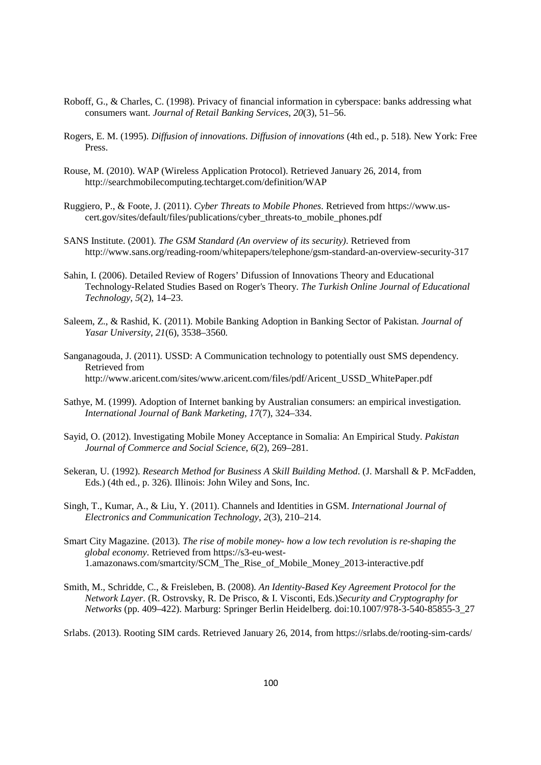- Roboff, G., & Charles, C. (1998). Privacy of financial information in cyberspace: banks addressing what consumers want. *Journal of Retail Banking Services*, *20*(3), 51–56.
- Rogers, E. M. (1995). *Diffusion of innovations*. *Diffusion of innovations* (4th ed., p. 518). New York: Free Press.
- Rouse, M. (2010). WAP (Wireless Application Protocol). Retrieved January 26, 2014, from http://searchmobilecomputing.techtarget.com/definition/WAP
- Ruggiero, P., & Foote, J. (2011). *Cyber Threats to Mobile Phones*. Retrieved from https://www.uscert.gov/sites/default/files/publications/cyber\_threats-to\_mobile\_phones.pdf
- SANS Institute. (2001). *The GSM Standard (An overview of its security)*. Retrieved from http://www.sans.org/reading-room/whitepapers/telephone/gsm-standard-an-overview-security-317
- Sahin, I. (2006). Detailed Review of Rogers' Difussion of Innovations Theory and Educational Technology-Related Studies Based on Roger's Theory. *The Turkish Online Journal of Educational Technology*, *5*(2), 14–23.
- Saleem, Z., & Rashid, K. (2011). Mobile Banking Adoption in Banking Sector of Pakistan. *Journal of Yasar University*, *21*(6), 3538–3560.

Sanganagouda, J. (2011). USSD: A Communication technology to potentially oust SMS dependency. Retrieved from http://www.aricent.com/sites/www.aricent.com/files/pdf/Aricent\_USSD\_WhitePaper.pdf

- Sathye, M. (1999). Adoption of Internet banking by Australian consumers: an empirical investigation. *International Journal of Bank Marketing*, *17*(7), 324–334.
- Sayid, O. (2012). Investigating Mobile Money Acceptance in Somalia: An Empirical Study. *Pakistan Journal of Commerce and Social Science*, *6*(2), 269–281.
- Sekeran, U. (1992). *Research Method for Business A Skill Building Method*. (J. Marshall & P. McFadden, Eds.) (4th ed., p. 326). Illinois: John Wiley and Sons, Inc.
- Singh, T., Kumar, A., & Liu, Y. (2011). Channels and Identities in GSM. *International Journal of Electronics and Communication Technology*, *2*(3), 210–214.
- Smart City Magazine. (2013). *The rise of mobile money- how a low tech revolution is re-shaping the global economy*. Retrieved from https://s3-eu-west-1.amazonaws.com/smartcity/SCM\_The\_Rise\_of\_Mobile\_Money\_2013-interactive.pdf
- Smith, M., Schridde, C., & Freisleben, B. (2008). *An Identity-Based Key Agreement Protocol for the Network Layer*. (R. Ostrovsky, R. De Prisco, & I. Visconti, Eds.)*Security and Cryptography for Networks* (pp. 409–422). Marburg: Springer Berlin Heidelberg. doi:10.1007/978-3-540-85855-3\_27

Srlabs. (2013). Rooting SIM cards. Retrieved January 26, 2014, from https://srlabs.de/rooting-sim-cards/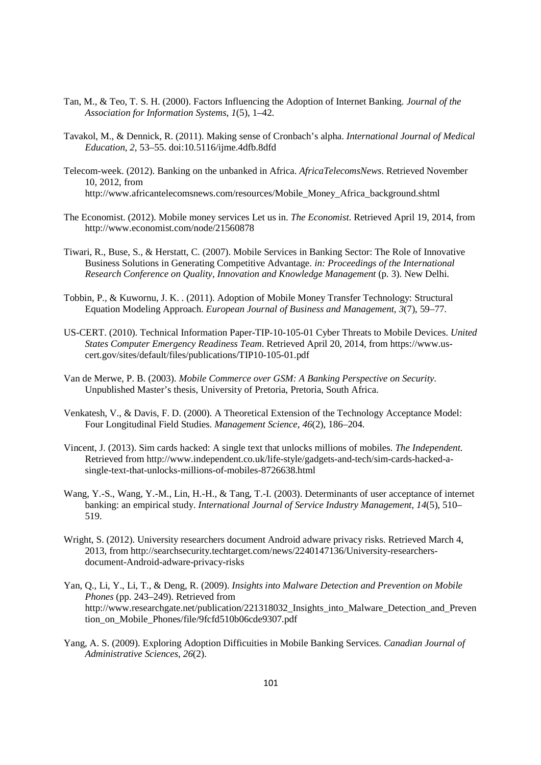- Tan, M., & Teo, T. S. H. (2000). Factors Influencing the Adoption of Internet Banking. *Journal of the Association for Information Systems*, *1*(5), 1–42.
- Tavakol, M., & Dennick, R. (2011). Making sense of Cronbach's alpha. *International Journal of Medical Education*, *2*, 53–55. doi:10.5116/ijme.4dfb.8dfd
- Telecom-week. (2012). Banking on the unbanked in Africa. *AfricaTelecomsNews*. Retrieved November 10, 2012, from http://www.africantelecomsnews.com/resources/Mobile\_Money\_Africa\_background.shtml
- The Economist. (2012). Mobile money services Let us in. *The Economist*. Retrieved April 19, 2014, from http://www.economist.com/node/21560878
- Tiwari, R., Buse, S., & Herstatt, C. (2007). Mobile Services in Banking Sector: The Role of Innovative Business Solutions in Generating Competitive Advantage. *in: Proceedings of the International Research Conference on Quality, Innovation and Knowledge Management* (p. 3). New Delhi.
- Tobbin, P., & Kuwornu, J. K. . (2011). Adoption of Mobile Money Transfer Technology: Structural Equation Modeling Approach. *European Journal of Business and Management*, *3*(7), 59–77.
- US-CERT. (2010). Technical Information Paper-TIP-10-105-01 Cyber Threats to Mobile Devices. *United States Computer Emergency Readiness Team*. Retrieved April 20, 2014, from https://www.uscert.gov/sites/default/files/publications/TIP10-105-01.pdf
- Van de Merwe, P. B. (2003). *Mobile Commerce over GSM: A Banking Perspective on Security*. Unpublished Master's thesis, University of Pretoria, Pretoria, South Africa.
- Venkatesh, V., & Davis, F. D. (2000). A Theoretical Extension of the Technology Acceptance Model: Four Longitudinal Field Studies. *Management Science*, *46*(2), 186–204.
- Vincent, J. (2013). Sim cards hacked: A single text that unlocks millions of mobiles. *The Independent*. Retrieved from http://www.independent.co.uk/life-style/gadgets-and-tech/sim-cards-hacked-asingle-text-that-unlocks-millions-of-mobiles-8726638.html
- Wang, Y.-S., Wang, Y.-M., Lin, H.-H., & Tang, T.-I. (2003). Determinants of user acceptance of internet banking: an empirical study. *International Journal of Service Industry Management*, *14*(5), 510– 519.
- Wright, S. (2012). University researchers document Android adware privacy risks. Retrieved March 4, 2013, from http://searchsecurity.techtarget.com/news/2240147136/University-researchersdocument-Android-adware-privacy-risks
- Yan, Q., Li, Y., Li, T., & Deng, R. (2009). *Insights into Malware Detection and Prevention on Mobile Phones* (pp. 243–249). Retrieved from http://www.researchgate.net/publication/221318032\_Insights\_into\_Malware\_Detection\_and\_Preven tion\_on\_Mobile\_Phones/file/9fcfd510b06cde9307.pdf
- Yang, A. S. (2009). Exploring Adoption Difficuities in Mobile Banking Services. *Canadian Journal of Administrative Sciences*, *26*(2).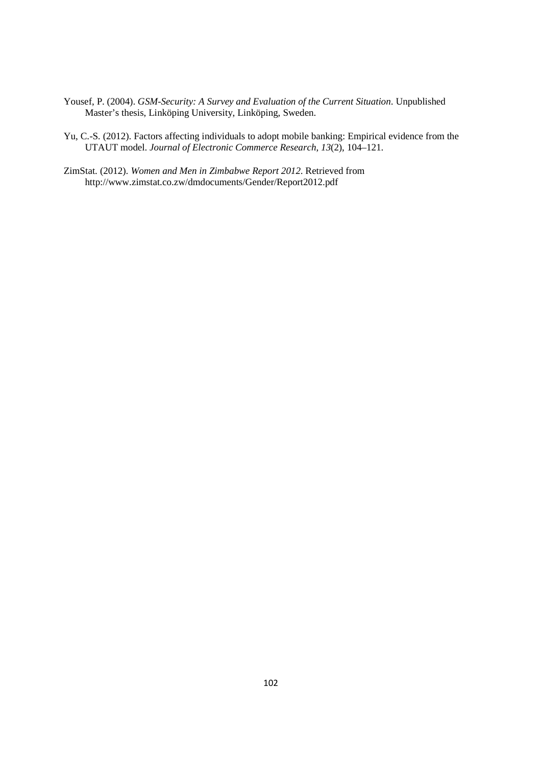- Yousef, P. (2004). *GSM-Security: A Survey and Evaluation of the Current Situation*. Unpublished Master's thesis, Linköping University, Linköping, Sweden.
- Yu, C.-S. (2012). Factors affecting individuals to adopt mobile banking: Empirical evidence from the UTAUT model. *Journal of Electronic Commerce Research*, *13*(2), 104–121.
- ZimStat. (2012). *Women and Men in Zimbabwe Report 2012*. Retrieved from http://www.zimstat.co.zw/dmdocuments/Gender/Report2012.pdf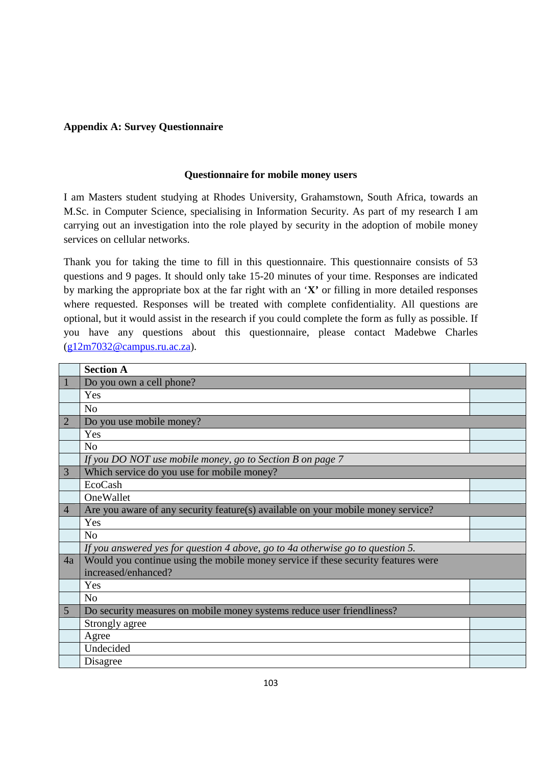## **Appendix A: Survey Questionnaire**

## **Questionnaire for mobile money users**

I am Masters student studying at Rhodes University, Grahamstown, South Africa, towards an M.Sc. in Computer Science, specialising in Information Security. As part of my research I am carrying out an investigation into the role played by security in the adoption of mobile money services on cellular networks.

Thank you for taking the time to fill in this questionnaire. This questionnaire consists of 53 questions and 9 pages. It should only take 15-20 minutes of your time. Responses are indicated by marking the appropriate box at the far right with an '**X'** or filling in more detailed responses where requested. Responses will be treated with complete confidentiality. All questions are optional, but it would assist in the research if you could complete the form as fully as possible. If you have any questions about this questionnaire, please contact Madebwe Charles (g12m7032@campus.ru.ac.za).

|                | <b>Section A</b>                                                                  |  |
|----------------|-----------------------------------------------------------------------------------|--|
|                | Do you own a cell phone?                                                          |  |
|                | Yes                                                                               |  |
|                | N <sub>0</sub>                                                                    |  |
| 2              | Do you use mobile money?                                                          |  |
|                | Yes                                                                               |  |
|                | N <sub>o</sub>                                                                    |  |
|                | If you DO NOT use mobile money, go to Section B on page 7                         |  |
| 3              | Which service do you use for mobile money?                                        |  |
|                | EcoCash                                                                           |  |
|                | OneWallet                                                                         |  |
| $\overline{4}$ | Are you aware of any security feature(s) available on your mobile money service?  |  |
|                | Yes                                                                               |  |
|                | N <sub>0</sub>                                                                    |  |
|                | If you answered yes for question 4 above, go to 4a otherwise go to question 5.    |  |
| 4a             | Would you continue using the mobile money service if these security features were |  |
|                | increased/enhanced?                                                               |  |
|                | Yes                                                                               |  |
|                | N <sub>0</sub>                                                                    |  |
| 5              | Do security measures on mobile money systems reduce user friendliness?            |  |
|                | Strongly agree                                                                    |  |
|                | Agree                                                                             |  |
|                | Undecided                                                                         |  |
|                | Disagree                                                                          |  |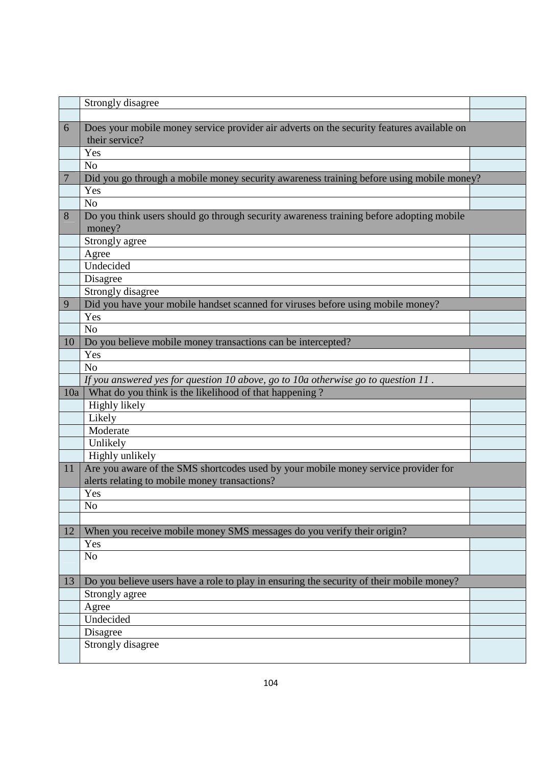|     | Strongly disagree                                                                         |  |
|-----|-------------------------------------------------------------------------------------------|--|
|     |                                                                                           |  |
| 6   | Does your mobile money service provider air adverts on the security features available on |  |
|     | their service?                                                                            |  |
|     | Yes                                                                                       |  |
|     | N <sub>o</sub>                                                                            |  |
|     | Did you go through a mobile money security awareness training before using mobile money?  |  |
|     | Yes                                                                                       |  |
|     | N <sub>o</sub>                                                                            |  |
| 8   | Do you think users should go through security awareness training before adopting mobile   |  |
|     | money?                                                                                    |  |
|     | Strongly agree                                                                            |  |
|     | Agree                                                                                     |  |
|     | Undecided                                                                                 |  |
|     | Disagree                                                                                  |  |
|     | Strongly disagree                                                                         |  |
| 9   | Did you have your mobile handset scanned for viruses before using mobile money?           |  |
|     | Yes                                                                                       |  |
|     | N <sub>o</sub>                                                                            |  |
| 10  | Do you believe mobile money transactions can be intercepted?                              |  |
|     | Yes                                                                                       |  |
|     | N <sub>o</sub>                                                                            |  |
|     | If you answered yes for question 10 above, go to 10a otherwise go to question $11$ .      |  |
| 10a | What do you think is the likelihood of that happening?<br>Highly likely                   |  |
|     | Likely                                                                                    |  |
|     | Moderate                                                                                  |  |
|     | Unlikely                                                                                  |  |
|     | Highly unlikely                                                                           |  |
| 11  | Are you aware of the SMS shortcodes used by your mobile money service provider for        |  |
|     | alerts relating to mobile money transactions?                                             |  |
|     | Yes                                                                                       |  |
|     | No                                                                                        |  |
|     |                                                                                           |  |
| 12  | When you receive mobile money SMS messages do you verify their origin?                    |  |
|     | Yes                                                                                       |  |
|     | No                                                                                        |  |
|     |                                                                                           |  |
| 13  | Do you believe users have a role to play in ensuring the security of their mobile money?  |  |
|     | Strongly agree                                                                            |  |
|     | Agree                                                                                     |  |
|     | Undecided                                                                                 |  |
|     | Disagree                                                                                  |  |
|     | Strongly disagree                                                                         |  |
|     |                                                                                           |  |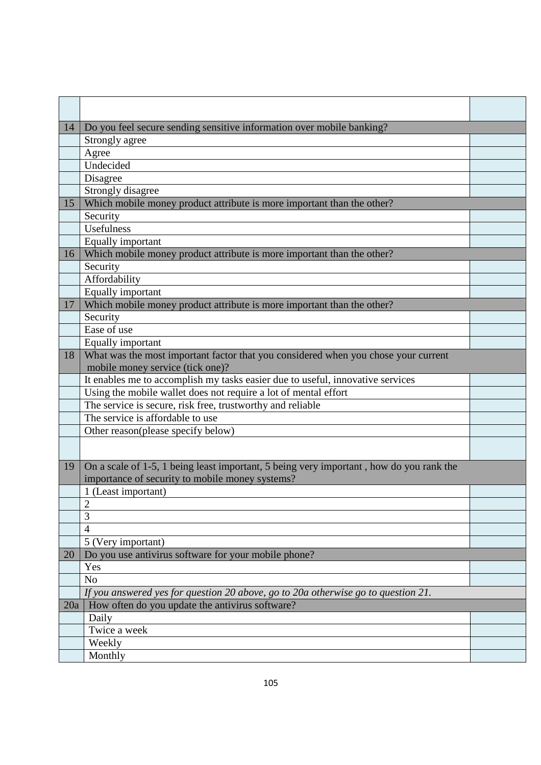| Do you feel secure sending sensitive information over mobile banking?<br>14<br>Strongly agree<br>Agree<br>Undecided<br>Disagree<br>Strongly disagree<br>Which mobile money product attribute is more important than the other?<br>15<br>Security<br>Usefulness<br>Equally important<br>Which mobile money product attribute is more important than the other?<br>16<br>Security<br>Affordability |  |
|--------------------------------------------------------------------------------------------------------------------------------------------------------------------------------------------------------------------------------------------------------------------------------------------------------------------------------------------------------------------------------------------------|--|
|                                                                                                                                                                                                                                                                                                                                                                                                  |  |
|                                                                                                                                                                                                                                                                                                                                                                                                  |  |
|                                                                                                                                                                                                                                                                                                                                                                                                  |  |
|                                                                                                                                                                                                                                                                                                                                                                                                  |  |
|                                                                                                                                                                                                                                                                                                                                                                                                  |  |
|                                                                                                                                                                                                                                                                                                                                                                                                  |  |
|                                                                                                                                                                                                                                                                                                                                                                                                  |  |
|                                                                                                                                                                                                                                                                                                                                                                                                  |  |
|                                                                                                                                                                                                                                                                                                                                                                                                  |  |
|                                                                                                                                                                                                                                                                                                                                                                                                  |  |
|                                                                                                                                                                                                                                                                                                                                                                                                  |  |
|                                                                                                                                                                                                                                                                                                                                                                                                  |  |
|                                                                                                                                                                                                                                                                                                                                                                                                  |  |
| Equally important                                                                                                                                                                                                                                                                                                                                                                                |  |
| Which mobile money product attribute is more important than the other?<br>17                                                                                                                                                                                                                                                                                                                     |  |
| Security                                                                                                                                                                                                                                                                                                                                                                                         |  |
| Ease of use                                                                                                                                                                                                                                                                                                                                                                                      |  |
| Equally important                                                                                                                                                                                                                                                                                                                                                                                |  |
| What was the most important factor that you considered when you chose your current<br>18                                                                                                                                                                                                                                                                                                         |  |
| mobile money service (tick one)?                                                                                                                                                                                                                                                                                                                                                                 |  |
| It enables me to accomplish my tasks easier due to useful, innovative services                                                                                                                                                                                                                                                                                                                   |  |
| Using the mobile wallet does not require a lot of mental effort                                                                                                                                                                                                                                                                                                                                  |  |
| The service is secure, risk free, trustworthy and reliable                                                                                                                                                                                                                                                                                                                                       |  |
| The service is affordable to use                                                                                                                                                                                                                                                                                                                                                                 |  |
| Other reason(please specify below)                                                                                                                                                                                                                                                                                                                                                               |  |
|                                                                                                                                                                                                                                                                                                                                                                                                  |  |
|                                                                                                                                                                                                                                                                                                                                                                                                  |  |
| On a scale of 1-5, 1 being least important, 5 being very important, how do you rank the<br>19<br>importance of security to mobile money systems?                                                                                                                                                                                                                                                 |  |
| 1 (Least important)                                                                                                                                                                                                                                                                                                                                                                              |  |
| $\overline{2}$                                                                                                                                                                                                                                                                                                                                                                                   |  |
| 3                                                                                                                                                                                                                                                                                                                                                                                                |  |
| $\overline{4}$                                                                                                                                                                                                                                                                                                                                                                                   |  |
| 5 (Very important)                                                                                                                                                                                                                                                                                                                                                                               |  |
| Do you use antivirus software for your mobile phone?<br>20                                                                                                                                                                                                                                                                                                                                       |  |
| Yes                                                                                                                                                                                                                                                                                                                                                                                              |  |
| N <sub>o</sub>                                                                                                                                                                                                                                                                                                                                                                                   |  |
| If you answered yes for question 20 above, go to 20a otherwise go to question 21.                                                                                                                                                                                                                                                                                                                |  |
| How often do you update the antivirus software?<br>20a                                                                                                                                                                                                                                                                                                                                           |  |
| Daily                                                                                                                                                                                                                                                                                                                                                                                            |  |
| Twice a week                                                                                                                                                                                                                                                                                                                                                                                     |  |
| Weekly                                                                                                                                                                                                                                                                                                                                                                                           |  |
| Monthly                                                                                                                                                                                                                                                                                                                                                                                          |  |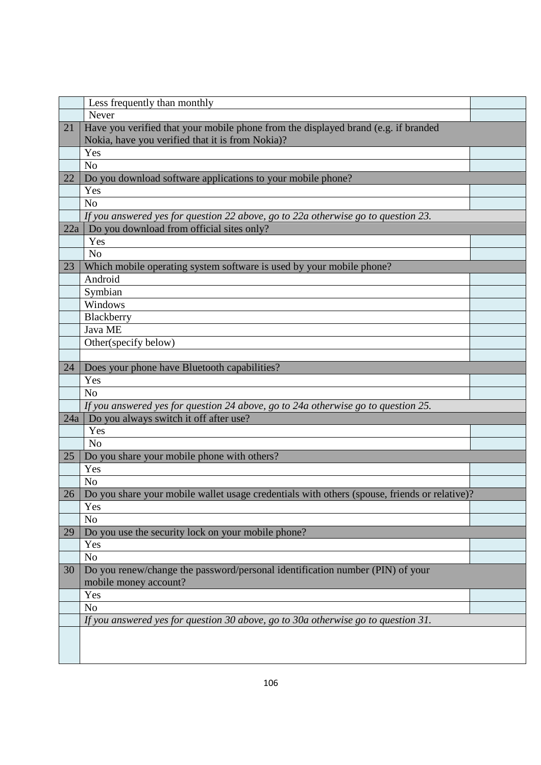|     | Less frequently than monthly                                                                 |  |
|-----|----------------------------------------------------------------------------------------------|--|
|     | Never                                                                                        |  |
| 21  | Have you verified that your mobile phone from the displayed brand (e.g. if branded           |  |
|     | Nokia, have you verified that it is from Nokia)?                                             |  |
|     | Yes                                                                                          |  |
|     | N <sub>o</sub>                                                                               |  |
| 22  | Do you download software applications to your mobile phone?                                  |  |
|     | Yes                                                                                          |  |
|     | N <sub>o</sub>                                                                               |  |
|     | If you answered yes for question 22 above, go to 22a otherwise go to question 23.            |  |
| 22a | Do you download from official sites only?                                                    |  |
|     | Yes                                                                                          |  |
|     | N <sub>o</sub>                                                                               |  |
| 23  | Which mobile operating system software is used by your mobile phone?                         |  |
|     | Android                                                                                      |  |
|     | Symbian                                                                                      |  |
|     | Windows                                                                                      |  |
|     | Blackberry                                                                                   |  |
|     | Java ME                                                                                      |  |
|     | Other(specify below)                                                                         |  |
|     |                                                                                              |  |
| 24  | Does your phone have Bluetooth capabilities?                                                 |  |
|     | Yes                                                                                          |  |
|     | N <sub>o</sub>                                                                               |  |
|     | If you answered yes for question 24 above, go to 24a otherwise go to question 25.            |  |
| 24a | Do you always switch it off after use?                                                       |  |
|     | Yes                                                                                          |  |
|     | N <sub>o</sub>                                                                               |  |
| 25  | Do you share your mobile phone with others?                                                  |  |
|     | Yes                                                                                          |  |
|     | N <sub>o</sub>                                                                               |  |
| 26  | Do you share your mobile wallet usage credentials with others (spouse, friends or relative)? |  |
|     | Yes                                                                                          |  |
|     | N <sub>o</sub>                                                                               |  |
| 29  | Do you use the security lock on your mobile phone?                                           |  |
|     | Yes                                                                                          |  |
|     | N <sub>o</sub>                                                                               |  |
| 30  | Do you renew/change the password/personal identification number (PIN) of your                |  |
|     | mobile money account?                                                                        |  |
|     | Yes                                                                                          |  |
|     | N <sub>o</sub>                                                                               |  |
|     | If you answered yes for question 30 above, go to 30a otherwise go to question 31.            |  |
|     |                                                                                              |  |
|     |                                                                                              |  |
|     |                                                                                              |  |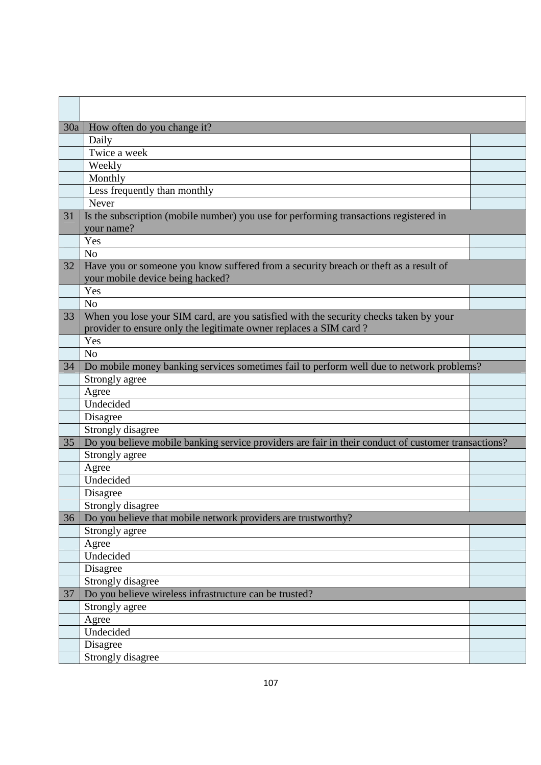| 30a | How often do you change it?                                                                         |  |
|-----|-----------------------------------------------------------------------------------------------------|--|
|     | Daily                                                                                               |  |
|     | Twice a week                                                                                        |  |
|     | Weekly                                                                                              |  |
|     | Monthly                                                                                             |  |
|     | Less frequently than monthly                                                                        |  |
|     | Never                                                                                               |  |
| 31  | Is the subscription (mobile number) you use for performing transactions registered in               |  |
|     | your name?                                                                                          |  |
|     | Yes                                                                                                 |  |
|     | N <sub>o</sub>                                                                                      |  |
| 32  | Have you or someone you know suffered from a security breach or theft as a result of                |  |
|     | your mobile device being hacked?                                                                    |  |
|     | Yes                                                                                                 |  |
|     | N <sub>o</sub>                                                                                      |  |
| 33  | When you lose your SIM card, are you satisfied with the security checks taken by your               |  |
|     | provider to ensure only the legitimate owner replaces a SIM card?                                   |  |
|     | Yes                                                                                                 |  |
|     | N <sub>o</sub>                                                                                      |  |
| 34  | Do mobile money banking services sometimes fail to perform well due to network problems?            |  |
|     | Strongly agree                                                                                      |  |
|     | Agree                                                                                               |  |
|     | Undecided                                                                                           |  |
|     | Disagree                                                                                            |  |
|     | Strongly disagree                                                                                   |  |
| 35  | Do you believe mobile banking service providers are fair in their conduct of customer transactions? |  |
|     | Strongly agree                                                                                      |  |
|     | Agree                                                                                               |  |
|     | Undecided                                                                                           |  |
|     | Disagree                                                                                            |  |
|     | Strongly disagree                                                                                   |  |
| 36  | Do you believe that mobile network providers are trustworthy?                                       |  |
|     | Strongly agree                                                                                      |  |
|     | Agree<br>Undecided                                                                                  |  |
|     |                                                                                                     |  |
|     | Disagree<br>Strongly disagree                                                                       |  |
|     | Do you believe wireless infrastructure can be trusted?                                              |  |
| 37  |                                                                                                     |  |
|     | Strongly agree                                                                                      |  |
|     | Agree<br>Undecided                                                                                  |  |
|     | Disagree                                                                                            |  |
|     | Strongly disagree                                                                                   |  |
|     |                                                                                                     |  |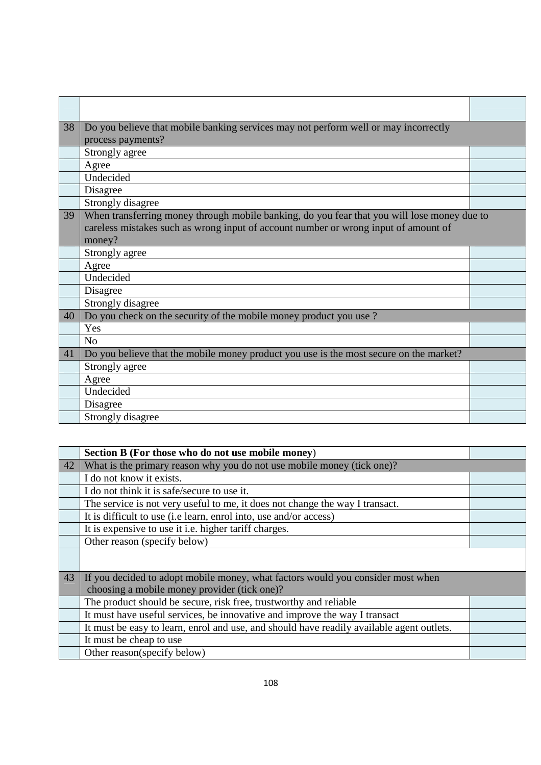| 38 | Do you believe that mobile banking services may not perform well or may incorrectly         |  |
|----|---------------------------------------------------------------------------------------------|--|
|    | process payments?                                                                           |  |
|    | Strongly agree                                                                              |  |
|    | Agree                                                                                       |  |
|    | Undecided                                                                                   |  |
|    | Disagree                                                                                    |  |
|    | Strongly disagree                                                                           |  |
| 39 | When transferring money through mobile banking, do you fear that you will lose money due to |  |
|    | careless mistakes such as wrong input of account number or wrong input of amount of         |  |
|    | money?                                                                                      |  |
|    | Strongly agree                                                                              |  |
|    | Agree                                                                                       |  |
|    | Undecided                                                                                   |  |
|    | Disagree                                                                                    |  |
|    | Strongly disagree                                                                           |  |
| 40 | Do you check on the security of the mobile money product you use?                           |  |
|    | Yes                                                                                         |  |
|    | N <sub>o</sub>                                                                              |  |
| 41 | Do you believe that the mobile money product you use is the most secure on the market?      |  |
|    | Strongly agree                                                                              |  |
|    | Agree                                                                                       |  |
|    | Undecided                                                                                   |  |
|    | Disagree                                                                                    |  |
|    | Strongly disagree                                                                           |  |

|    | Section B (For those who do not use mobile money)                                         |  |
|----|-------------------------------------------------------------------------------------------|--|
| 42 | What is the primary reason why you do not use mobile money (tick one)?                    |  |
|    | I do not know it exists.                                                                  |  |
|    | I do not think it is safe/secure to use it.                                               |  |
|    | The service is not very useful to me, it does not change the way I transact.              |  |
|    | It is difficult to use (i.e learn, enrol into, use and/or access)                         |  |
|    | It is expensive to use it i.e. higher tariff charges.                                     |  |
|    | Other reason (specify below)                                                              |  |
|    |                                                                                           |  |
| 43 | If you decided to adopt mobile money, what factors would you consider most when           |  |
|    | choosing a mobile money provider (tick one)?                                              |  |
|    | The product should be secure, risk free, trustworthy and reliable                         |  |
|    | It must have useful services, be innovative and improve the way I transact                |  |
|    | It must be easy to learn, enrol and use, and should have readily available agent outlets. |  |
|    | It must be cheap to use                                                                   |  |
|    | Other reason(specify below)                                                               |  |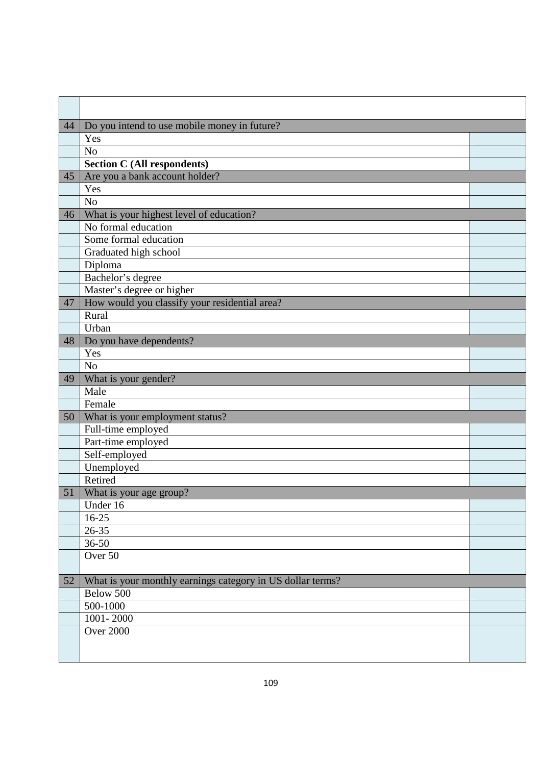| 44 | Do you intend to use mobile money in future?               |  |
|----|------------------------------------------------------------|--|
|    | Yes                                                        |  |
|    | N <sub>o</sub>                                             |  |
|    | <b>Section C (All respondents)</b>                         |  |
| 45 | Are you a bank account holder?                             |  |
|    | Yes                                                        |  |
|    | N <sub>o</sub>                                             |  |
| 46 | What is your highest level of education?                   |  |
|    | No formal education                                        |  |
|    | Some formal education                                      |  |
|    | Graduated high school                                      |  |
|    | Diploma                                                    |  |
|    | Bachelor's degree                                          |  |
|    | Master's degree or higher                                  |  |
| 47 | How would you classify your residential area?              |  |
|    | Rural                                                      |  |
|    | Urban                                                      |  |
| 48 | Do you have dependents?                                    |  |
|    | Yes                                                        |  |
|    | N <sub>o</sub>                                             |  |
| 49 | What is your gender?                                       |  |
|    | Male                                                       |  |
|    | Female                                                     |  |
| 50 | What is your employment status?                            |  |
|    | Full-time employed                                         |  |
|    | Part-time employed                                         |  |
|    | Self-employed                                              |  |
|    | Unemployed                                                 |  |
|    | Retired                                                    |  |
| 51 | What is your age group?                                    |  |
|    | Under 16                                                   |  |
|    | $16-25$                                                    |  |
|    | $26 - 35$                                                  |  |
|    | $36 - 50$                                                  |  |
|    | Over 50                                                    |  |
| 52 | What is your monthly earnings category in US dollar terms? |  |
|    | Below 500                                                  |  |
|    | 500-1000                                                   |  |
|    | 1001-2000                                                  |  |
|    | <b>Over 2000</b>                                           |  |
|    |                                                            |  |
|    |                                                            |  |